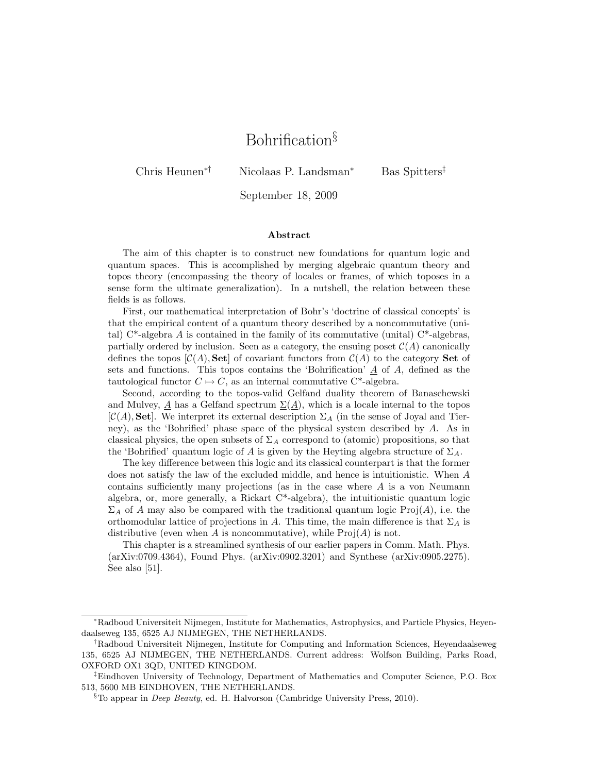# Bohrification§

Chris Heunen∗† Nicolaas P. Landsman<sup>∗</sup> Bas Spitters‡

September 18, 2009

#### Abstract

The aim of this chapter is to construct new foundations for quantum logic and quantum spaces. This is accomplished by merging algebraic quantum theory and topos theory (encompassing the theory of locales or frames, of which toposes in a sense form the ultimate generalization). In a nutshell, the relation between these fields is as follows.

First, our mathematical interpretation of Bohr's 'doctrine of classical concepts' is that the empirical content of a quantum theory described by a noncommutative (unital)  $C^*$ -algebra A is contained in the family of its commutative (unital)  $C^*$ -algebras, partially ordered by inclusion. Seen as a category, the ensuing poset  $\mathcal{C}(A)$  canonically defines the topos  $[\mathcal{C}(A), \mathbf{Set}]$  of covariant functors from  $\mathcal{C}(A)$  to the category **Set** of sets and functions. This topos contains the 'Bohrification'  $\underline{A}$  of A, defined as the tautological functor  $C \mapsto C$ , as an internal commutative C<sup>\*</sup>-algebra.

Second, according to the topos-valid Gelfand duality theorem of Banaschewski and Mulvey, A has a Gelfand spectrum  $\Sigma(A)$ , which is a locale internal to the topos  $[\mathcal{C}(A), \mathbf{Set}]$ . We interpret its external description  $\Sigma_A$  (in the sense of Joyal and Tierney), as the 'Bohrified' phase space of the physical system described by A. As in classical physics, the open subsets of  $\Sigma_A$  correspond to (atomic) propositions, so that the 'Bohrified' quantum logic of A is given by the Heyting algebra structure of  $\Sigma_A$ .

The key difference between this logic and its classical counterpart is that the former does not satisfy the law of the excluded middle, and hence is intuitionistic. When A contains sufficiently many projections (as in the case where A is a von Neumann algebra, or, more generally, a Rickart C\*-algebra), the intuitionistic quantum logic  $\Sigma_A$  of A may also be compared with the traditional quantum logic Proj(A), i.e. the orthomodular lattice of projections in A. This time, the main difference is that  $\Sigma_A$  is distributive (even when A is noncommutative), while  $\text{Proj}(A)$  is not.

This chapter is a streamlined synthesis of our earlier papers in Comm. Math. Phys. (arXiv:0709.4364), Found Phys. (arXiv:0902.3201) and Synthese (arXiv:0905.2275). See also [51].

<sup>∗</sup>Radboud Universiteit Nijmegen, Institute for Mathematics, Astrophysics, and Particle Physics, Heyendaalseweg 135, 6525 AJ NIJMEGEN, THE NETHERLANDS.

<sup>†</sup>Radboud Universiteit Nijmegen, Institute for Computing and Information Sciences, Heyendaalseweg 135, 6525 AJ NIJMEGEN, THE NETHERLANDS. Current address: Wolfson Building, Parks Road, OXFORD OX1 3QD, UNITED KINGDOM.

<sup>‡</sup>Eindhoven University of Technology, Department of Mathematics and Computer Science, P.O. Box 513, 5600 MB EINDHOVEN, THE NETHERLANDS.

 $§$ To appear in *Deep Beauty*, ed. H. Halvorson (Cambridge University Press, 2010).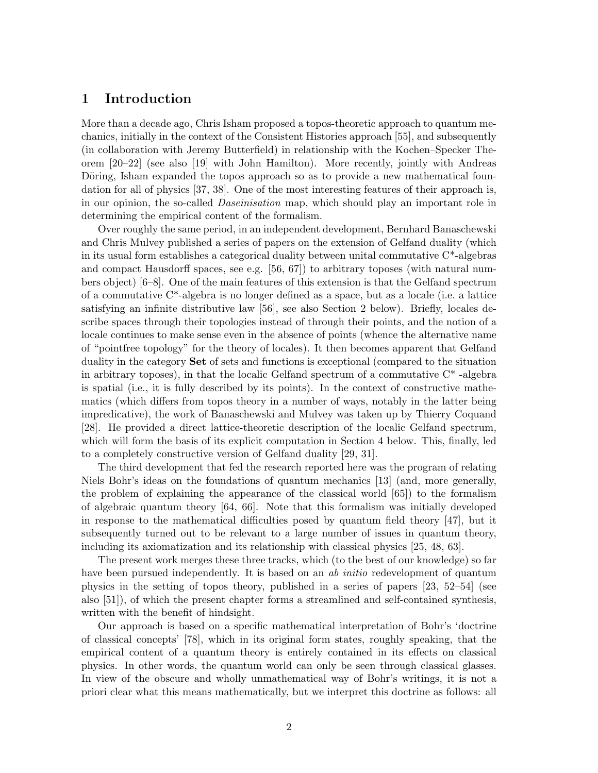## 1 Introduction

More than a decade ago, Chris Isham proposed a topos-theoretic approach to quantum mechanics, initially in the context of the Consistent Histories approach [55], and subsequently (in collaboration with Jeremy Butterfield) in relationship with the Kochen–Specker Theorem [20–22] (see also [19] with John Hamilton). More recently, jointly with Andreas Döring, Isham expanded the topos approach so as to provide a new mathematical foundation for all of physics [37, 38]. One of the most interesting features of their approach is, in our opinion, the so-called *Daseinisation* map, which should play an important role in determining the empirical content of the formalism.

Over roughly the same period, in an independent development, Bernhard Banaschewski and Chris Mulvey published a series of papers on the extension of Gelfand duality (which in its usual form establishes a categorical duality between unital commutative C\*-algebras and compact Hausdorff spaces, see e.g. [56, 67]) to arbitrary toposes (with natural numbers object) [6–8]. One of the main features of this extension is that the Gelfand spectrum of a commutative C\*-algebra is no longer defined as a space, but as a locale (i.e. a lattice satisfying an infinite distributive law [56], see also Section 2 below). Briefly, locales describe spaces through their topologies instead of through their points, and the notion of a locale continues to make sense even in the absence of points (whence the alternative name of "pointfree topology" for the theory of locales). It then becomes apparent that Gelfand duality in the category Set of sets and functions is exceptional (compared to the situation in arbitrary toposes), in that the localic Gelfand spectrum of a commutative  $C^*$ -algebra is spatial (i.e., it is fully described by its points). In the context of constructive mathematics (which differs from topos theory in a number of ways, notably in the latter being impredicative), the work of Banaschewski and Mulvey was taken up by Thierry Coquand [28]. He provided a direct lattice-theoretic description of the localic Gelfand spectrum, which will form the basis of its explicit computation in Section 4 below. This, finally, led to a completely constructive version of Gelfand duality [29, 31].

The third development that fed the research reported here was the program of relating Niels Bohr's ideas on the foundations of quantum mechanics [13] (and, more generally, the problem of explaining the appearance of the classical world [65]) to the formalism of algebraic quantum theory [64, 66]. Note that this formalism was initially developed in response to the mathematical difficulties posed by quantum field theory [47], but it subsequently turned out to be relevant to a large number of issues in quantum theory, including its axiomatization and its relationship with classical physics [25, 48, 63].

The present work merges these three tracks, which (to the best of our knowledge) so far have been pursued independently. It is based on an *ab initio* redevelopment of quantum physics in the setting of topos theory, published in a series of papers [23, 52–54] (see also [51]), of which the present chapter forms a streamlined and self-contained synthesis, written with the benefit of hindsight.

Our approach is based on a specific mathematical interpretation of Bohr's 'doctrine of classical concepts' [78], which in its original form states, roughly speaking, that the empirical content of a quantum theory is entirely contained in its effects on classical physics. In other words, the quantum world can only be seen through classical glasses. In view of the obscure and wholly unmathematical way of Bohr's writings, it is not a priori clear what this means mathematically, but we interpret this doctrine as follows: all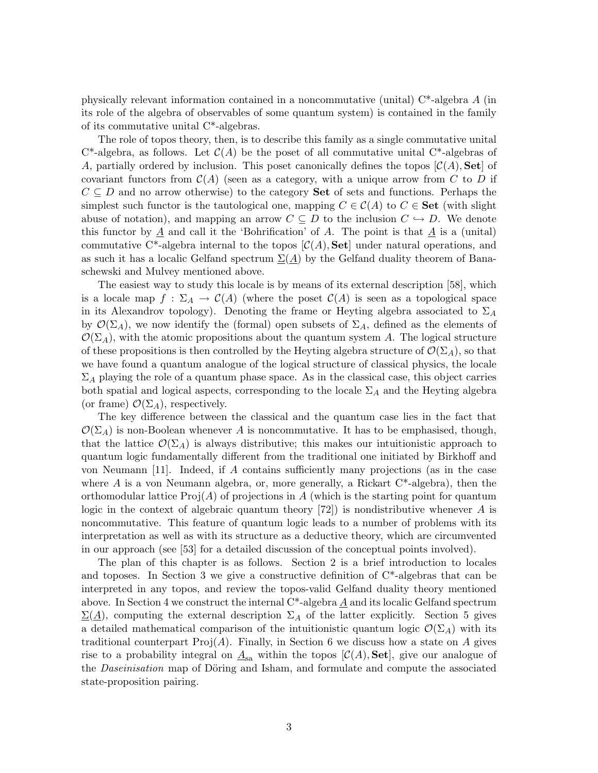physically relevant information contained in a noncommutative (unital)  $C^*$ -algebra A (in its role of the algebra of observables of some quantum system) is contained in the family of its commutative unital C\*-algebras.

The role of topos theory, then, is to describe this family as a single commutative unital  $C^*$ -algebra, as follows. Let  $C(A)$  be the poset of all commutative unital  $C^*$ -algebras of A, partially ordered by inclusion. This poset canonically defines the topos  $[\mathcal{C}(A), \mathbf{Set}]$  of covariant functors from  $\mathcal{C}(A)$  (seen as a category, with a unique arrow from C to D if  $C \subseteq D$  and no arrow otherwise) to the category **Set** of sets and functions. Perhaps the simplest such functor is the tautological one, mapping  $C \in \mathcal{C}(A)$  to  $C \in$  **Set** (with slight abuse of notation), and mapping an arrow  $C \subseteq D$  to the inclusion  $C \hookrightarrow D$ . We denote this functor by  $\underline{A}$  and call it the 'Bohrification' of A. The point is that  $\underline{A}$  is a (unital) commutative C<sup>\*</sup>-algebra internal to the topos  $[\mathcal{C}(A), \mathbf{Set}]$  under natural operations, and as such it has a localic Gelfand spectrum  $\Sigma(A)$  by the Gelfand duality theorem of Banaschewski and Mulvey mentioned above.

The easiest way to study this locale is by means of its external description [58], which is a locale map  $f : \Sigma_A \to C(A)$  (where the poset  $C(A)$  is seen as a topological space in its Alexandrov topology). Denoting the frame or Heyting algebra associated to  $\Sigma_A$ by  $\mathcal{O}(\Sigma_A)$ , we now identify the (formal) open subsets of  $\Sigma_A$ , defined as the elements of  $\mathcal{O}(\Sigma_A)$ , with the atomic propositions about the quantum system A. The logical structure of these propositions is then controlled by the Heyting algebra structure of  $\mathcal{O}(\Sigma_A)$ , so that we have found a quantum analogue of the logical structure of classical physics, the locale  $\Sigma_A$  playing the role of a quantum phase space. As in the classical case, this object carries both spatial and logical aspects, corresponding to the locale  $\Sigma_A$  and the Heyting algebra (or frame)  $\mathcal{O}(\Sigma_A)$ , respectively.

The key difference between the classical and the quantum case lies in the fact that  $\mathcal{O}(\Sigma_A)$  is non-Boolean whenever A is noncommutative. It has to be emphasised, though, that the lattice  $\mathcal{O}(\Sigma_A)$  is always distributive; this makes our intuitionistic approach to quantum logic fundamentally different from the traditional one initiated by Birkhoff and von Neumann [11]. Indeed, if A contains sufficiently many projections (as in the case where A is a von Neumann algebra, or, more generally, a Rickart  $C^*$ -algebra), then the orthomodular lattice  $\text{Proj}(A)$  of projections in A (which is the starting point for quantum logic in the context of algebraic quantum theory  $[72]$ ) is nondistributive whenever A is noncommutative. This feature of quantum logic leads to a number of problems with its interpretation as well as with its structure as a deductive theory, which are circumvented in our approach (see [53] for a detailed discussion of the conceptual points involved).

The plan of this chapter is as follows. Section 2 is a brief introduction to locales and toposes. In Section 3 we give a constructive definition of  $C^*$ -algebras that can be interpreted in any topos, and review the topos-valid Gelfand duality theory mentioned above. In Section 4 we construct the internal C\*-algebra A and its localic Gelfand spectrum  $\Sigma(\underline{A})$ , computing the external description  $\Sigma_A$  of the latter explicitly. Section 5 gives a detailed mathematical comparison of the intuitionistic quantum logic  $\mathcal{O}(\Sigma_A)$  with its traditional counterpart  $\text{Proj}(A)$ . Finally, in Section 6 we discuss how a state on A gives rise to a probability integral on  $\underline{A}_{sa}$  within the topos  $[\mathcal{C}(A), \mathbf{Set}]$ , give our analogue of the *Daseinisation* map of Döring and Isham, and formulate and compute the associated state-proposition pairing.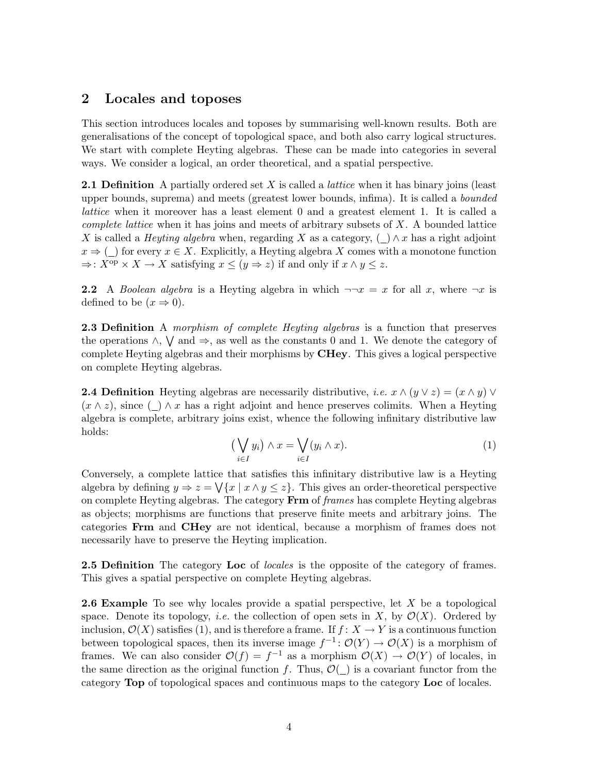# 2 Locales and toposes

This section introduces locales and toposes by summarising well-known results. Both are generalisations of the concept of topological space, and both also carry logical structures. We start with complete Heyting algebras. These can be made into categories in several ways. We consider a logical, an order theoretical, and a spatial perspective.

**2.1 Definition** A partially ordered set X is called a *lattice* when it has binary joins (least upper bounds, suprema) and meets (greatest lower bounds, infima). It is called a *bounded* lattice when it moreover has a least element 0 and a greatest element 1. It is called a complete lattice when it has joins and meets of arbitrary subsets of  $X$ . A bounded lattice X is called a *Heyting algebra* when, regarding X as a category,  $(\_) \wedge x$  has a right adjoint  $x \Rightarrow$  ( ) for every  $x \in X$ . Explicitly, a Heyting algebra X comes with a monotone function  $\Rightarrow$ :  $X^{op} \times X \to X$  satisfying  $x \leq (y \Rightarrow z)$  if and only if  $x \wedge y \leq z$ .

**2.2** A Boolean algebra is a Heyting algebra in which  $\neg\neg x = x$  for all x, where  $\neg x$  is defined to be  $(x \Rightarrow 0)$ .

**2.3 Definition** A morphism of complete Heyting algebras is a function that preserves the operations  $\wedge$ ,  $\vee$  and  $\Rightarrow$ , as well as the constants 0 and 1. We denote the category of complete Heyting algebras and their morphisms by CHey. This gives a logical perspective on complete Heyting algebras.

**2.4 Definition** Heyting algebras are necessarily distributive, *i.e.*  $x \wedge (y \vee z) = (x \wedge y) \vee (y \vee z)$  $(x \wedge z)$ , since ()  $\wedge x$  has a right adjoint and hence preserves colimits. When a Heyting algebra is complete, arbitrary joins exist, whence the following infinitary distributive law holds:

$$
\left(\bigvee_{i\in I} y_i\right) \wedge x = \bigvee_{i\in I} (y_i \wedge x). \tag{1}
$$

Conversely, a complete lattice that satisfies this infinitary distributive law is a Heyting algebra by defining  $y \Rightarrow z = \sqrt{x | x \wedge y \leq z}$ . This gives an order-theoretical perspective on complete Heyting algebras. The category Frm of frames has complete Heyting algebras as objects; morphisms are functions that preserve finite meets and arbitrary joins. The categories Frm and CHey are not identical, because a morphism of frames does not necessarily have to preserve the Heyting implication.

**2.5 Definition** The category Loc of *locales* is the opposite of the category of frames. This gives a spatial perspective on complete Heyting algebras.

**2.6 Example** To see why locales provide a spatial perspective, let  $X$  be a topological space. Denote its topology, *i.e.* the collection of open sets in X, by  $\mathcal{O}(X)$ . Ordered by inclusion,  $\mathcal{O}(X)$  satisfies (1), and is therefore a frame. If  $f: X \to Y$  is a continuous function between topological spaces, then its inverse image  $f^{-1}$ :  $\mathcal{O}(Y) \to \mathcal{O}(X)$  is a morphism of frames. We can also consider  $\mathcal{O}(f) = f^{-1}$  as a morphism  $\mathcal{O}(X) \to \mathcal{O}(Y)$  of locales, in the same direction as the original function f. Thus,  $\mathcal{O}(\_)$  is a covariant functor from the category Top of topological spaces and continuous maps to the category Loc of locales.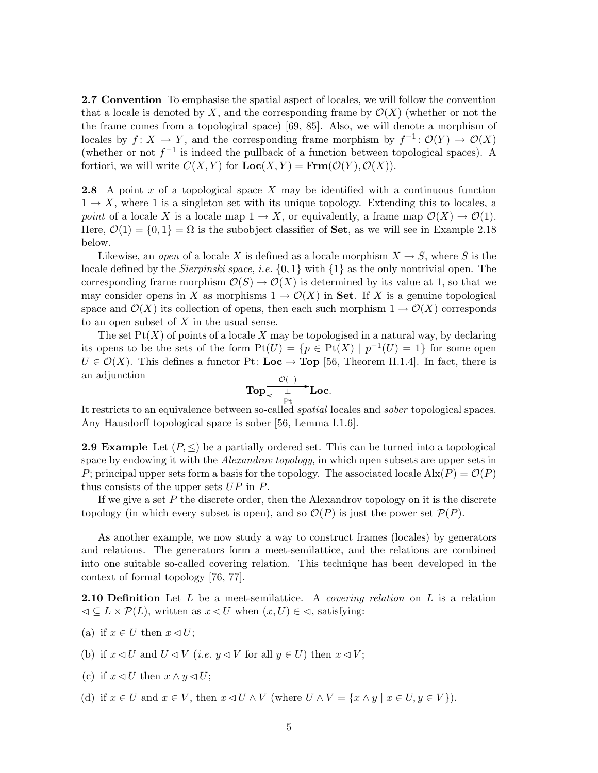2.7 Convention To emphasise the spatial aspect of locales, we will follow the convention that a locale is denoted by X, and the corresponding frame by  $\mathcal{O}(X)$  (whether or not the the frame comes from a topological space) [69, 85]. Also, we will denote a morphism of locales by  $f: X \to Y$ , and the corresponding frame morphism by  $f^{-1}: \mathcal{O}(Y) \to \mathcal{O}(X)$ (whether or not  $f^{-1}$  is indeed the pullback of a function between topological spaces). A fortiori, we will write  $C(X, Y)$  for  $Loc(X, Y) = \text{Frm}(\mathcal{O}(Y), \mathcal{O}(X)).$ 

**2.8** A point x of a topological space X may be identified with a continuous function  $1 \rightarrow X$ , where 1 is a singleton set with its unique topology. Extending this to locales, a point of a locale X is a locale map  $1 \to X$ , or equivalently, a frame map  $\mathcal{O}(X) \to \mathcal{O}(1)$ . Here,  $\mathcal{O}(1) = \{0, 1\} = \Omega$  is the subobject classifier of **Set**, as we will see in Example 2.18 below.

Likewise, an open of a locale X is defined as a locale morphism  $X \to S$ , where S is the locale defined by the *Sierpinski space*, *i.e.*  $\{0, 1\}$  with  $\{1\}$  as the only nontrivial open. The corresponding frame morphism  $\mathcal{O}(S) \to \mathcal{O}(X)$  is determined by its value at 1, so that we may consider opens in X as morphisms  $1 \to \mathcal{O}(X)$  in Set. If X is a genuine topological space and  $\mathcal{O}(X)$  its collection of opens, then each such morphism  $1 \to \mathcal{O}(X)$  corresponds to an open subset of  $X$  in the usual sense.

The set  $Pt(X)$  of points of a locale X may be topologised in a natural way, by declaring its opens to be the sets of the form  $Pt(U) = \{p \in Pt(X) \mid p^{-1}(U) = 1\}$  for some open  $U \in \mathcal{O}(X)$ . This defines a functor Pt: **Loc**  $\rightarrow$  **Top** [56, Theorem II.1.4]. In fact, there is an adjunction

$$
\mathbf{Top} \xrightarrow[\text{Pt}]{\mathcal{O}(a)} \mathbf{Loc}.
$$

Pt It restricts to an equivalence between so-called spatial locales and sober topological spaces. Any Hausdorff topological space is sober [56, Lemma I.1.6].

**2.9 Example** Let  $(P, \leq)$  be a partially ordered set. This can be turned into a topological space by endowing it with the *Alexandrov topology*, in which open subsets are upper sets in P; principal upper sets form a basis for the topology. The associated locale  $\text{Alx}(P) = \mathcal{O}(P)$ thus consists of the upper sets  $UP$  in  $P$ .

If we give a set  $P$  the discrete order, then the Alexandrov topology on it is the discrete topology (in which every subset is open), and so  $\mathcal{O}(P)$  is just the power set  $\mathcal{P}(P)$ .

As another example, we now study a way to construct frames (locales) by generators and relations. The generators form a meet-semilattice, and the relations are combined into one suitable so-called covering relation. This technique has been developed in the context of formal topology [76, 77].

**2.10 Definition** Let L be a meet-semilattice. A *covering relation* on L is a relation  $\mathcal{L} \subseteq L \times \mathcal{P}(L)$ , written as  $x \triangleleft U$  when  $(x, U) \in \mathcal{L}$ , satisfying:

- (a) if  $x \in U$  then  $x \triangleleft U$ ;
- (b) if  $x \triangleleft U$  and  $U \triangleleft V$  (*i.e.*  $y \triangleleft V$  for all  $y \in U$ ) then  $x \triangleleft V$ ;
- (c) if  $x \triangleleft U$  then  $x \wedge y \triangleleft U$ ;
- (d) if  $x \in U$  and  $x \in V$ , then  $x \triangleleft U \wedge V$  (where  $U \wedge V = \{x \wedge y \mid x \in U, y \in V\}$ ).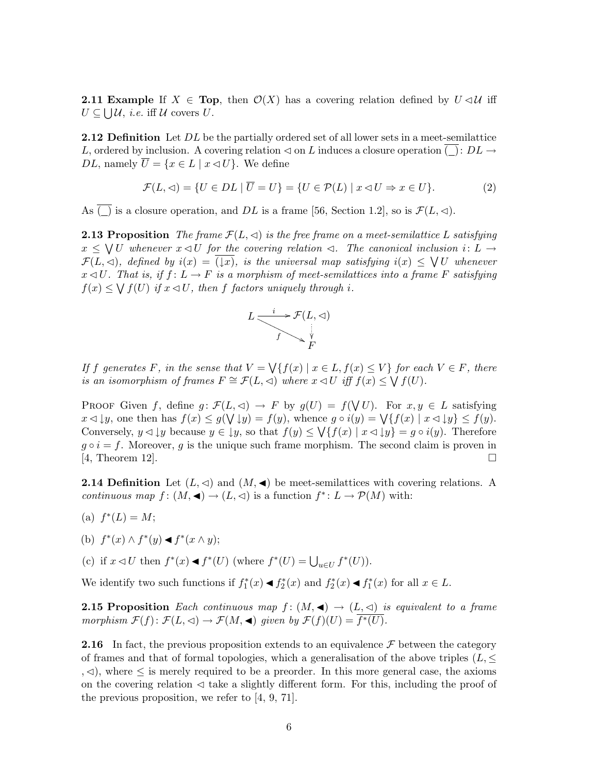**2.11 Example** If  $X \in Top$ , then  $\mathcal{O}(X)$  has a covering relation defined by  $U \triangleleft U$  iff  $U \subseteq \bigcup \mathcal{U}, i.e.$  iff  $\mathcal{U}$  covers  $U$ .

**2.12 Definition** Let DL be the partially ordered set of all lower sets in a meet-semilattice L, ordered by inclusion. A covering relation  $\triangleleft$  on L induces a closure operation  $\overline{(\ )}$ :  $DL \rightarrow$ DL, namely  $\overline{U} = \{x \in L \mid x \triangleleft U\}$ . We define

$$
\mathcal{F}(L, \lhd) = \{ U \in DL \mid \overline{U} = U \} = \{ U \in \mathcal{P}(L) \mid x \lhd U \Rightarrow x \in U \}. \tag{2}
$$

As  $\overline{(.)}$  is a closure operation, and DL is a frame [56, Section 1.2], so is  $\mathcal{F}(L, \triangleleft)$ .

**2.13 Proposition** The frame  $\mathcal{F}(L, \leq)$  is the free frame on a meet-semilattice L satisfying  $x \leq \bigvee U$  whenever  $x \triangleleft U$  for the covering relation  $\triangleleft$ . The canonical inclusion  $i: L \rightarrow$  $\mathcal{F}(L,\lhd)$ , defined by  $i(x) = \overline{(\lvert x \rvert)}$ , is the universal map satisfying  $i(x) \leq \bigvee U$  whenever  $x \triangleleft U$ . That is, if  $f: L \to F$  is a morphism of meet-semilattices into a frame F satisfying  $f(x) \leq \bigvee f(U)$  if  $x \triangleleft U$ , then f factors uniquely through i.



If f generates F, in the sense that  $V = \bigvee \{f(x) | x \in L, f(x) \leq V\}$  for each  $V \in F$ , there is an isomorphism of frames  $F \cong \mathcal{F}(L, \triangleleft)$  where  $x \triangleleft U$  iff  $f(x) \leq \bigvee f(U)$ .

PROOF Given f, define  $g: \mathcal{F}(L, \leq) \to F$  by  $g(U) = f(\bigvee U)$ . For  $x, y \in L$  satisfying  $x \triangleleft \downarrow y$ , one then has  $f(x) \leq g(\bigvee \downarrow y) = f(y)$ , whence  $g \circ i(y) = \bigvee \{f(x) \mid x \triangleleft \downarrow y\} \leq f(y)$ . Conversely,  $y \triangleleft \downarrow y$  because  $y \in \downarrow y$ , so that  $f(y) \leq \bigvee \{f(x) \mid x \triangleleft \downarrow y\} = g \circ i(y)$ . Therefore  $g \circ i = f$ . Moreover, g is the unique such frame morphism. The second claim is proven in  $[4,$  Theorem 12.

**2.14 Definition** Let  $(L, \triangleleft)$  and  $(M, \triangleleft)$  be meet-semilattices with covering relations. A continuous map  $f : (M, \triangleleft) \to (L, \triangleleft)$  is a function  $f^* : L \to \mathcal{P}(M)$  with:

- (a)  $f^*(L) = M;$
- (b)  $f^*(x) \wedge f^*(y) \triangleleft f^*(x \wedge y);$
- (c) if  $x \triangleleft U$  then  $f^*(x) \triangleleft f^*(U)$  (where  $f^*(U) = \bigcup_{u \in U} f^*(U)$ ).

We identify two such functions if  $f_1^*(x) \triangleleft f_2^*(x)$  and  $f_2^*(x) \triangleleft f_1^*(x)$  for all  $x \in L$ .

**2.15 Proposition** Each continuous map  $f : (M, \blacktriangleleft) \rightarrow (L, \triangleleft)$  is equivalent to a frame morphism  $\mathcal{F}(f) \colon \mathcal{F}(L, \triangleleft) \to \mathcal{F}(M, \triangleleft)$  given by  $\mathcal{F}(f)(U) = \overline{f^*(U)}$ .

**2.16** In fact, the previous proposition extends to an equivalence  $\mathcal F$  between the category of frames and that of formal topologies, which a generalisation of the above triples  $(L, \leq)$ ,  $\leq$ ), where ≤ is merely required to be a preorder. In this more general case, the axioms on the covering relation  $\leq$  take a slightly different form. For this, including the proof of the previous proposition, we refer to [4, 9, 71].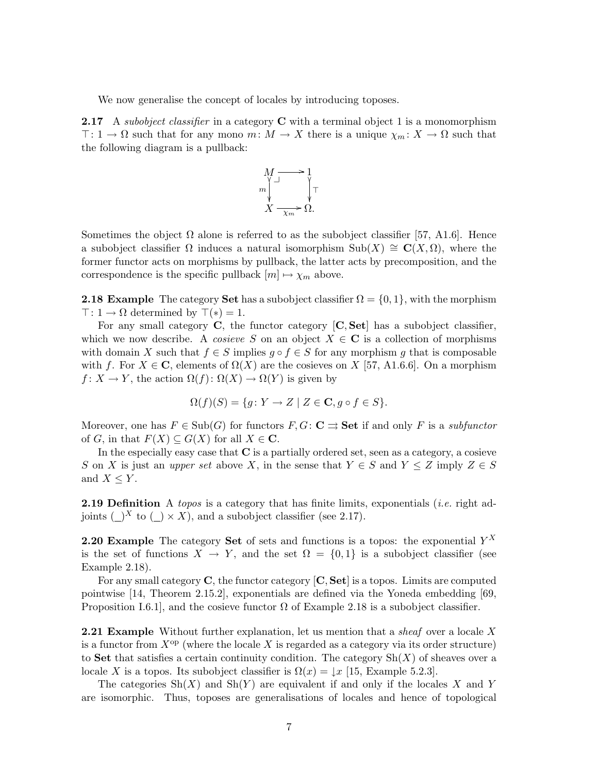We now generalise the concept of locales by introducing toposes.

**2.17** A subobject classifier in a category  $C$  with a terminal object 1 is a monomorphism  $\top: 1 \to \Omega$  such that for any mono  $m: M \to X$  there is a unique  $\chi_m: X \to \Omega$  such that the following diagram is a pullback:



Sometimes the object  $\Omega$  alone is referred to as the subobject classifier [57, A1.6]. Hence a subobject classifier  $\Omega$  induces a natural isomorphism Sub(X)  $\cong \mathbf{C}(X,\Omega)$ , where the former functor acts on morphisms by pullback, the latter acts by precomposition, and the correspondence is the specific pullback  $[m] \mapsto \chi_m$  above.

**2.18 Example** The category Set has a subobject classifier  $\Omega = \{0, 1\}$ , with the morphism  $\top: 1 \to \Omega$  determined by  $\top(*) = 1$ .

For any small category  $\bf{C}$ , the functor category  $\bf{C}, \bf{Set}$  has a subobject classifier, which we now describe. A cosieve S on an object  $X \in \mathbf{C}$  is a collection of morphisms with domain X such that  $f \in S$  implies  $g \circ f \in S$  for any morphism g that is composable with f. For  $X \in \mathbb{C}$ , elements of  $\Omega(X)$  are the cosieves on X [57, A1.6.6]. On a morphism  $f: X \to Y$ , the action  $\Omega(f): \Omega(X) \to \Omega(Y)$  is given by

$$
\Omega(f)(S) = \{ g \colon Y \to Z \mid Z \in \mathbf{C}, g \circ f \in S \}.
$$

Moreover, one has  $F \in Sub(G)$  for functors  $F, G \colon \mathbf{C} \rightrightarrows \mathbf{Set}$  if and only F is a subfunctor of G, in that  $F(X) \subseteq G(X)$  for all  $X \in \mathbb{C}$ .

In the especially easy case that  $C$  is a partially ordered set, seen as a category, a cosieve S on X is just an *upper set* above X, in the sense that  $Y \in S$  and  $Y \leq Z$  imply  $Z \in S$ and  $X \leq Y$ .

**2.19 Definition** A topos is a category that has finite limits, exponentials (*i.e.* right adjoints  $(\_)^X$  to  $(\_) \times X)$ , and a subobject classifier (see 2.17).

**2.20 Example** The category **Set** of sets and functions is a topos: the exponential  $Y^X$ is the set of functions  $X \to Y$ , and the set  $\Omega = \{0,1\}$  is a subobject classifier (see Example 2.18).

For any small category C, the functor category  $[C, Set]$  is a topos. Limits are computed pointwise [14, Theorem 2.15.2], exponentials are defined via the Yoneda embedding [69, Proposition I.6.1, and the cosieve functor  $\Omega$  of Example 2.18 is a subobject classifier.

**2.21 Example** Without further explanation, let us mention that a *sheaf* over a locale X is a functor from  $X^{op}$  (where the locale X is regarded as a category via its order structure) to Set that satisfies a certain continuity condition. The category  $\text{Sh}(X)$  of sheaves over a locale X is a topos. Its subobject classifier is  $\Omega(x) = \lfloor x \rfloor$  [15, Example 5.2.3].

The categories  $\text{Sh}(X)$  and  $\text{Sh}(Y)$  are equivalent if and only if the locales X and Y are isomorphic. Thus, toposes are generalisations of locales and hence of topological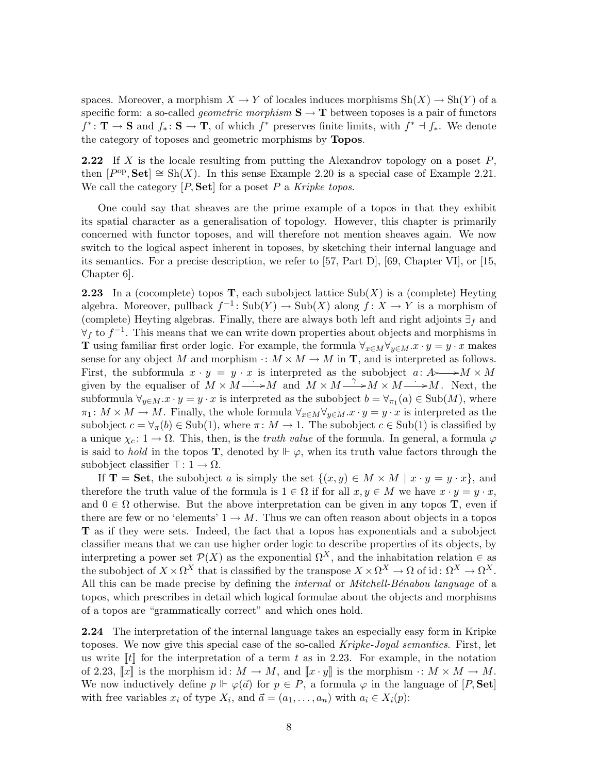spaces. Moreover, a morphism  $X \to Y$  of locales induces morphisms  $\text{Sh}(X) \to \text{Sh}(Y)$  of a specific form: a so-called *geometric morphism*  $S \to T$  between toposes is a pair of functors  $f^* : \mathbf{T} \to \mathbf{S}$  and  $f_* : \mathbf{S} \to \mathbf{T}$ , of which  $f^*$  preserves finite limits, with  $f^* \dashv f_*$ . We denote the category of toposes and geometric morphisms by Topos.

**2.22** If X is the locale resulting from putting the Alexandrov topology on a poset  $P$ , then  $[P^{op}, \textbf{Set}] \cong \text{Sh}(X)$ . In this sense Example 2.20 is a special case of Example 2.21. We call the category  $[P, \textbf{Set}]$  for a poset P a Kripke topos.

One could say that sheaves are the prime example of a topos in that they exhibit its spatial character as a generalisation of topology. However, this chapter is primarily concerned with functor toposes, and will therefore not mention sheaves again. We now switch to the logical aspect inherent in toposes, by sketching their internal language and its semantics. For a precise description, we refer to [57, Part D], [69, Chapter VI], or [15, Chapter 6].

**2.23** In a (cocomplete) topos **T**, each subobject lattice  $\text{Sub}(X)$  is a (complete) Heyting algebra. Moreover, pullback  $f^{-1}$ : Sub $(Y) \to Sub(X)$  along  $f: X \to Y$  is a morphism of (complete) Heyting algebras. Finally, there are always both left and right adjoints  $\exists_f$  and  $\forall f$  to  $f^{-1}$ . This means that we can write down properties about objects and morphisms in **T** using familiar first order logic. For example, the formula  $\forall_{x \in M} \forall_{y \in M} . x \cdot y = y \cdot x$  makes sense for any object M and morphism  $\cdot: M \times M \to M$  in **T**, and is interpreted as follows. First, the subformula  $x \cdot y = y \cdot x$  is interpreted as the subobject  $a: A \rightarrow M \times M$ given by the equaliser of  $M \times M \longrightarrow M$  and  $M \times M \longrightarrow M \times M \longrightarrow M$ . Next, the subformula  $\forall_{y\in M} . x \cdot y = y \cdot x$  is interpreted as the subobject  $b = \forall_{\pi_1}(a) \in Sub(M)$ , where  $\pi_1: M \times M \to M$ . Finally, the whole formula  $\forall_{x \in M} \forall_{y \in M} x \cdot y = y \cdot x$  is interpreted as the subobject  $c = \forall_{\pi}(b) \in Sub(1)$ , where  $\pi \colon M \to 1$ . The subobject  $c \in Sub(1)$  is classified by a unique  $\chi_c: 1 \to \Omega$ . This, then, is the *truth value* of the formula. In general, a formula  $\varphi$ is said to *hold* in the topos **T**, denoted by  $\Vdash \varphi$ , when its truth value factors through the subobject classifier  $\top: 1 \to \Omega$ .

If **T** = Set, the subobject a is simply the set  $\{(x, y) \in M \times M \mid x \cdot y = y \cdot x\}$ , and therefore the truth value of the formula is  $1 \in \Omega$  if for all  $x, y \in M$  we have  $x \cdot y = y \cdot x$ , and  $0 \in \Omega$  otherwise. But the above interpretation can be given in any topos **T**, even if there are few or no 'elements'  $1 \rightarrow M$ . Thus we can often reason about objects in a topos T as if they were sets. Indeed, the fact that a topos has exponentials and a subobject classifier means that we can use higher order logic to describe properties of its objects, by interpreting a power set  $\mathcal{P}(X)$  as the exponential  $\Omega^X$ , and the inhabitation relation  $\in$  as the subobject of  $X \times \Omega^X$  that is classified by the transpose  $X \times \Omega^X \to \Omega$  of id:  $\Omega^X \to \Omega^X$ . All this can be made precise by defining the *internal* or *Mitchell-Bénabou language* of a topos, which prescribes in detail which logical formulae about the objects and morphisms of a topos are "grammatically correct" and which ones hold.

2.24 The interpretation of the internal language takes an especially easy form in Kripke toposes. We now give this special case of the so-called Kripke-Joyal semantics. First, let us write  $\|t\|$  for the interpretation of a term t as in 2.23. For example, in the notation of 2.23,  $\llbracket x \rrbracket$  is the morphism id:  $M \to M$ , and  $\llbracket x \cdot y \rrbracket$  is the morphism  $\cdot: M \times M \to M$ . We now inductively define  $p \Vdash \varphi(\vec{a})$  for  $p \in P$ , a formula  $\varphi$  in the language of  $[P, \textbf{Set}]$ with free variables  $x_i$  of type  $X_i$ , and  $\vec{a} = (a_1, \ldots, a_n)$  with  $a_i \in X_i(p)$ :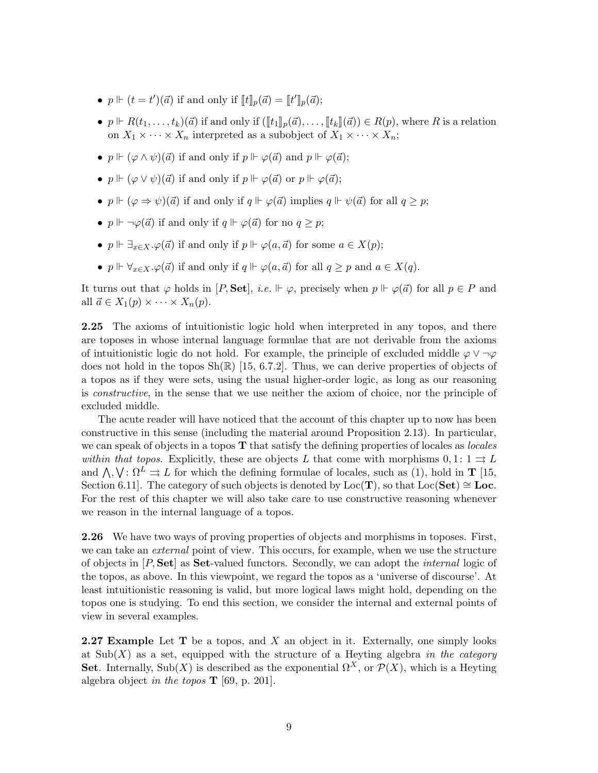- $p \Vdash (t = t')(\vec{a})$  if and only if  $[\![t]\!]_p(\vec{a}) = [\![t']\!]_p(\vec{a})$ ;
- $p \Vdash R(t_1,\ldots,t_k)(\vec{a})$  if and only if  $(\llbracket t_1 \rrbracket_p(\vec{a}),\ldots,\llbracket t_k \rrbracket(\vec{a})) \in R(p)$ , where R is a relation on  $X_1 \times \cdots \times X_n$  interpreted as a subobject of  $X_1 \times \cdots \times X_n$ ;
- $p \Vdash (\varphi \land \psi)(\vec{a})$  if and only if  $p \Vdash \varphi(\vec{a})$  and  $p \Vdash \varphi(\vec{a})$ ;
- $p \Vdash (\varphi \lor \psi)(\vec{a})$  if and only if  $p \Vdash \varphi(\vec{a})$  or  $p \Vdash \varphi(\vec{a})$ ;
- $p \Vdash (\varphi \Rightarrow \psi)(\vec{a})$  if and only if  $q \Vdash \varphi(\vec{a})$  implies  $q \Vdash \psi(\vec{a})$  for all  $q \geq p$ ;
- $p \Vdash \neg \varphi(\vec{a})$  if and only if  $q \Vdash \varphi(\vec{a})$  for no  $q \geq p$ ;
- $p \Vdash \exists_{x \in X} . \varphi(\vec{a})$  if and only if  $p \Vdash \varphi(a, \vec{a})$  for some  $a \in X(p)$ ;
- $p \Vdash \forall_{x \in X} . \varphi(\vec{a})$  if and only if  $q \Vdash \varphi(a, \vec{a})$  for all  $q \geq p$  and  $a \in X(q)$ .

It turns out that  $\varphi$  holds in [P, Set], *i.e.*  $\Vdash \varphi$ , precisely when  $p \Vdash \varphi(\vec{a})$  for all  $p \in P$  and all  $\vec{a} \in X_1(p) \times \cdots \times X_n(p)$ .

2.25 The axioms of intuitionistic logic hold when interpreted in any topos, and there are toposes in whose internal language formulae that are not derivable from the axioms of intuitionistic logic do not hold. For example, the principle of excluded middle  $\varphi \vee \neg \varphi$ does not hold in the topos  $\text{Sh}(\mathbb{R})$  [15, 6.7.2]. Thus, we can derive properties of objects of a topos as if they were sets, using the usual higher-order logic, as long as our reasoning is constructive, in the sense that we use neither the axiom of choice, nor the principle of excluded middle.

The acute reader will have noticed that the account of this chapter up to now has been constructive in this sense (including the material around Proposition 2.13). In particular, we can speak of objects in a topos  $\bf{T}$  that satisfy the defining properties of locales as *locales* within that topos. Explicitly, these are objects L that come with morphisms  $0, 1: 1 \rightrightarrows L$ and  $\bigwedge$ ,  $\bigvee$ :  $\Omega^L \rightrightarrows L$  for which the defining formulae of locales, such as (1), hold in **T** [15, Section 6.11]. The category of such objects is denoted by  $Loc(T)$ , so that  $Loc(Set) \cong Loc$ . For the rest of this chapter we will also take care to use constructive reasoning whenever we reason in the internal language of a topos.

2.26 We have two ways of proving properties of objects and morphisms in toposes. First, we can take an external point of view. This occurs, for example, when we use the structure of objects in  $[P, Set]$  as **Set**-valued functors. Secondly, we can adopt the *internal* logic of the topos, as above. In this viewpoint, we regard the topos as a 'universe of discourse'. At least intuitionistic reasoning is valid, but more logical laws might hold, depending on the topos one is studying. To end this section, we consider the internal and external points of view in several examples.

**2.27 Example** Let  $T$  be a topos, and  $X$  an object in it. Externally, one simply looks at  $\text{Sub}(X)$  as a set, equipped with the structure of a Heyting algebra in the category Set. Internally, Sub(X) is described as the exponential  $\Omega^X$ , or  $\mathcal{P}(\overline{X})$ , which is a Heyting algebra object in the topos  $\mathbf T$  [69, p. 201].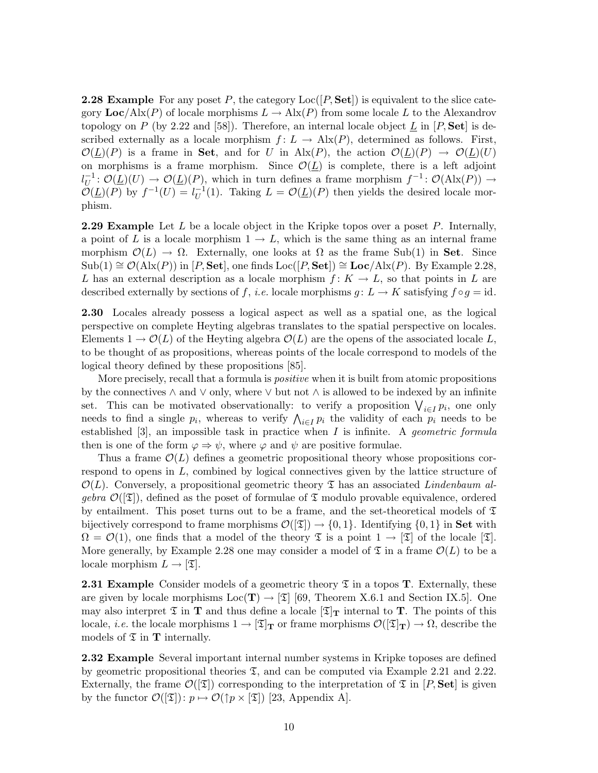**2.28 Example** For any poset P, the category  $Loc([P, Set])$  is equivalent to the slice category  $Loc/Alx(P)$  of locale morphisms  $L \to Alx(P)$  from some locale L to the Alexandrov topology on P (by 2.22 and [58]). Therefore, an internal locale object  $L$  in  $[P, Set]$  is described externally as a locale morphism  $f: L \to \text{Alx}(P)$ , determined as follows. First,  $\mathcal{O}(L)(P)$  is a frame in Set, and for U in Alx(P), the action  $\mathcal{O}(L)(P) \to \mathcal{O}(L)(U)$ on morphisms is a frame morphism. Since  $\mathcal{O}(\underline{L})$  is complete, there is a left adjoint  $l_{II}^{-1}$  $U^{-1}: \mathcal{O}(\underline{L})(U) \to \mathcal{O}(\underline{L})(P)$ , which in turn defines a frame morphism  $f^{-1}: \mathcal{O}(\text{Alx}(P)) \to$  $\mathcal{O}(\underline{L})(P)$  by  $f^{-1}(U) = l_{U}^{-1}$  $U^{-1}(1)$ . Taking  $L = \mathcal{O}(\underline{L})(P)$  then yields the desired locale morphism.

**2.29 Example** Let  $L$  be a locale object in the Kripke topos over a poset  $P$ . Internally, a point of L is a locale morphism  $1 \rightarrow L$ , which is the same thing as an internal frame morphism  $\mathcal{O}(L) \to \Omega$ . Externally, one looks at  $\Omega$  as the frame Sub(1) in Set. Since  $\text{Sub}(1) \cong \mathcal{O}(\text{Alx}(P))$  in [P, Set], one finds Loc([P, Set])  $\cong$  Loc/Alx(P). By Example 2.28, L has an external description as a locale morphism  $f: K \to L$ , so that points in L are described externally by sections of f, i.e. locale morphisms  $g: L \to K$  satisfying  $f \circ g = id$ .

2.30 Locales already possess a logical aspect as well as a spatial one, as the logical perspective on complete Heyting algebras translates to the spatial perspective on locales. Elements  $1 \to \mathcal{O}(L)$  of the Heyting algebra  $\mathcal{O}(L)$  are the opens of the associated locale L, to be thought of as propositions, whereas points of the locale correspond to models of the logical theory defined by these propositions [85].

More precisely, recall that a formula is positive when it is built from atomic propositions by the connectives  $\land$  and  $\lor$  only, where  $\lor$  but not  $\land$  is allowed to be indexed by an infinite set. This can be motivated observationally: to verify a proposition  $\bigvee_{i\in I} p_i$ , one only needs to find a single  $p_i$ , whereas to verify  $\bigwedge_{i\in I} p_i$  the validity of each  $p_i$  needs to be established [3], an impossible task in practice when  $I$  is infinite. A *geometric formula* then is one of the form  $\varphi \Rightarrow \psi$ , where  $\varphi$  and  $\psi$  are positive formulae.

Thus a frame  $\mathcal{O}(L)$  defines a geometric propositional theory whose propositions correspond to opens in L, combined by logical connectives given by the lattice structure of  $\mathcal{O}(L)$ . Conversely, a propositional geometric theory  $\mathfrak T$  has an associated Lindenbaum algebra  $\mathcal{O}(\mathfrak{D})$ , defined as the poset of formulae of  $\mathfrak T$  modulo provable equivalence, ordered by entailment. This poset turns out to be a frame, and the set-theoretical models of  $\mathfrak T$ bijectively correspond to frame morphisms  $\mathcal{O}(\mathfrak{T}) \to \{0,1\}$ . Identifying  $\{0,1\}$  in Set with  $\Omega = \mathcal{O}(1)$ , one finds that a model of the theory  $\mathfrak T$  is a point  $1 \to [\mathfrak T]$  of the locale  $[\mathfrak T]$ . More generally, by Example 2.28 one may consider a model of  $\mathfrak T$  in a frame  $\mathcal O(L)$  to be a locale morphism  $L \to [\mathfrak{T}].$ 

**2.31 Example** Consider models of a geometric theory  $\mathfrak{T}$  in a topos **T**. Externally, these are given by locale morphisms  $Loc(T) \rightarrow [\mathfrak{T}]$  [69, Theorem X.6.1 and Section IX.5]. One may also interpret  $\mathfrak T$  in  $\mathbf T$  and thus define a locale  $[\mathfrak T]_{\mathbf T}$  internal to  $\mathbf T$ . The points of this locale, *i.e.* the locale morphisms  $1 \to [\mathfrak{T}]_{\mathbf{T}}$  or frame morphisms  $\mathcal{O}([\mathfrak{T}]_{\mathbf{T}}) \to \Omega$ , describe the models of  $\mathfrak T$  in  $\mathbf T$  internally.

2.32 Example Several important internal number systems in Kripke toposes are defined by geometric propositional theories  $\mathfrak{T}$ , and can be computed via Example 2.21 and 2.22. Externally, the frame  $\mathcal{O}(|\mathfrak{T}|)$  corresponding to the interpretation of  $\mathfrak{T}$  in  $[P, \mathbf{Set}]$  is given by the functor  $\mathcal{O}([\mathfrak{T}]) : p \mapsto \mathcal{O}(\uparrow p \times [\mathfrak{T}])$  [23, Appendix A].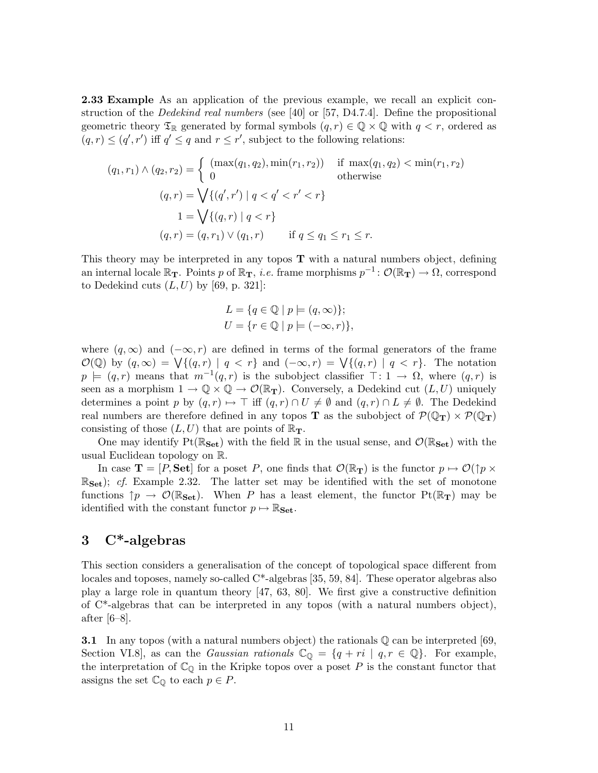2.33 Example As an application of the previous example, we recall an explicit construction of the Dedekind real numbers (see [40] or [57, D4.7.4]. Define the propositional geometric theory  $\mathfrak{T}_{\mathbb{R}}$  generated by formal symbols  $(q, r) \in \mathbb{Q} \times \mathbb{Q}$  with  $q < r$ , ordered as  $(q, r) \leq (q', r')$  iff  $q' \leq q$  and  $r \leq r'$ , subject to the following relations:

$$
(q_1, r_1) \land (q_2, r_2) = \begin{cases} (\max(q_1, q_2), \min(r_1, r_2)) & \text{if } \max(q_1, q_2) < \min(r_1, r_2) \\ 0 & \text{otherwise} \end{cases}
$$

$$
(q, r) = \bigvee \{ (q', r') \mid q < q' < r' < r \}
$$

$$
1 = \bigvee \{ (q, r) \mid q < r \}
$$

$$
(q, r) = (q, r_1) \lor (q_1, r) \quad \text{if } q \le q_1 \le r_1 \le r.
$$

This theory may be interpreted in any topos  $T$  with a natural numbers object, defining an internal locale  $\mathbb{R}_{\textbf{T}}$ . Points p of  $\mathbb{R}_{\textbf{T}}$ , *i.e.* frame morphisms  $p^{-1} \colon \mathcal{O}(\mathbb{R}_{\textbf{T}}) \to \Omega$ , correspond to Dedekind cuts  $(L, U)$  by [69, p. 321]:

$$
L = \{ q \in \mathbb{Q} \mid p \models (q, \infty) \};
$$
  

$$
U = \{ r \in \mathbb{Q} \mid p \models (-\infty, r) \},
$$

where  $(q, \infty)$  and  $(-\infty, r)$  are defined in terms of the formal generators of the frame  $\mathcal{O}(\mathbb{Q})$  by  $(q,\infty) = \bigvee \{(q,r) \mid q < r\}$  and  $(-\infty,r) = \bigvee \{(q,r) \mid q < r\}$ . The notation  $p \models (q, r)$  means that  $m^{-1}(q, r)$  is the subobject classifier  $\top: 1 \rightarrow \Omega$ , where  $(q, r)$  is seen as a morphism  $1 \to \mathbb{Q} \times \mathbb{Q} \to \mathcal{O}(\mathbb{R}_{\mathbf{T}})$ . Conversely, a Dedekind cut  $(L, U)$  uniquely determines a point p by  $(q, r) \mapsto \top$  iff  $(q, r) \cap U \neq \emptyset$  and  $(q, r) \cap L \neq \emptyset$ . The Dedekind real numbers are therefore defined in any topos **T** as the subobject of  $\mathcal{P}(\mathbb{Q}_{\mathbf{T}}) \times \mathcal{P}(\mathbb{Q}_{\mathbf{T}})$ consisting of those  $(L, U)$  that are points of  $\mathbb{R}_{\mathbf{T}}$ .

One may identify  $Pt(\mathbb{R}_{\text{Set}})$  with the field  $\mathbb R$  in the usual sense, and  $\mathcal{O}(\mathbb{R}_{\text{Set}})$  with the usual Euclidean topology on R.

In case  $\mathbf{T} = [P, \mathbf{Set}]$  for a poset P, one finds that  $\mathcal{O}(\mathbb{R}_{\mathbf{T}})$  is the functor  $p \mapsto \mathcal{O}(\uparrow p \times \mathbb{R})$  $\mathbb{R}_{\text{Set}}$ ; cf. Example 2.32. The latter set may be identified with the set of monotone functions  $\uparrow p \to \mathcal{O}(\mathbb{R}_{\text{Set}})$ . When P has a least element, the functor  $Pt(\mathbb{R}_{\text{T}})$  may be identified with the constant functor  $p \mapsto \mathbb{R}_{\mathbf{Set}}$ .

# 3 C\*-algebras

This section considers a generalisation of the concept of topological space different from locales and toposes, namely so-called C\*-algebras [35, 59, 84]. These operator algebras also play a large role in quantum theory [47, 63, 80]. We first give a constructive definition of C\*-algebras that can be interpreted in any topos (with a natural numbers object), after [6–8].

**3.1** In any topos (with a natural numbers object) the rationals  $\mathbb Q$  can be interpreted [69, Section VI.8], as can the *Gaussian rationals*  $\mathbb{C}_{\mathbb{Q}} = \{q + ri \mid q, r \in \mathbb{Q}\}.$  For example, the interpretation of  $\mathbb{C}_{\mathbb{Q}}$  in the Kripke topos over a poset P is the constant functor that assigns the set  $\mathbb{C}_{\mathbb{Q}}$  to each  $p \in P$ .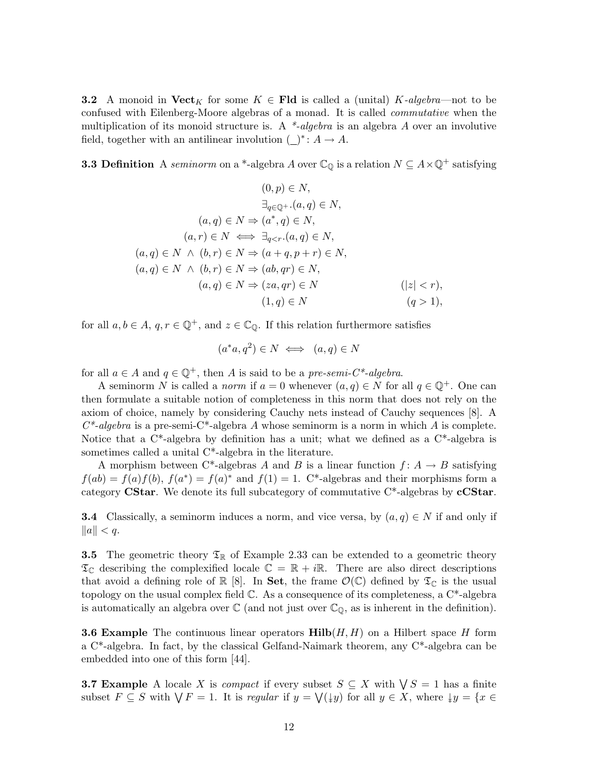**3.2** A monoid in  $\textbf{Vect}_K$  for some  $K \in \textbf{Fld}$  is called a (unital)  $K\text{-}algebra$ —not to be confused with Eilenberg-Moore algebras of a monad. It is called commutative when the multiplication of its monoid structure is. A  $*$ -algebra is an algebra A over an involutive field, together with an antilinear involution  $(\_)^* : A \to A$ .

**3.3 Definition** A seminorm on a \*-algebra A over  $\mathbb{C}_{\mathbb{Q}}$  is a relation  $N \subseteq A \times \mathbb{Q}^+$  satisfying

$$
(0, p) \in N,
$$
  
\n
$$
\exists_{q \in \mathbb{Q}^+} \ldots (a, q) \in N,
$$
  
\n
$$
(a, q) \in N \implies (a^*, q) \in N,
$$
  
\n
$$
(a, r) \in N \iff \exists_{q < r} \ldots (a, q) \in N,
$$
  
\n
$$
(a, q) \in N \land (b, r) \in N \implies (a + q, p + r) \in N,
$$
  
\n
$$
(a, q) \in N \land (b, r) \in N \implies (ab, qr) \in N,
$$
  
\n
$$
(a, q) \in N \implies (za, qr) \in N
$$
  
\n
$$
(1, q) \in N
$$
  
\n
$$
(q > 1),
$$

for all  $a, b \in A$ ,  $q, r \in \mathbb{Q}^+$ , and  $z \in \mathbb{C}_{\mathbb{Q}}$ . If this relation furthermore satisfies

$$
(a^*a, q^2) \in N \iff (a, q) \in N
$$

for all  $a \in A$  and  $q \in \mathbb{Q}^+$ , then A is said to be a pre-semi-C<sup>\*</sup>-algebra.

A seminorm N is called a *norm* if  $a = 0$  whenever  $(a, q) \in N$  for all  $q \in \mathbb{Q}^+$ . One can then formulate a suitable notion of completeness in this norm that does not rely on the axiom of choice, namely by considering Cauchy nets instead of Cauchy sequences [8]. A  $C^*$ -algebra is a pre-semi-C<sup>\*</sup>-algebra A whose seminorm is a norm in which A is complete. Notice that a  $C^*$ -algebra by definition has a unit; what we defined as a  $C^*$ -algebra is sometimes called a unital C\*-algebra in the literature.

A morphism between C\*-algebras A and B is a linear function  $f: A \rightarrow B$  satisfying  $f(ab) = f(a)f(b)$ ,  $f(a^*) = f(a)^*$  and  $f(1) = 1$ . C<sup>\*</sup>-algebras and their morphisms form a category CStar. We denote its full subcategory of commutative  $C^*$ -algebras by  $cCStar$ .

**3.4** Classically, a seminorm induces a norm, and vice versa, by  $(a, q) \in N$  if and only if  $||a|| < q.$ 

**3.5** The geometric theory  $\mathfrak{T}_{\mathbb{R}}$  of Example 2.33 can be extended to a geometric theory  $\mathfrak{T}_{\mathbb{C}}$  describing the complexified locale  $\mathbb{C} = \mathbb{R} + i\mathbb{R}$ . There are also direct descriptions that avoid a defining role of  $\mathbb{R} \times [8]$ . In Set, the frame  $\mathcal{O}(\mathbb{C})$  defined by  $\mathfrak{T}_{\mathbb{C}}$  is the usual topology on the usual complex field  $\mathbb C$ . As a consequence of its completeness, a  $\mathbb C^*$ -algebra is automatically an algebra over  $\mathbb C$  (and not just over  $\mathbb C_{\mathbb Q}$ , as is inherent in the definition).

**3.6 Example** The continuous linear operators  $\text{Hilb}(H, H)$  on a Hilbert space H form a C\*-algebra. In fact, by the classical Gelfand-Naimark theorem, any C\*-algebra can be embedded into one of this form [44].

**3.7 Example** A locale X is *compact* if every subset  $S \subseteq X$  with  $\forall S = 1$  has a finite subset  $F \subseteq S$  with  $\bigvee F = 1$ . It is regular if  $y = \bigvee(\downarrow y)$  for all  $y \in X$ , where  $\downarrow y = \{x \in Y | g(x) \}$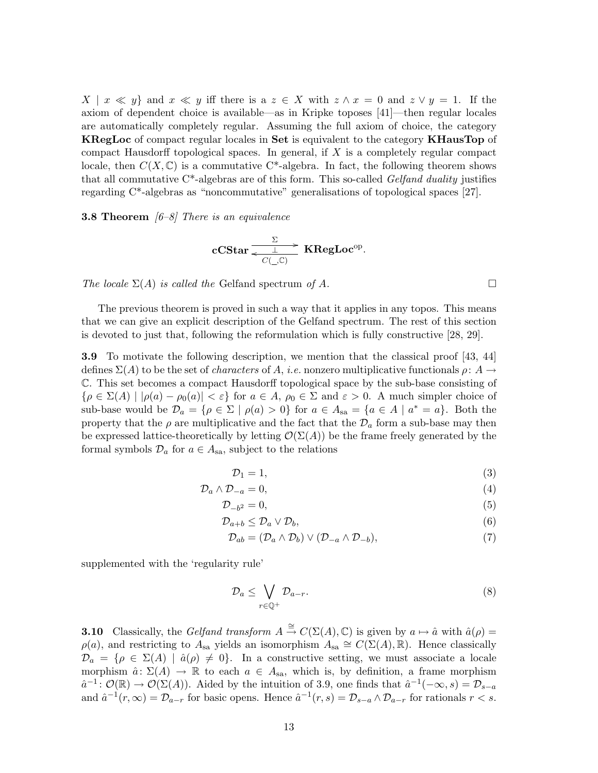$X \mid x \ll y$  and  $x \ll y$  iff there is a  $z \in X$  with  $z \wedge x = 0$  and  $z \vee y = 1$ . If the axiom of dependent choice is available—as in Kripke toposes [41]—then regular locales are automatically completely regular. Assuming the full axiom of choice, the category KRegLoc of compact regular locales in Set is equivalent to the category KHausTop of compact Hausdorff topological spaces. In general, if  $X$  is a completely regular compact locale, then  $C(X, \mathbb{C})$  is a commutative C<sup>\*</sup>-algebra. In fact, the following theorem shows that all commutative  $C^*$ -algebras are of this form. This so-called *Gelfand duality* justifies regarding C\*-algebras as "noncommutative" generalisations of topological spaces [27].

**3.8 Theorem**  $[6-8]$  There is an equivalence

$$
\mathbf{cCStar} \xrightarrow[ C(\_ , {\mathbb C}) \ ]
$$

The locale  $\Sigma(A)$  is called the Gelfand spectrum of A.

The previous theorem is proved in such a way that it applies in any topos. This means that we can give an explicit description of the Gelfand spectrum. The rest of this section is devoted to just that, following the reformulation which is fully constructive [28, 29].

3.9 To motivate the following description, we mention that the classical proof [43, 44] defines  $\Sigma(A)$  to be the set of *characters* of A, *i.e.* nonzero multiplicative functionals  $\rho: A \rightarrow$ C. This set becomes a compact Hausdorff topological space by the sub-base consisting of  $\{\rho \in \Sigma(A) \mid |\rho(a) - \rho_0(a)| < \varepsilon\}$  for  $a \in A$ ,  $\rho_0 \in \Sigma$  and  $\varepsilon > 0$ . A much simpler choice of sub-base would be  $\mathcal{D}_a = \{ \rho \in \Sigma \mid \rho(a) > 0 \}$  for  $a \in A_{sa} = \{ a \in A \mid a^* = a \}$ . Both the property that the  $\rho$  are multiplicative and the fact that the  $\mathcal{D}_a$  form a sub-base may then be expressed lattice-theoretically by letting  $\mathcal{O}(\Sigma(A))$  be the frame freely generated by the formal symbols  $\mathcal{D}_a$  for  $a \in A_{sa}$ , subject to the relations

$$
\mathcal{D}_1 = 1,\tag{3}
$$

$$
\mathcal{D}_a \wedge \mathcal{D}_{-a} = 0,\tag{4}
$$

$$
\mathcal{D}_{-b^2} = 0,\tag{5}
$$

$$
\mathcal{D}_{a+b} \le \mathcal{D}_a \vee \mathcal{D}_b,\tag{6}
$$

$$
\mathcal{D}_{ab} = (\mathcal{D}_a \wedge \mathcal{D}_b) \vee (\mathcal{D}_{-a} \wedge \mathcal{D}_{-b}),\tag{7}
$$

supplemented with the 'regularity rule'

$$
\mathcal{D}_a \le \bigvee_{r \in \mathbb{Q}^+} \mathcal{D}_{a-r}.\tag{8}
$$

**3.10** Classically, the Gelfand transform  $A \stackrel{\cong}{\to} C(\Sigma(A), \mathbb{C})$  is given by  $a \mapsto \hat{a}$  with  $\hat{a}(\rho) =$  $\rho(a)$ , and restricting to  $A_{sa}$  yields an isomorphism  $A_{sa} \cong C(\Sigma(A), \mathbb{R})$ . Hence classically  $\mathcal{D}_a = \{ \rho \in \Sigma(A) \mid \hat{a}(\rho) \neq 0 \}.$  In a constructive setting, we must associate a locale morphism  $\hat{a} \colon \Sigma(A) \to \mathbb{R}$  to each  $a \in A_{sa}$ , which is, by definition, a frame morphism  $\hat{a}^{-1} \colon \mathcal{O}(\mathbb{R}) \to \mathcal{O}(\Sigma(A))$ . Aided by the intuition of 3.9, one finds that  $\hat{a}^{-1}(-\infty, s) = \mathcal{D}_{s-a}$ and  $\hat{a}^{-1}(r,\infty) = \mathcal{D}_{a-r}$  for basic opens. Hence  $\hat{a}^{-1}(r,s) = \mathcal{D}_{s-a} \wedge \mathcal{D}_{a-r}$  for rationals  $r < s$ .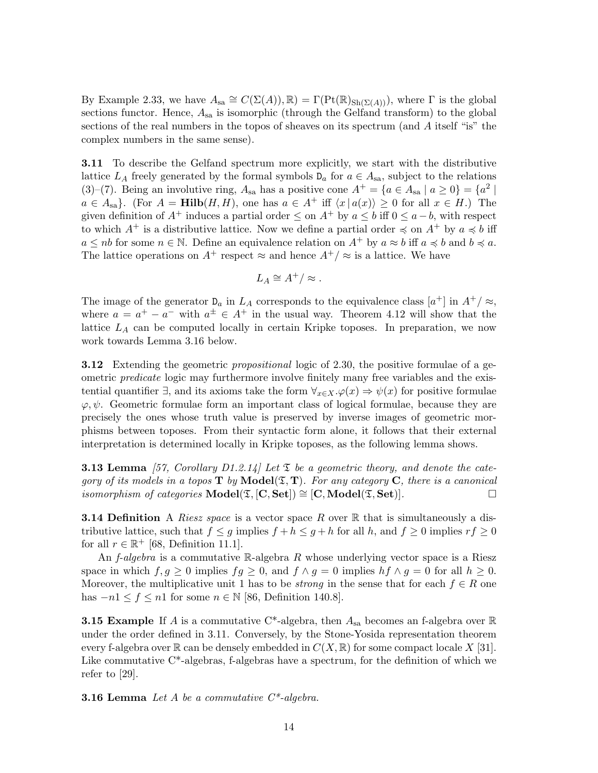By Example 2.33, we have  $A_{sa} \cong C(\Sigma(A)), \mathbb{R}) = \Gamma(\mathrm{Pt}(\mathbb{R})_{\mathrm{Sh}(\Sigma(A))})$ , where  $\Gamma$  is the global sections functor. Hence,  $A_{sa}$  is isomorphic (through the Gelfand transform) to the global sections of the real numbers in the topos of sheaves on its spectrum (and A itself "is" the complex numbers in the same sense).

3.11 To describe the Gelfand spectrum more explicitly, we start with the distributive lattice  $L_A$  freely generated by the formal symbols  $D_a$  for  $a \in A_{sa}$ , subject to the relations (3)–(7). Being an involutive ring,  $A_{sa}$  has a positive cone  $A^+ = \{a \in A_{sa} \mid a \ge 0\} = \{a^2 \mid a \ge 0\}$  $a \in A_{sa}$ . (For  $A = Hilb(H, H)$ , one has  $a \in A^+$  iff  $\langle x | a(x) \rangle \geq 0$  for all  $x \in H$ .) The given definition of  $A^+$  induces a partial order  $\leq$  on  $A^+$  by  $a \leq b$  iff  $0 \leq a - b$ , with respect to which  $A^+$  is a distributive lattice. Now we define a partial order  $\preccurlyeq$  on  $A^+$  by  $a \preccurlyeq b$  iff  $a \le nb$  for some  $n \in \mathbb{N}$ . Define an equivalence relation on  $A^+$  by  $a \approx b$  iff  $a \preccurlyeq b$  and  $b \preccurlyeq a$ . The lattice operations on  $A^+$  respect  $\approx$  and hence  $A^+/\approx$  is a lattice. We have

$$
L_A \cong A^+/\approx.
$$

The image of the generator  $D_a$  in  $L_A$  corresponds to the equivalence class  $[a^+]$  in  $A^+/\approx$ , where  $a = a^+ - a^-$  with  $a^{\pm} \in A^+$  in the usual way. Theorem 4.12 will show that the lattice  $L_A$  can be computed locally in certain Kripke toposes. In preparation, we now work towards Lemma 3.16 below.

**3.12** Extending the geometric *propositional* logic of 2.30, the positive formulae of a geometric predicate logic may furthermore involve finitely many free variables and the existential quantifier  $\exists$ , and its axioms take the form  $\forall_{x\in X}.\varphi(x) \Rightarrow \psi(x)$  for positive formulae  $\varphi, \psi$ . Geometric formulae form an important class of logical formulae, because they are precisely the ones whose truth value is preserved by inverse images of geometric morphisms between toposes. From their syntactic form alone, it follows that their external interpretation is determined locally in Kripke toposes, as the following lemma shows.

**3.13 Lemma** [57, Corollary D1.2.14] Let  $\mathfrak{\Sigma}$  be a geometric theory, and denote the category of its models in a topos  $T$  by  $\text{Model}(\mathfrak{T}, T)$ . For any category C, there is a canonical *isomorphism of categories*  $\text{Model}(\mathfrak{T}, [\mathbf{C}, \mathbf{Set}]) \cong [\mathbf{C}, \text{Model}(\mathfrak{T}, \mathbf{Set})].$ 

**3.14 Definition** A *Riesz space* is a vector space R over  $\mathbb{R}$  that is simultaneously a distributive lattice, such that  $f \leq g$  implies  $f + h \leq g + h$  for all h, and  $f \geq 0$  implies  $rf \geq 0$ for all  $r \in \mathbb{R}^+$  [68, Definition 11.1].

An  $f$ -algebra is a commutative R-algebra R whose underlying vector space is a Riesz space in which  $f, g \ge 0$  implies  $fg \ge 0$ , and  $f \wedge g = 0$  implies  $hf \wedge g = 0$  for all  $h \ge 0$ . Moreover, the multiplicative unit 1 has to be *strong* in the sense that for each  $f \in R$  one has  $-n1 \le f \le n1$  for some  $n \in \mathbb{N}$  [86, Definition 140.8].

**3.15 Example** If A is a commutative C\*-algebra, then  $A_{sa}$  becomes an f-algebra over R under the order defined in 3.11. Conversely, by the Stone-Yosida representation theorem every f-algebra over R can be densely embedded in  $C(X, \mathbb{R})$  for some compact locale X [31]. Like commutative  $C^*$ -algebras, f-algebras have a spectrum, for the definition of which we refer to [29].

**3.16 Lemma** Let A be a commutative  $C^*$ -algebra.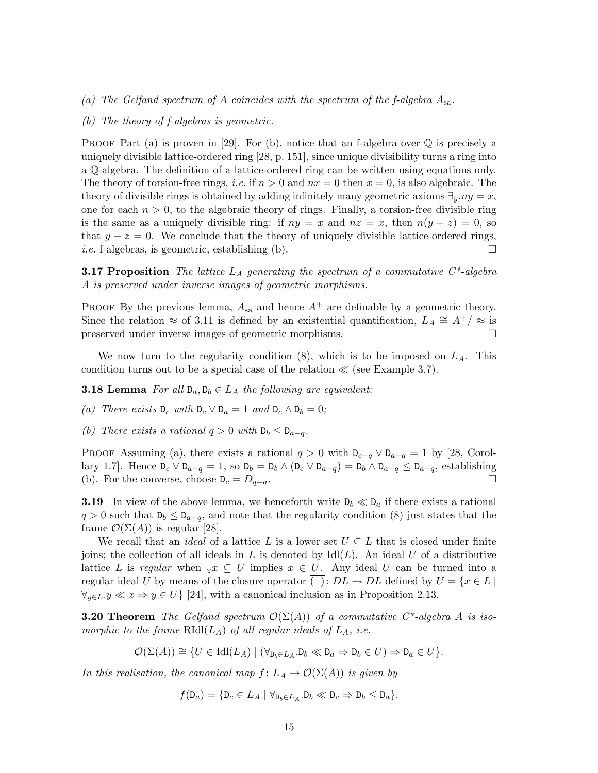- (a) The Gelfand spectrum of A coincides with the spectrum of the f-algebra  $A_{sa}$ .
- (b) The theory of f-algebras is geometric.

PROOF Part (a) is proven in [29]. For (b), notice that an f-algebra over  $\mathbb Q$  is precisely a uniquely divisible lattice-ordered ring [28, p. 151], since unique divisibility turns a ring into a Q-algebra. The definition of a lattice-ordered ring can be written using equations only. The theory of torsion-free rings, *i.e.* if  $n > 0$  and  $nx = 0$  then  $x = 0$ , is also algebraic. The theory of divisible rings is obtained by adding infinitely many geometric axioms  $\exists_y \ldotp ny = x$ , one for each  $n > 0$ , to the algebraic theory of rings. Finally, a torsion-free divisible ring is the same as a uniquely divisible ring: if  $ny = x$  and  $nz = x$ , then  $n(y - z) = 0$ , so that  $y - z = 0$ . We conclude that the theory of uniquely divisible lattice-ordered rings, *i.e.* f-algebras, is geometric, establishing (b).  $\square$ 

**3.17 Proposition** The lattice  $L_A$  generating the spectrum of a commutative  $C^*$ -algebra A is preserved under inverse images of geometric morphisms.

PROOF By the previous lemma,  $A_{sa}$  and hence  $A^+$  are definable by a geometric theory. Since the relation  $\approx$  of 3.11 is defined by an existential quantification,  $L_A \cong A^+/\approx$  is preserved under inverse images of geometric morphisms.

We now turn to the regularity condition  $(8)$ , which is to be imposed on  $L_A$ . This condition turns out to be a special case of the relation  $\ll$  (see Example 3.7).

**3.18 Lemma** For all  $D_a, D_b \in L_A$  the following are equivalent:

(a) There exists  $D_c$  with  $D_c \vee D_a = 1$  and  $D_c \wedge D_b = 0$ ;

(b) There exists a rational  $q > 0$  with  $D_b \leq D_{a-q}$ .

PROOF Assuming (a), there exists a rational  $q > 0$  with  $D_{c-q} \vee D_{a-q} = 1$  by [28, Corollary 1.7]. Hence  $D_c \vee D_{a-q} = 1$ , so  $D_b = D_b \wedge (D_c \vee D_{a-q}) = D_b \wedge D_{a-q} \le D_{a-q}$ , establishing (b). For the converse, choose  $D_c = D_{q-a}$ .

**3.19** In view of the above lemma, we henceforth write  $D_b \ll D_a$  if there exists a rational  $q > 0$  such that  $D_b \leq D_{a-q}$ , and note that the regularity condition (8) just states that the frame  $\mathcal{O}(\Sigma(A))$  is regular [28].

We recall that an *ideal* of a lattice L is a lower set  $U \subseteq L$  that is closed under finite joins; the collection of all ideals in L is denoted by  $\text{Id}(L)$ . An ideal U of a distributive lattice L is regular when  $\downarrow x \subseteq U$  implies  $x \in U$ . Any ideal U can be turned into a regular ideal  $\overline{U}$  by means of the closure operator  $\overline{(.)}$ :  $DL \to DL$  defined by  $\overline{U} = \{x \in L \mid$  $\forall_{y\in L} y \ll x \Rightarrow y \in U$  [24], with a canonical inclusion as in Proposition 2.13.

**3.20 Theorem** The Gelfand spectrum  $\mathcal{O}(\Sigma(A))$  of a commutative C<sup>\*</sup>-algebra A is isomorphic to the frame  $\text{RIdl}(L_A)$  of all regular ideals of  $L_A$ , i.e.

$$
\mathcal{O}(\Sigma(A)) \cong \{U \in \text{Idl}(L_A) \mid (\forall_{\mathbf{D}_b \in L_A} . \mathbf{D}_b \ll \mathbf{D}_a \Rightarrow \mathbf{D}_b \in U) \Rightarrow \mathbf{D}_a \in U\}.
$$

In this realisation, the canonical map  $f: L_A \to \mathcal{O}(\Sigma(A))$  is given by

$$
f(\mathsf{D}_a) = \{ \mathsf{D}_c \in L_A \mid \forall_{\mathsf{D}_b \in L_A} . \mathsf{D}_b \ll \mathsf{D}_c \Rightarrow \mathsf{D}_b \leq \mathsf{D}_a \}.
$$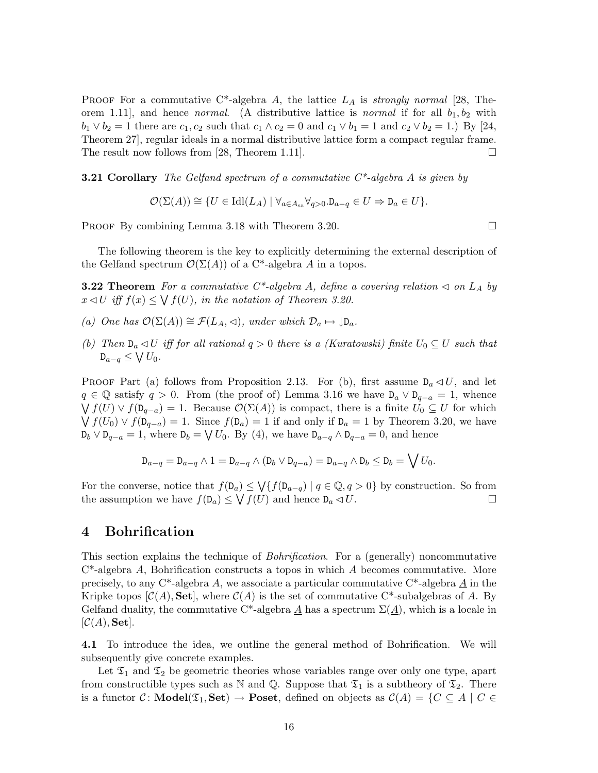**PROOF** For a commutative C<sup>\*</sup>-algebra A, the lattice  $L_A$  is *strongly normal* [28, Theorem 1.11, and hence *normal.* (A distributive lattice is *normal* if for all  $b_1, b_2$  with  $b_1 \vee b_2 = 1$  there are  $c_1, c_2$  such that  $c_1 \wedge c_2 = 0$  and  $c_1 \vee b_1 = 1$  and  $c_2 \vee b_2 = 1$ .) By [24, Theorem 27], regular ideals in a normal distributive lattice form a compact regular frame. The result now follows from [28, Theorem 1.11].  $\square$ 

**3.21 Corollary** The Gelfand spectrum of a commutative  $C^*$ -algebra A is given by

 $\mathcal{O}(\Sigma(A)) \cong \{U \in \text{Idl}(L_A) \mid \forall_{a \in A_{sa}} \forall_{a>0} . \mathsf{D}_{a-a} \in U \Rightarrow \mathsf{D}_{a} \in U\}.$ 

PROOF By combining Lemma 3.18 with Theorem 3.20.

The following theorem is the key to explicitly determining the external description of the Gelfand spectrum  $\mathcal{O}(\Sigma(A))$  of a C<sup>\*</sup>-algebra A in a topos.

**3.22 Theorem** For a commutative C\*-algebra A, define a covering relation  $\triangleleft$  on  $L_A$  by  $x \triangleleft U$  iff  $f(x) \leq \bigvee f(U)$ , in the notation of Theorem 3.20.

- (a) One has  $\mathcal{O}(\Sigma(A)) \cong \mathcal{F}(L_A, \triangleleft)$ , under which  $\mathcal{D}_a \mapsto \mathcal{D}_a$ .
- (b) Then  $D_a \triangleleft U$  iff for all rational  $q > 0$  there is a (Kuratowski) finite  $U_0 \subseteq U$  such that  $D_{a-q} \leq \bigvee U_0$ .

PROOF Part (a) follows from Proposition 2.13. For (b), first assume  $D_a \triangleleft U$ , and let  $q \in \mathbb{Q}$  satisfy  $q > 0$ . From (the proof of) Lemma 3.16 we have  $D_a \vee D_{q-a} = 1$ , whence  $\bigvee f(U) \vee f(\mathsf{D}_{q-a}) = 1$ . Because  $\mathcal{O}(\Sigma(A))$  is compact, there is a finite  $U_0 \subseteq U$  for which  $\bigvee f(U_0) \vee f(\mathsf{D}_{q-a}) = 1$ . Since  $f(\mathsf{D}_a) = 1$  if and only if  $\mathsf{D}_a = 1$  by Theorem 3.20, we have  $D_b \vee D_{q-a} = 1$ , where  $D_b = \bigvee U_0$ . By (4), we have  $D_{a-q} \wedge D_{q-a} = 0$ , and hence

$$
\mathsf{D}_{a-q} = \mathsf{D}_{a-q} \wedge 1 = \mathsf{D}_{a-q} \wedge (\mathsf{D}_b \vee \mathsf{D}_{q-a}) = \mathsf{D}_{a-q} \wedge \mathsf{D}_b \le \mathsf{D}_b = \bigvee U_0.
$$

For the converse, notice that  $f(\mathsf{D}_a) \leq \bigvee \{f(\mathsf{D}_{a-q}) \mid q \in \mathbb{Q}, q > 0\}$  by construction. So from the assumption we have  $f(D_a) \leq \bigvee f(U)$  and hence  $D_a \lhd U$ .

### 4 Bohrification

This section explains the technique of *Bohrification*. For a (generally) noncommutative  $C^*$ -algebra A, Bohrification constructs a topos in which A becomes commutative. More precisely, to any  $C^*$ -algebra A, we associate a particular commutative  $C^*$ -algebra A in the Kripke topos  $[\mathcal{C}(A), \mathbf{Set}]$ , where  $\mathcal{C}(A)$  is the set of commutative C<sup>\*</sup>-subalgebras of A. By Gelfand duality, the commutative C<sup>\*</sup>-algebra A has a spectrum  $\Sigma(A)$ , which is a locale in  $[\mathcal{C}(A), \mathbf{Set}].$ 

4.1 To introduce the idea, we outline the general method of Bohrification. We will subsequently give concrete examples.

Let  $\mathfrak{T}_1$  and  $\mathfrak{T}_2$  be geometric theories whose variables range over only one type, apart from constructible types such as N and Q. Suppose that  $\mathfrak{T}_1$  is a subtheory of  $\mathfrak{T}_2$ . There is a functor C: **Model**( $\mathfrak{T}_1$ , **Set)**  $\rightarrow$  **Poset**, defined on objects as  $\mathcal{C}(A) = \{C \subseteq A \mid C \in$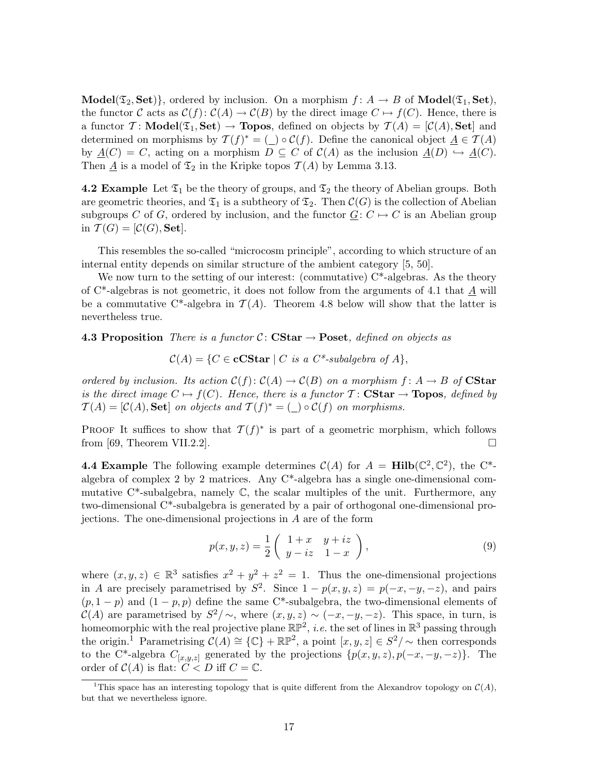**Model**( $\mathfrak{T}_2$ , **Set**), ordered by inclusion. On a morphism  $f: A \rightarrow B$  of **Model**( $\mathfrak{T}_1$ , **Set**), the functor C acts as  $\mathcal{C}(f): \mathcal{C}(A) \to \mathcal{C}(B)$  by the direct image  $C \mapsto f(C)$ . Hence, there is a functor  $\mathcal{T}$ : **Model**( $\mathfrak{T}_1$ , **Set)**  $\rightarrow$  **Topos**, defined on objects by  $\mathcal{T}(A) = [\mathcal{C}(A), \mathbf{Set}]$  and determined on morphisms by  $\mathcal{T}(f)^* = (\_) \circ \mathcal{C}(f)$ . Define the canonical object  $\underline{A} \in \mathcal{T}(A)$ by  $\underline{A}(C) = C$ , acting on a morphism  $D \subseteq C$  of  $C(A)$  as the inclusion  $\underline{A}(D) \hookrightarrow \underline{A}(C)$ . Then  $\underline{A}$  is a model of  $\mathfrak{T}_2$  in the Kripke topos  $\mathcal{T}(A)$  by Lemma 3.13.

4.2 Example Let  $\mathfrak{T}_1$  be the theory of groups, and  $\mathfrak{T}_2$  the theory of Abelian groups. Both are geometric theories, and  $\mathfrak{T}_1$  is a subtheory of  $\mathfrak{T}_2$ . Then  $\mathcal{C}(G)$  is the collection of Abelian subgroups C of G, ordered by inclusion, and the functor  $G: C \mapsto C$  is an Abelian group in  $\mathcal{T}(G) = [\mathcal{C}(G), \mathbf{Set}].$ 

This resembles the so-called "microcosm principle", according to which structure of an internal entity depends on similar structure of the ambient category [5, 50].

We now turn to the setting of our interest: (commutative)  $C^*$ -algebras. As the theory of  $C^*$ -algebras is not geometric, it does not follow from the arguments of 4.1 that A will be a commutative C<sup>\*</sup>-algebra in  $\mathcal{T}(A)$ . Theorem 4.8 below will show that the latter is nevertheless true.

4.3 Proposition There is a functor C: CStar  $\rightarrow$  Poset, defined on objects as

$$
\mathcal{C}(A) = \{ C \in \mathbf{cCStar} \mid C \text{ is a } C^* \text{-subalgebra of } A \},
$$

ordered by inclusion. Its action  $\mathcal{C}(f): \mathcal{C}(A) \to \mathcal{C}(B)$  on a morphism  $f: A \to B$  of **CStar** is the direct image  $C \mapsto f(C)$ . Hence, there is a functor  $T \colon \mathbf{CStar} \to \mathbf{Topos}$ , defined by  $\mathcal{T}(A) = [\mathcal{C}(A), \mathbf{Set}]$  on objects and  $\mathcal{T}(f)^* = (\_) \circ \mathcal{C}(f)$  on morphisms.

PROOF It suffices to show that  $\mathcal{T}(f)^*$  is part of a geometric morphism, which follows from [69, Theorem VII.2.2].

**4.4 Example** The following example determines  $\mathcal{C}(A)$  for  $A = \text{Hilb}(\mathbb{C}^2, \mathbb{C}^2)$ , the C<sup>\*</sup>algebra of complex 2 by 2 matrices. Any  $C^*$ -algebra has a single one-dimensional commutative  $C^*$ -subalgebra, namely  $\mathbb C$ , the scalar multiples of the unit. Furthermore, any two-dimensional C\*-subalgebra is generated by a pair of orthogonal one-dimensional projections. The one-dimensional projections in A are of the form

$$
p(x,y,z) = \frac{1}{2} \begin{pmatrix} 1+x & y+iz \\ y-iz & 1-x \end{pmatrix},
$$
\n(9)

where  $(x, y, z) \in \mathbb{R}^3$  satisfies  $x^2 + y^2 + z^2 = 1$ . Thus the one-dimensional projections in A are precisely parametrised by  $S^2$ . Since  $1 - p(x, y, z) = p(-x, -y, -z)$ , and pairs  $(p, 1-p)$  and  $(1-p, p)$  define the same C<sup>\*</sup>-subalgebra, the two-dimensional elements of  $\mathcal{C}(A)$  are parametrised by  $S^2/\sim$ , where  $(x, y, z) \sim (-x, -y, -z)$ . This space, in turn, is homeomorphic with the real projective plane  $\mathbb{RP}^2$ , *i.e.* the set of lines in  $\mathbb{R}^3$  passing through the origin.<sup>1</sup> Parametrising  $\mathcal{C}(A) \cong \{ \mathbb{C} \} + \mathbb{RP}^2$ , a point  $[x, y, z] \in S^2/\sim$  then corresponds to the C<sup>\*</sup>-algebra  $C_{[x,y,z]}$  generated by the projections  $\{p(x,y,z), p(-x,-y,-z)\}$ . The order of  $C(A)$  is flat:  $C < D$  iff  $C = \mathbb{C}$ .

<sup>&</sup>lt;sup>1</sup>This space has an interesting topology that is quite different from the Alexandrov topology on  $\mathcal{C}(A)$ , but that we nevertheless ignore.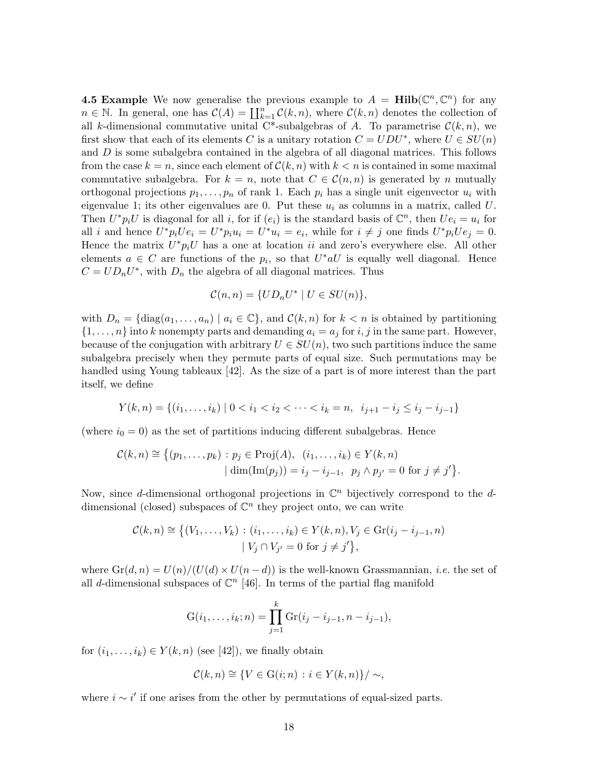**4.5 Example** We now generalise the previous example to  $A = Hilb(\mathbb{C}^n, \mathbb{C}^n)$  for any  $n \in \mathbb{N}$ . In general, one has  $\mathcal{C}(A) = \coprod_{k=1}^{n} \mathcal{C}(k, n)$ , where  $\mathcal{C}(k, n)$  denotes the collection of all k-dimensional commutative unital C<sup>\*</sup>-subalgebras of A. To parametrise  $\mathcal{C}(k,n)$ , we first show that each of its elements C is a unitary rotation  $C = UDU^*$ , where  $U \in SU(n)$ and  $D$  is some subalgebra contained in the algebra of all diagonal matrices. This follows from the case  $k = n$ , since each element of  $\mathcal{C}(k, n)$  with  $k < n$  is contained in some maximal commutative subalgebra. For  $k = n$ , note that  $C \in \mathcal{C}(n, n)$  is generated by n mutually orthogonal projections  $p_1, \ldots, p_n$  of rank 1. Each  $p_i$  has a single unit eigenvector  $u_i$  with eigenvalue 1; its other eigenvalues are 0. Put these  $u_i$  as columns in a matrix, called U. Then  $U^*p_iU$  is diagonal for all i, for if  $(e_i)$  is the standard basis of  $\mathbb{C}^n$ , then  $Ue_i = u_i$  for all *i* and hence  $U^*p_iUe_i = U^*p_iu_i = U^*u_i = e_i$ , while for  $i \neq j$  one finds  $U^*p_iUe_j = 0$ . Hence the matrix  $U^*p_iU$  has a one at location ii and zero's everywhere else. All other elements  $a \in C$  are functions of the  $p_i$ , so that  $U^*aU$  is equally well diagonal. Hence  $C = UD_nU^*$ , with  $D_n$  the algebra of all diagonal matrices. Thus

$$
\mathcal{C}(n,n) = \{UD_nU^* \mid U \in SU(n)\},\
$$

with  $D_n = \{ \text{diag}(a_1, \ldots, a_n) \mid a_i \in \mathbb{C} \}$ , and  $\mathcal{C}(k, n)$  for  $k < n$  is obtained by partitioning  $\{1, \ldots, n\}$  into k nonempty parts and demanding  $a_i = a_j$  for i, j in the same part. However, because of the conjugation with arbitrary  $U \in SU(n)$ , two such partitions induce the same subalgebra precisely when they permute parts of equal size. Such permutations may be handled using Young tableaux [42]. As the size of a part is of more interest than the part itself, we define

$$
Y(k, n) = \{(i_1, \ldots, i_k) \mid 0 < i_1 < i_2 < \cdots < i_k = n, \ i_{j+1} - i_j \leq i_j - i_{j-1}\}
$$

(where  $i_0 = 0$ ) as the set of partitions inducing different subalgebras. Hence

$$
\mathcal{C}(k,n) \cong \left\{ (p_1,\ldots,p_k) : p_j \in \text{Proj}(A), \ (i_1,\ldots,i_k) \in Y(k,n) \right\}
$$

$$
|\dim(\text{Im}(p_j)) = i_j - i_{j-1}, \ p_j \wedge p_{j'} = 0 \text{ for } j \neq j' \right\}.
$$

Now, since d-dimensional orthogonal projections in  $\mathbb{C}^n$  bijectively correspond to the ddimensional (closed) subspaces of  $\mathbb{C}^n$  they project onto, we can write

$$
\mathcal{C}(k, n) \cong \{ (V_1, \dots, V_k) : (i_1, \dots, i_k) \in Y(k, n), V_j \in \text{Gr}(i_j - i_{j-1}, n) \mid V_j \cap V_{j'} = 0 \text{ for } j \neq j' \},\
$$

where  $\text{Gr}(d, n) = U(n)/(U(d) \times U(n-d))$  is the well-known Grassmannian, *i.e.* the set of all d-dimensional subspaces of  $\mathbb{C}^n$  [46]. In terms of the partial flag manifold

$$
G(i_1,\ldots,i_k;n) = \prod_{j=1}^k Gr(i_j - i_{j-1},n - i_{j-1}),
$$

for  $(i_1, \ldots, i_k) \in Y(k, n)$  (see [42]), we finally obtain

$$
\mathcal{C}(k,n) \cong \{ V \in \mathcal{G}(i;n) : i \in Y(k,n) \} / \sim,
$$

where  $i \sim i'$  if one arises from the other by permutations of equal-sized parts.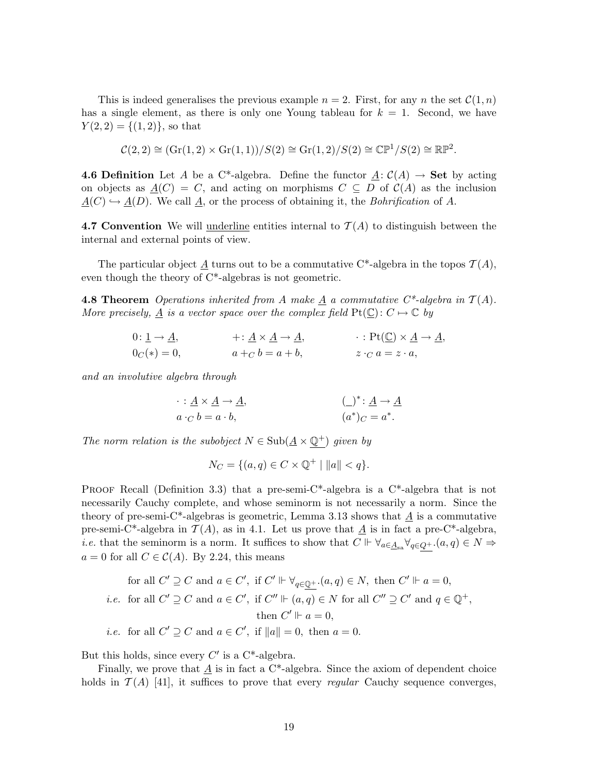This is indeed generalises the previous example  $n = 2$ . First, for any n the set  $\mathcal{C}(1,n)$ has a single element, as there is only one Young tableau for  $k = 1$ . Second, we have  $Y(2, 2) = \{(1, 2)\}\text{, so that }$ 

$$
\mathcal{C}(2,2) \cong (\text{Gr}(1,2) \times \text{Gr}(1,1))/S(2) \cong \text{Gr}(1,2)/S(2) \cong \mathbb{CP}^1/S(2) \cong \mathbb{RP}^2.
$$

**4.6 Definition** Let A be a C<sup>\*</sup>-algebra. Define the functor  $\underline{A}: C(A) \rightarrow$  Set by acting on objects as  $\underline{A}(C) = C$ , and acting on morphisms  $C \subseteq D$  of  $C(A)$  as the inclusion  $\underline{A}(C) \hookrightarrow \underline{A}(D)$ . We call  $\underline{A}$ , or the process of obtaining it, the *Bohrification* of A.

4.7 Convention We will underline entities internal to  $\mathcal{T}(A)$  to distinguish between the internal and external points of view.

The particular object  $\underline{A}$  turns out to be a commutative C<sup>\*</sup>-algebra in the topos  $\mathcal{T}(A)$ , even though the theory of C\*-algebras is not geometric.

**4.8 Theorem** Operations inherited from A make  $\underline{A}$  a commutative  $C^*$ -algebra in  $T(A)$ . More precisely,  $\underline{A}$  is a vector space over the complex field  $Pt(\underline{\mathbb{C}}): C \mapsto \mathbb{C}$  by

0: 
$$
\underline{1} \rightarrow \underline{A}
$$
,  $+\colon \underline{A} \times \underline{A} \rightarrow \underline{A}$ ,  $\colon \text{Pt}(\underline{\mathbb{C}}) \times \underline{A} \rightarrow \underline{A}$ ,  
\n $0_C(*) = 0$ ,  $a +_C b = a + b$ ,  $z \cdot_C a = z \cdot a$ ,

and an involutive algebra through

$$
\therefore \underline{A} \times \underline{A} \to \underline{A},
$$
  
\n
$$
a \cdot_C b = a \cdot b,
$$
  
\n
$$
(a^*)_C = a^*.
$$

The norm relation is the subobject  $N \in Sub(\underline{A} \times \mathbb{Q}^+)$  given by

$$
N_C = \{ (a, q) \in C \times \mathbb{Q}^+ \mid ||a|| < q \}.
$$

**PROOF Recall (Definition 3.3) that a pre-semi-C\*-algebra is a C\*-algebra that is not** necessarily Cauchy complete, and whose seminorm is not necessarily a norm. Since the theory of pre-semi-C<sup>\*</sup>-algebras is geometric, Lemma 3.13 shows that  $\underline{A}$  is a commutative pre-semi-C<sup>\*</sup>-algebra in  $\mathcal{T}(A)$ , as in 4.1. Let us prove that  $\underline{A}$  is in fact a pre-C<sup>\*</sup>-algebra, *i.e.* that the seminorm is a norm. It suffices to show that  $C \Vdash \forall_{a \in \underline{A}_{sa}} \forall_{q \in Q^+}. (a, q) \in N \Rightarrow$  $a = 0$  for all  $C \in \mathcal{C}(A)$ . By 2.24, this means

for all 
$$
C' \supseteq C
$$
 and  $a \in C'$ , if  $C' \Vdash \forall_{q \in \underline{\mathbb{Q}}^+}(a, q) \in N$ , then  $C' \Vdash a = 0$ ,  
*i.e.* for all  $C' \supseteq C$  and  $a \in C'$ , if  $C'' \Vdash (a, q) \in N$  for all  $C'' \supseteq C'$  and  $q \in \mathbb{Q}^+$ ,  
then  $C' \Vdash a = 0$ ,  
*i.e.* for all  $C' \supseteq C$  and  $a \in C'$ , if  $||a|| = 0$ , then  $a = 0$ .

But this holds, since every  $C'$  is a  $C^*$ -algebra.

Finally, we prove that  $\underline{A}$  is in fact a C<sup>\*</sup>-algebra. Since the axiom of dependent choice holds in  $\mathcal{T}(A)$  [41], it suffices to prove that every *regular* Cauchy sequence converges,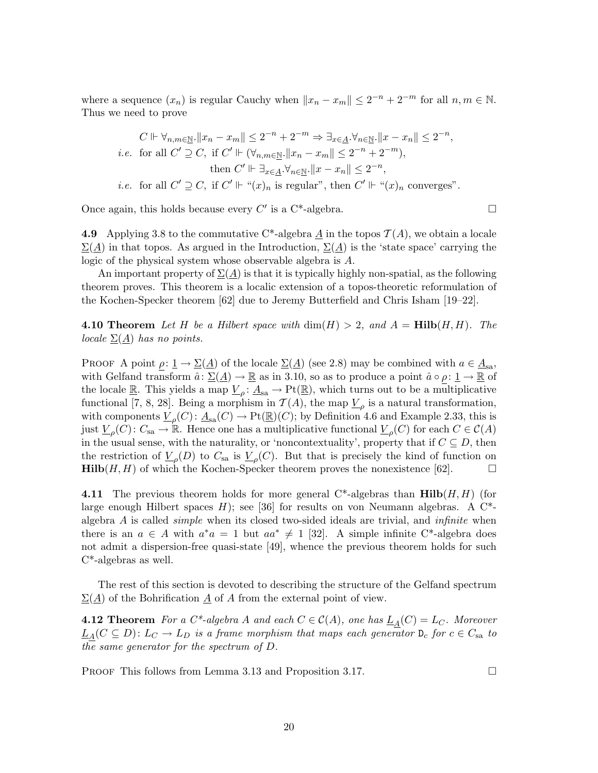where a sequence  $(x_n)$  is regular Cauchy when  $||x_n - x_m|| \leq 2^{-n} + 2^{-m}$  for all  $n, m \in \mathbb{N}$ . Thus we need to prove

$$
C \Vdash \forall_{n,m \in \underline{\mathbb{N}}} . \|x_n - x_m\| \le 2^{-n} + 2^{-m} \Rightarrow \exists_{x \in \underline{A}} . \forall_{n \in \underline{\mathbb{N}}} . \|x - x_n\| \le 2^{-n},
$$
  
*i.e.* for all  $C' \supseteq C$ , if  $C' \Vdash (\forall_{n,m \in \underline{\mathbb{N}}} . \|x_n - x_m\| \le 2^{-n} + 2^{-m}),$   
then  $C' \Vdash \exists_{x \in \underline{A}} . \forall_{n \in \underline{\mathbb{N}}} . \|x - x_n\| \le 2^{-n},$ 

*i.e.* for all  $C' \supseteq C$ , if  $C' \Vdash "(x)_n$  is regular", then  $C' \Vdash "(x)_n$  converges".

Once again, this holds because every  $C'$  is a C<sup>\*</sup>-algebra.

4.9 Applying 3.8 to the commutative C<sup>\*</sup>-algebra A in the topos  $\mathcal{T}(A)$ , we obtain a locale  $\Sigma(A)$  in that topos. As argued in the Introduction,  $\Sigma(A)$  is the 'state space' carrying the logic of the physical system whose observable algebra is A.

An important property of  $\Sigma(\underline{A})$  is that it is typically highly non-spatial, as the following theorem proves. This theorem is a localic extension of a topos-theoretic reformulation of the Kochen-Specker theorem [62] due to Jeremy Butterfield and Chris Isham [19–22].

**4.10 Theorem** Let H be a Hilbert space with  $\dim(H) > 2$ , and  $A = Hilb(H, H)$ . The locale  $\Sigma(\underline{A})$  has no points.

PROOF A point  $\rho: \underline{1} \to \underline{\Sigma}(\underline{A})$  of the locale  $\underline{\Sigma}(\underline{A})$  (see 2.8) may be combined with  $a \in \underline{A}_{sa}$ , with Gelfand transform  $\hat{a} \colon \underline{\Sigma}(\underline{A}) \to \underline{\mathbb{R}}$  as in 3.10, so as to produce a point  $\hat{a} \circ \rho \colon \underline{1} \to \underline{\mathbb{R}}$  of the locale  $\underline{\mathbb{R}}$ . This yields a map  $\underline{V}_{\rho}$ :  $\underline{A}_{sa} \to Pt(\underline{\mathbb{R}})$ , which turns out to be a multiplicative functional [7, 8, 28]. Being a morphism in  $\mathcal{T}(A)$ , the map  $\underline{V}_{\rho}$  is a natural transformation, with components  $\underline{V}_{\rho}(C) \colon \underline{A}_{sa}(C) \to \mathrm{Pt}(\underline{\mathbb{R}})(C)$ ; by Definition 4.6 and Example 2.33, this is just  $\underline{V}_{\rho}(C)$ :  $C_{sa} \to \mathbb{R}$ . Hence one has a multiplicative functional  $\underline{V}_{\rho}(C)$  for each  $C \in \mathcal{C}(A)$ in the usual sense, with the naturality, or 'noncontextuality', property that if  $C \subseteq D$ , then the restriction of  $\underline{V}_{\rho}(D)$  to  $C_{sa}$  is  $\underline{V}_{\rho}(C)$ . But that is precisely the kind of function on **Hilb** $(H, H)$  of which the Kochen-Specker theorem proves the nonexistence [62].

**4.11** The previous theorem holds for more general  $C^*$ -algebras than  $\text{Hilb}(H, H)$  (for large enough Hilbert spaces  $H$ ); see [36] for results on von Neumann algebras. A C<sup>\*</sup>algebra  $A$  is called *simple* when its closed two-sided ideals are trivial, and *infinite* when there is an  $a \in A$  with  $a^*a = 1$  but  $aa^* \neq 1$  [32]. A simple infinite C<sup>\*</sup>-algebra does not admit a dispersion-free quasi-state [49], whence the previous theorem holds for such C\*-algebras as well.

The rest of this section is devoted to describing the structure of the Gelfand spectrum  $\Sigma(\underline{A})$  of the Bohrification  $\underline{A}$  of A from the external point of view.

**4.12 Theorem** For a  $C^*$ -algebra A and each  $C \in C(A)$ , one has  $L_A(C) = L_C$ . Moreover  $\underline{L}_A(C \subseteq D)$ :  $L_C \to L_D$  is a frame morphism that maps each generator  $D_c$  for  $c \in C_{sa}$  to the same generator for the spectrum of D.

PROOF This follows from Lemma 3.13 and Proposition 3.17.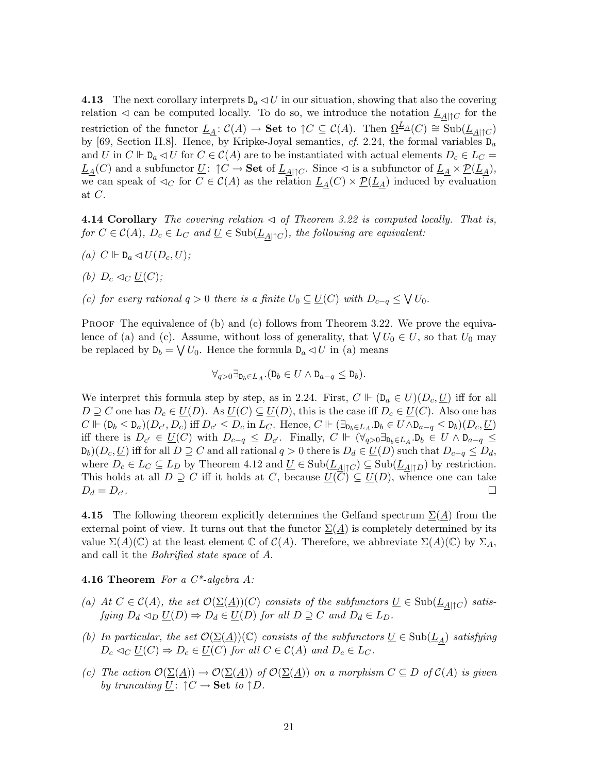**4.13** The next corollary interprets  $D_a \triangleleft U$  in our situation, showing that also the covering relation  $\leq$  can be computed locally. To do so, we introduce the notation  $L_{A|\uparrow C}$  for the restriction of the functor  $\underline{L}_A : \mathcal{C}(A) \to \mathbf{Set}$  to  $\uparrow C \subseteq \mathcal{C}(A)$ . Then  $\underline{\Omega}^{\underline{L}_A}(C) \cong \text{Sub}(\underline{L}_{A|\uparrow C})$ by [69, Section II.8]. Hence, by Kripke-Joyal semantics, cf. 2.24, the formal variables  $D_a$ and U in  $C \Vdash \mathcal{D}_a \lhd U$  for  $C \in \mathcal{C}(A)$  are to be instantiated with actual elements  $D_c \in L_C =$  $\underline{L}_A(C)$  and a subfunctor  $\underline{U}$ :  $\uparrow C \to \bf{Set}$  of  $\underline{L}_{A|\uparrow C}$ . Since  $\lhd$  is a subfunctor of  $\underline{L}_A \times \underline{\mathcal{P}}(\underline{L}_A)$ , we can speak of  $\lhd_C$  for  $C \in C(A)$  as the relation  $L_A(C) \times \underline{\mathcal{P}}(L_A)$  induced by evaluation at C.

**4.14 Corollary** The covering relation  $\triangleleft$  of Theorem 3.22 is computed locally. That is, for  $C \in \mathcal{C}(A)$ ,  $D_c \in L_C$  and  $\underline{U} \in \text{Sub}(\underline{L}_{A| \uparrow C})$ , the following are equivalent:

- (a)  $C \Vdash D_a \lhd U(D_c, \underline{U});$
- (b)  $D_c \lhd_C \underline{U}(C)$ ;
- (c) for every rational  $q > 0$  there is a finite  $U_0 \subseteq U(C)$  with  $D_{c-q} \leq \bigvee U_0$ .

PROOF The equivalence of (b) and (c) follows from Theorem 3.22. We prove the equivalence of (a) and (c). Assume, without loss of generality, that  $\bigvee U_0 \in U$ , so that  $U_0$  may be replaced by  $D_b = \bigvee U_0$ . Hence the formula  $D_a \lhd U$  in (a) means

$$
\forall_{q>0} \exists_{\mathbf{D}_b \in L_A} . (\mathbf{D}_b \in U \land \mathbf{D}_{a-q} \leq \mathbf{D}_b).
$$

We interpret this formula step by step, as in 2.24. First,  $C \Vdash (D_a \in U)(D_c, U)$  iff for all  $D \supseteq C$  one has  $D_c \in \underline{U}(D)$ . As  $\underline{U}(C) \subseteq \underline{U}(D)$ , this is the case iff  $D_c \in \underline{U}(C)$ . Also one has  $C \Vdash (D_b \leq D_a)(D_{c'}, D_c)$  iff  $D_{c'} \leq D_c$  in  $L_C$ . Hence,  $C \Vdash (\exists_{D_b \in L_A} . D_b \in U \land D_{a-q} \leq D_b)(D_c, \underline{U})$ iff there is  $D_{c'} \in \underline{U}(C)$  with  $D_{c-q} \leq D_{c'}$ . Finally,  $C \Vdash (\forall_{q>0} \exists_{\mathbb{D}_b \in L_A} \ldotp \mathbb{D}_b \in U \land \mathbb{D}_{a-q} \leq$  $D_b(D_c, U)$  iff for all  $D \supseteq C$  and all rational  $q > 0$  there is  $D_d \in U(D)$  such that  $D_{c-q} \leq D_d$ , where  $D_c \in L_c \subseteq L_D$  by Theorem 4.12 and  $\underline{U} \in Sub(\underline{L}_{A|\uparrow C}) \subseteq Sub(\underline{L}_{A|\uparrow D})$  by restriction. This holds at all  $D \supseteq C$  iff it holds at C, because  $\underline{U}(C) \subseteq \underline{U}(D)$ , whence one can take  $D_d = D_{c'}$ .  $\overline{\phantom{a}}$ .

4.15 The following theorem explicitly determines the Gelfand spectrum  $\Sigma(A)$  from the external point of view. It turns out that the functor  $\Sigma(\underline{A})$  is completely determined by its value  $\Sigma(\underline{A})(\mathbb{C})$  at the least element  $\mathbb{C}$  of  $\mathcal{C}(A)$ . Therefore, we abbreviate  $\Sigma(\underline{A})(\mathbb{C})$  by  $\Sigma_A$ , and call it the Bohrified state space of A.

#### **4.16 Theorem** For a  $C^*$ -algebra A:

- (a) At  $C \in \mathcal{C}(A)$ , the set  $\mathcal{O}(\underline{\Sigma}(\underline{A}))(C)$  consists of the subfunctors  $\underline{U} \in Sub(\underline{L}_{A|\uparrow C})$  satisfying  $D_d \triangleleft_D \underline{U}(D) \Rightarrow D_d \in \underline{U}(D)$  for all  $D \supseteq C$  and  $D_d \in L_D$ .
- (b) In particular, the set  $\mathcal{O}(\underline{\Sigma}(\underline{A}))(\mathbb{C})$  consists of the subfunctors  $\underline{U} \in Sub(\underline{L}_A)$  satisfying  $D_c \lhd_C \underline{U}(C) \Rightarrow D_c \in \underline{U}(C)$  for all  $C \in \mathcal{C}(A)$  and  $D_c \in L_C$ .
- (c) The action  $\mathcal{O}(\underline{\Sigma}(\underline{A})) \to \mathcal{O}(\underline{\Sigma}(\underline{A}))$  of  $\mathcal{O}(\underline{\Sigma}(\underline{A}))$  on a morphism  $C \subseteq D$  of  $\mathcal{C}(A)$  is given by truncating  $U: \n\uparrow C \rightarrow$  Set to  $\uparrow D$ .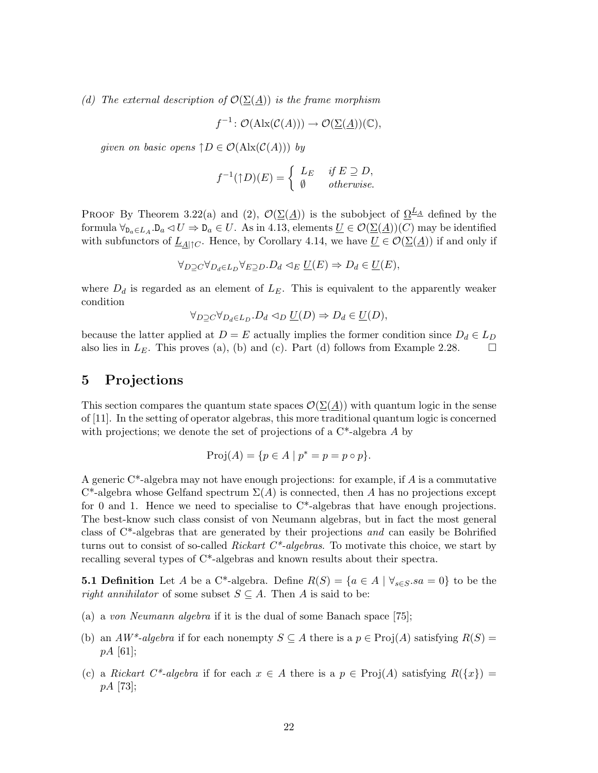(d) The external description of  $\mathcal{O}(\Sigma(\underline{A}))$  is the frame morphism

$$
f^{-1} \colon \mathcal{O}(\text{Alx}(\mathcal{C}(A))) \to \mathcal{O}(\underline{\Sigma}(\underline{A}))(\mathbb{C}),
$$

given on basic opens  $\uparrow D \in \mathcal{O}(\text{Alx}(\mathcal{C}(A)))$  by

$$
f^{-1}(\uparrow D)(E) = \begin{cases} L_E & \text{if } E \supseteq D, \\ \emptyset & \text{otherwise.} \end{cases}
$$

PROOF By Theorem 3.22(a) and (2),  $\mathcal{O}(\Sigma(\underline{A}))$  is the subobject of  $\Omega^{\underline{L}}$  defined by the formula  $\forall_{\mathbf{D}_a \in L_A} \cdot \mathbf{D}_a \leq U \Rightarrow \mathbf{D}_a \in U$ . As in 4.13, elements  $\underline{U} \in \mathcal{O}(\underline{\Sigma(A)})(C)$  may be identified with subfunctors of  $\underline{L}_{\underline{A}|\uparrow C}$ . Hence, by Corollary 4.14, we have  $\underline{U} \in \mathcal{O}(\underline{\Sigma}(\underline{A}))$  if and only if

$$
\forall_{D \supseteq C} \forall_{D_d \in L_D} \forall_{E \supseteq D} . D_d \lhd_E \underline{U}(E) \Rightarrow D_d \in \underline{U}(E),
$$

where  $D_d$  is regarded as an element of  $L_E$ . This is equivalent to the apparently weaker condition

$$
\forall_{D\supseteq C} \forall_{D_d \in L_D} . D_d \triangleleft_D \underline{U}(D) \Rightarrow D_d \in \underline{U}(D),
$$

because the latter applied at  $D = E$  actually implies the former condition since  $D_d \in L_D$ also lies in  $L_E$ . This proves (a), (b) and (c). Part (d) follows from Example 2.28.  $\Box$ 

## 5 Projections

This section compares the quantum state spaces  $\mathcal{O}(\Sigma(A))$  with quantum logic in the sense of [11]. In the setting of operator algebras, this more traditional quantum logic is concerned with projections; we denote the set of projections of a  $C^*$ -algebra A by

$$
Proj(A) = \{ p \in A \mid p^* = p = p \circ p \}.
$$

A generic  $C^*$ -algebra may not have enough projections: for example, if A is a commutative  $C^*$ -algebra whose Gelfand spectrum  $\Sigma(A)$  is connected, then A has no projections except for 0 and 1. Hence we need to specialise to  $C^*$ -algebras that have enough projections. The best-know such class consist of von Neumann algebras, but in fact the most general class of  $C^*$ -algebras that are generated by their projections and can easily be Bohrified turns out to consist of so-called *Rickart C\*-algebras*. To motivate this choice, we start by recalling several types of C\*-algebras and known results about their spectra.

**5.1 Definition** Let A be a C<sup>\*</sup>-algebra. Define  $R(S) = \{a \in A \mid \forall_{s \in S}. sa = 0\}$  to be the right annihilator of some subset  $S \subseteq A$ . Then A is said to be:

- (a) a von Neumann algebra if it is the dual of some Banach space [75];
- (b) an  $AW^*$ -algebra if for each nonempty  $S \subseteq A$  there is a  $p \in \text{Proj}(A)$  satisfying  $R(S) =$  $pA$  [61]:
- (c) a Rickart C<sup>\*</sup>-algebra if for each  $x \in A$  there is a  $p \in Proj(A)$  satisfying  $R({x}) =$ pA [73];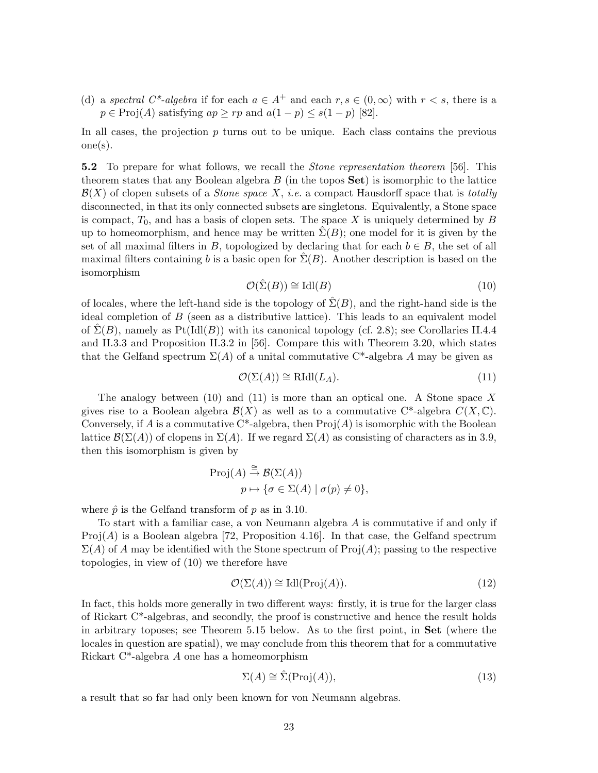(d) a spectral C<sup>\*</sup>-algebra if for each  $a \in A^+$  and each  $r, s \in (0, \infty)$  with  $r < s$ , there is a  $p \in \text{Proj}(A)$  satisfying  $ap \ge rp$  and  $a(1-p) \le s(1-p)$  [82].

In all cases, the projection  $p$  turns out to be unique. Each class contains the previous one(s).

**5.2** To prepare for what follows, we recall the *Stone representation theorem* [56]. This theorem states that any Boolean algebra  $B$  (in the topos  $Set$ ) is isomorphic to the lattice  $\mathcal{B}(X)$  of clopen subsets of a *Stone space* X, *i.e.* a compact Hausdorff space that is *totally* disconnected, in that its only connected subsets are singletons. Equivalently, a Stone space is compact,  $T_0$ , and has a basis of clopen sets. The space X is uniquely determined by B up to homeomorphism, and hence may be written  $\Sigma(B)$ ; one model for it is given by the set of all maximal filters in B, topologized by declaring that for each  $b \in B$ , the set of all maximal filters containing b is a basic open for  $\Sigma(B)$ . Another description is based on the isomorphism

$$
\mathcal{O}(\hat{\Sigma}(B)) \cong \text{Idl}(B) \tag{10}
$$

of locales, where the left-hand side is the topology of  $\hat{\Sigma}(B)$ , and the right-hand side is the ideal completion of B (seen as a distributive lattice). This leads to an equivalent model of  $\Sigma(B)$ , namely as Pt(Idl(B)) with its canonical topology (cf. 2.8); see Corollaries II.4.4 and II.3.3 and Proposition II.3.2 in [56]. Compare this with Theorem 3.20, which states that the Gelfand spectrum  $\Sigma(A)$  of a unital commutative C<sup>\*</sup>-algebra A may be given as

$$
\mathcal{O}(\Sigma(A)) \cong \mathrm{RIdl}(L_A). \tag{11}
$$

The analogy between  $(10)$  and  $(11)$  is more than an optical one. A Stone space X gives rise to a Boolean algebra  $\mathcal{B}(X)$  as well as to a commutative C<sup>\*</sup>-algebra  $C(X,\mathbb{C})$ . Conversely, if A is a commutative  $C^*$ -algebra, then  $\text{Proj}(A)$  is isomorphic with the Boolean lattice  $\mathcal{B}(\Sigma(A))$  of clopens in  $\Sigma(A)$ . If we regard  $\Sigma(A)$  as consisting of characters as in 3.9, then this isomorphism is given by

$$
\text{Proj}(A) \stackrel{\cong}{\to} \mathcal{B}(\Sigma(A))
$$

$$
p \mapsto \{ \sigma \in \Sigma(A) \mid \sigma(p) \neq 0 \},
$$

where  $\hat{p}$  is the Gelfand transform of p as in 3.10.

To start with a familiar case, a von Neumann algebra A is commutative if and only if  $Proj(A)$  is a Boolean algebra [72, Proposition 4.16]. In that case, the Gelfand spectrum  $\Sigma(A)$  of A may be identified with the Stone spectrum of Proj $(A)$ ; passing to the respective topologies, in view of (10) we therefore have

$$
\mathcal{O}(\Sigma(A)) \cong \text{Idl}(\text{Proj}(A)).\tag{12}
$$

In fact, this holds more generally in two different ways: firstly, it is true for the larger class of Rickart  $C^*$ -algebras, and secondly, the proof is constructive and hence the result holds in arbitrary toposes; see Theorem 5.15 below. As to the first point, in Set (where the locales in question are spatial), we may conclude from this theorem that for a commutative Rickart C\*-algebra A one has a homeomorphism

$$
\Sigma(A) \cong \hat{\Sigma}(\text{Proj}(A)),\tag{13}
$$

a result that so far had only been known for von Neumann algebras.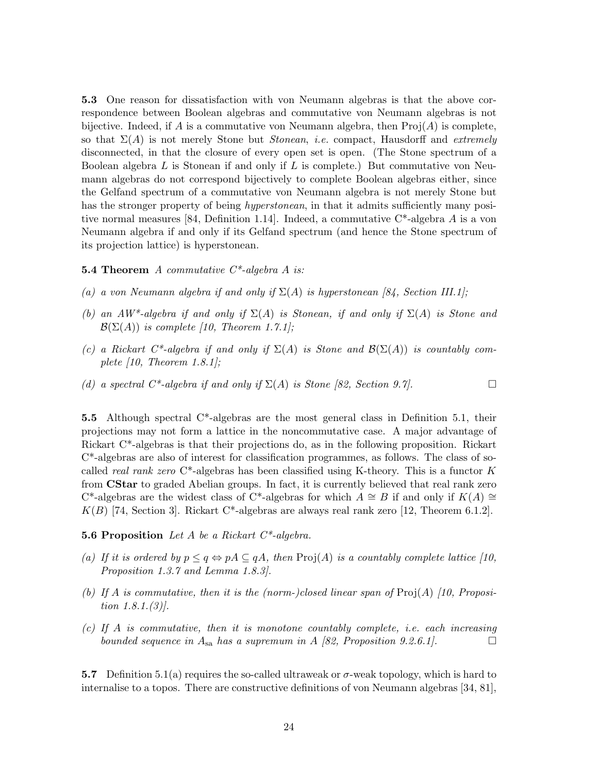5.3 One reason for dissatisfaction with von Neumann algebras is that the above correspondence between Boolean algebras and commutative von Neumann algebras is not bijective. Indeed, if A is a commutative von Neumann algebra, then  $\text{Proj}(A)$  is complete, so that  $\Sigma(A)$  is not merely Stone but *Stonean, i.e.* compact, Hausdorff and *extremely* disconnected, in that the closure of every open set is open. (The Stone spectrum of a Boolean algebra  $L$  is Stonean if and only if  $L$  is complete.) But commutative von Neumann algebras do not correspond bijectively to complete Boolean algebras either, since the Gelfand spectrum of a commutative von Neumann algebra is not merely Stone but has the stronger property of being *hyperstonean*, in that it admits sufficiently many positive normal measures [84, Definition 1.14]. Indeed, a commutative  $C^*$ -algebra A is a von Neumann algebra if and only if its Gelfand spectrum (and hence the Stone spectrum of its projection lattice) is hyperstonean.

#### **5.4 Theorem** A commutative  $C^*$ -algebra A is:

- (a) a von Neumann algebra if and only if  $\Sigma(A)$  is hyperstonean [84, Section III.1];
- (b) an AW\*-algebra if and only if  $\Sigma(A)$  is Stonean, if and only if  $\Sigma(A)$  is Stone and  $\mathcal{B}(\Sigma(A))$  is complete [10, Theorem 1.7.1];
- (c) a Rickart C\*-algebra if and only if  $\Sigma(A)$  is Stone and  $\mathcal{B}(\Sigma(A))$  is countably complete  $(10,$  Theorem 1.8.1];
- (d) a spectral  $C^*$ -algebra if and only if  $\Sigma(A)$  is Stone [82, Section 9.7].

5.5 Although spectral  $C^*$ -algebras are the most general class in Definition 5.1, their projections may not form a lattice in the noncommutative case. A major advantage of Rickart C\*-algebras is that their projections do, as in the following proposition. Rickart C\*-algebras are also of interest for classification programmes, as follows. The class of socalled real rank zero  $C^*$ -algebras has been classified using K-theory. This is a functor K from CStar to graded Abelian groups. In fact, it is currently believed that real rank zero C<sup>\*</sup>-algebras are the widest class of C<sup>\*</sup>-algebras for which  $A \cong B$  if and only if  $K(A) \cong$  $K(B)$  [74, Section 3]. Rickart C\*-algebras are always real rank zero [12, Theorem 6.1.2].

**5.6 Proposition** Let A be a Rickart  $C^*$ -algebra.

- (a) If it is ordered by  $p \leq q \Leftrightarrow pA \subseteq qA$ , then  $\text{Proj}(A)$  is a countably complete lattice [10, Proposition 1.3.7 and Lemma 1.8.3].
- (b) If A is commutative, then it is the (norm-)closed linear span of  $\text{Proj}(A)$  [10, Proposition 1.8.1.(3)].
- (c) If A is commutative, then it is monotone countably complete, i.e. each increasing bounded sequence in  $A_{sa}$  has a supremum in A [82, Proposition 9.2.6.1].

5.7 Definition 5.1(a) requires the so-called ultraweak or  $\sigma$ -weak topology, which is hard to internalise to a topos. There are constructive definitions of von Neumann algebras [34, 81],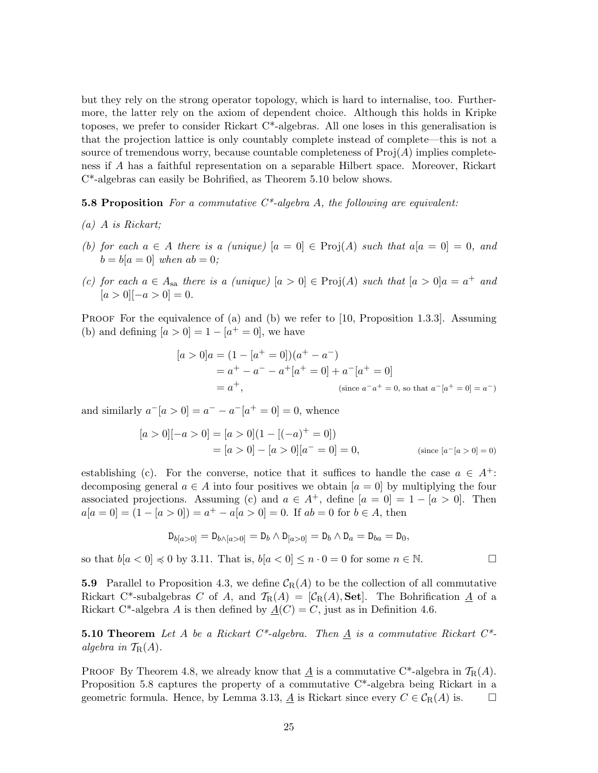but they rely on the strong operator topology, which is hard to internalise, too. Furthermore, the latter rely on the axiom of dependent choice. Although this holds in Kripke toposes, we prefer to consider Rickart  $C^*$ -algebras. All one loses in this generalisation is that the projection lattice is only countably complete instead of complete—this is not a source of tremendous worry, because countable completeness of  $\text{Proj}(A)$  implies completeness if A has a faithful representation on a separable Hilbert space. Moreover, Rickart C\*-algebras can easily be Bohrified, as Theorem 5.10 below shows.

**5.8 Proposition** For a commutative  $C^*$ -algebra A, the following are equivalent:

- (a) A is Rickart;
- (b) for each  $a \in A$  there is a (unique)  $[a = 0] \in \text{Proj}(A)$  such that  $a[a = 0] = 0$ , and  $b = b[a = 0]$  when  $ab = 0$ ;
- (c) for each  $a \in A_{sa}$  there is a (unique)  $[a > 0] \in Proj(A)$  such that  $[a > 0]a = a^+$  and  $[a > 0]$ [-a > 0] = 0.

**PROOF** For the equivalence of (a) and (b) we refer to [10, Proposition 1.3.3]. Assuming (b) and defining  $[a > 0] = 1 - [a^+ = 0]$ , we have

$$
[a > 0]a = (1 - [a+ = 0])(a+ - a-)
$$
  
= a<sup>+</sup> - a<sup>-</sup> - a<sup>+</sup>[a<sup>+</sup> = 0] + a<sup>-</sup>[a<sup>+</sup> = 0]  
= a<sup>+</sup>, (since a<sup>-</sup>a<sup>+</sup> = 0, so that a<sup>-</sup>[a<sup>+</sup> = 0] = a<sup>-</sup>)

and similarly  $a^{-}[a > 0] = a^{-} - a^{-}[a^{+} = 0] = 0$ , whence

$$
[a > 0][-a > 0] = [a > 0](1 - [(-a)^{+} = 0])
$$
  
=  $[a > 0] - [a > 0][a^{-} = 0] = 0$ , (since  $[a^{-}[a > 0] = 0)$ )

establishing (c). For the converse, notice that it suffices to handle the case  $a \in A^+$ : decomposing general  $a \in A$  into four positives we obtain  $[a = 0]$  by multiplying the four associated projections. Assuming (c) and  $a \in A^+$ , define  $[a = 0] = 1 - [a > 0]$ . Then  $a[a = 0] = (1 - [a > 0]) = a<sup>+</sup> - a[a > 0] = 0$ . If  $ab = 0$  for  $b \in A$ , then

$$
\mathsf{D}_{b[a>0]}=\mathsf{D}_{b\wedge[a>0]}=\mathsf{D}_{b}\wedge\mathsf{D}_{[a>0]}=\mathsf{D}_{b}\wedge\mathsf{D}_{a}=\mathsf{D}_{ba}=\mathsf{D}_{0},
$$

so that  $b[a < 0] \preccurlyeq 0$  by 3.11. That is,  $b[a < 0] \leq n \cdot 0 = 0$  for some  $n \in \mathbb{N}$ .

**5.9** Parallel to Proposition 4.3, we define  $\mathcal{C}_{R}(A)$  to be the collection of all commutative Rickart C\*-subalgebras C of A, and  $\mathcal{T}_{R}(A) = [\mathcal{C}_{R}(A), \mathbf{Set}]$ . The Bohrification  $\underline{A}$  of a Rickart C<sup>\*</sup>-algebra A is then defined by  $\underline{A}(C) = C$ , just as in Definition 4.6.

**5.10 Theorem** Let A be a Rickart  $C^*$ -algebra. Then  $\underline{A}$  is a commutative Rickart  $C^*$ algebra in  $\mathcal{T}_{\mathbf{R}}(A)$ .

PROOF By Theorem 4.8, we already know that  $\underline{A}$  is a commutative C<sup>\*</sup>-algebra in  $\mathcal{T}_{R}(A)$ . Proposition 5.8 captures the property of a commutative C\*-algebra being Rickart in a geometric formula. Hence, by Lemma 3.13,  $\underline{A}$  is Rickart since every  $C \in \mathcal{C}_{R}(A)$  is.  $\square$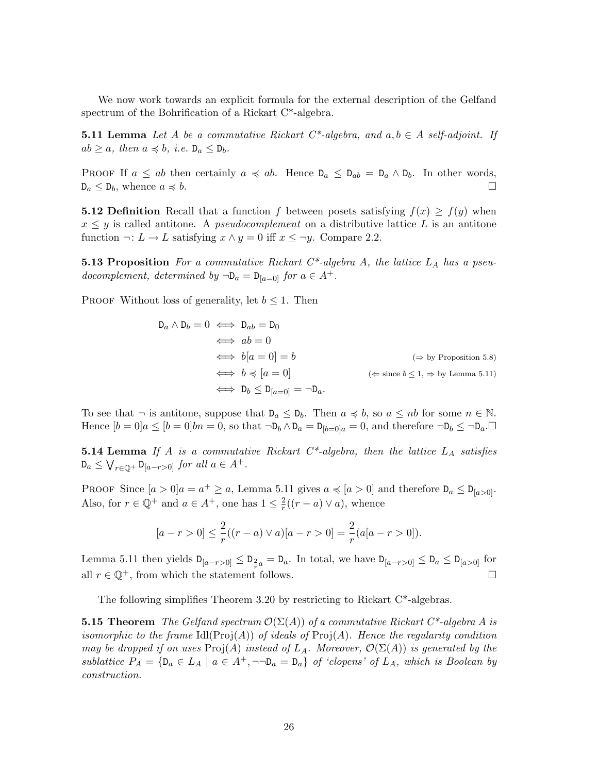We now work towards an explicit formula for the external description of the Gelfand spectrum of the Bohrification of a Rickart C\*-algebra.

**5.11 Lemma** Let A be a commutative Rickart  $C^*$ -algebra, and  $a, b \in A$  self-adjoint. If  $ab \geq a$ , then  $a \preccurlyeq b$ , i.e.  $D_a \leq D_b$ .

PROOF If  $a \leq ab$  then certainly  $a \preccurlyeq ab$ . Hence  $D_a \leq D_{ab} = D_a \wedge D_b$ . In other words,  $D_a \leq D_b$ , whence  $a \preccurlyeq b$ .

**5.12 Definition** Recall that a function f between posets satisfying  $f(x) \geq f(y)$  when  $x \leq y$  is called antitone. A *pseudocomplement* on a distributive lattice L is an antitone function  $\neg: L \to L$  satisfying  $x \wedge y = 0$  iff  $x \leq \neg y$ . Compare 2.2.

**5.13 Proposition** For a commutative Rickart  $C^*$ -algebra A, the lattice  $L_A$  has a pseudocomplement, determined by  $\neg$ D<sub>a</sub> = D<sub>[a=0]</sub> for  $a \in A^+$ .

PROOF Without loss of generality, let  $b \leq 1$ . Then

$$
D_a \wedge D_b = 0 \iff D_{ab} = D_0
$$
  
\n
$$
\iff ab = 0
$$
  
\n
$$
\iff b[a = 0] = b
$$
  
\n
$$
\iff b \preccurlyeq [a = 0]
$$
  
\n
$$
\iff D_b \le D_{[a=0]} = \neg D_a.
$$
  
\n
$$
(\Leftarrow \text{ since } b \le 1, \Rightarrow \text{ by Lemma 5.11})
$$

To see that  $\neg$  is antitone, suppose that  $D_a \leq D_b$ . Then  $a \preccurlyeq b$ , so  $a \leq nb$  for some  $n \in \mathbb{N}$ . Hence  $[b = 0]a \leq [b = 0]bn = 0$ , so that  $\neg D_b \wedge D_a = D_{[b=0]}a = 0$ , and therefore  $\neg D_b \leq \neg D_a$ .

**5.14 Lemma** If A is a commutative Rickart  $C^*$ -algebra, then the lattice  $L_A$  satisfies  $D_a \leq \bigvee_{r \in \mathbb{Q}^+} D_{[a-r>0]}$  for all  $a \in A^+$ .

PROOF Since  $[a > 0]a = a^+ \ge a$ , Lemma 5.11 gives  $a \preccurlyeq [a > 0]$  and therefore  $D_a \le D_{[a > 0]}$ . Also, for  $r \in \mathbb{Q}^+$  and  $a \in A^+$ , one has  $1 \leq \frac{2}{r}$  $\frac{2}{r}((r-a)\vee a)$ , whence

$$
[a - r > 0] \le \frac{2}{r}((r - a) \vee a)[a - r > 0] = \frac{2}{r}(a[a - r > 0]).
$$

Lemma 5.11 then yields  $D_{[a-r>0]} \leq D_{\frac{2}{r}a} = D_a$ . In total, we have  $D_{[a-r>0]} \leq D_a \leq D_{[a>0]}$  for all  $r \in \mathbb{Q}^+$ , from which the statement follows.  $\Box$ 

The following simplifies Theorem 3.20 by restricting to Rickart  $C^*$ -algebras.

**5.15 Theorem** The Gelfand spectrum  $\mathcal{O}(\Sigma(A))$  of a commutative Rickart  $C^*$ -algebra A is isomorphic to the frame  $\text{Id}(\text{Proj}(A))$  of ideals of  $\text{Proj}(A)$ . Hence the regularity condition may be dropped if on uses  $\text{Proj}(A)$  instead of  $L_A$ . Moreover,  $\mathcal{O}(\Sigma(A))$  is generated by the sublattice  $P_A = \{D_a \in L_A \mid a \in A^+, \neg \neg D_a = D_a\}$  of 'clopens' of  $L_A$ , which is Boolean by construction.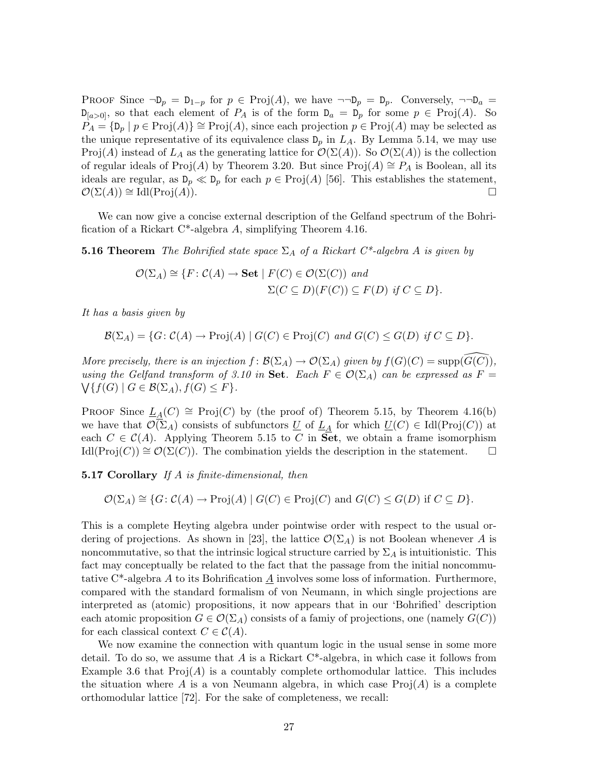PROOF Since  $\neg D_p = D_{1-p}$  for  $p \in Proj(A)$ , we have  $\neg \neg D_p = D_p$ . Conversely,  $\neg \neg D_a$  $D_{[a>0]}$ , so that each element of  $P_A$  is of the form  $D_a = D_p$  for some  $p \in Proj(A)$ . So  $P_A = \{ \mathsf{D}_p \mid p \in \text{Proj}(A) \} \cong \text{Proj}(A)$ , since each projection  $p \in \text{Proj}(A)$  may be selected as the unique representative of its equivalence class  $D_p$  in  $L_A$ . By Lemma 5.14, we may use Proj(A) instead of  $L_A$  as the generating lattice for  $\mathcal{O}(\Sigma(A))$ . So  $\mathcal{O}(\Sigma(A))$  is the collection of regular ideals of Proj(A) by Theorem 3.20. But since Proj(A)  $\cong P_A$  is Boolean, all its ideals are regular, as  $D_p \ll D_p$  for each  $p \in Proj(A)$  [56]. This establishes the statement,  $\mathcal{O}(\Sigma(A)) \cong \mathrm{Id}(\mathrm{Proj}(A)).$ 

We can now give a concise external description of the Gelfand spectrum of the Bohrification of a Rickart C\*-algebra A, simplifying Theorem 4.16.

**5.16 Theorem** The Bohrified state space  $\Sigma_A$  of a Rickart  $C^*$ -algebra A is given by

$$
\mathcal{O}(\Sigma_A) \cong \{F \colon \mathcal{C}(A) \to \mathbf{Set} \mid F(C) \in \mathcal{O}(\Sigma(C)) \text{ and}
$$
  

$$
\Sigma(C \subseteq D)(F(C)) \subseteq F(D) \text{ if } C \subseteq D\}.
$$

It has a basis given by

$$
\mathcal{B}(\Sigma_A) = \{ G \colon \mathcal{C}(A) \to \mathrm{Proj}(A) \mid G(C) \in \mathrm{Proj}(C) \text{ and } G(C) \leq G(D) \text{ if } C \subseteq D \}.
$$

More precisely, there is an injection  $f: \mathcal{B}(\Sigma_A) \to \mathcal{O}(\Sigma_A)$  given by  $f(G)(C) = \text{supp}(\widehat{G(C)})$ , using the Gelfand transform of 3.10 in Set. Each  $F \in \mathcal{O}(\Sigma_A)$  can be expressed as  $F =$  $\bigvee \{f(G) \mid G \in \mathcal{B}(\Sigma_A), f(G) \leq F\}.$ 

PROOF Since  $L_A(C) \cong \text{Proj}(C)$  by (the proof of) Theorem 5.15, by Theorem 4.16(b) we have that  $\mathcal{O}(\Sigma_A)$  consists of subfunctors  $\underline{U}$  of  $\underline{L}_A$  for which  $\underline{U}(C) \in \text{Id}(\text{Proj}(C))$  at each  $C \in \mathcal{C}(A)$ . Applying Theorem 5.15 to C in Set, we obtain a frame isomorphism  $\text{Id}(\text{Proj}(C)) \cong \mathcal{O}(\Sigma(C)).$  The combination yields the description in the statement.  $\Box$ 

**5.17 Corollary** If A is finite-dimensional, then

$$
\mathcal{O}(\Sigma_A) \cong \{ G \colon \mathcal{C}(A) \to \text{Proj}(A) \mid G(C) \in \text{Proj}(C) \text{ and } G(C) \leq G(D) \text{ if } C \subseteq D \}.
$$

This is a complete Heyting algebra under pointwise order with respect to the usual ordering of projections. As shown in [23], the lattice  $\mathcal{O}(\Sigma_A)$  is not Boolean whenever A is noncommutative, so that the intrinsic logical structure carried by  $\Sigma_A$  is intuitionistic. This fact may conceptually be related to the fact that the passage from the initial noncommutative  $C^*$ -algebra A to its Bohrification A involves some loss of information. Furthermore, compared with the standard formalism of von Neumann, in which single projections are interpreted as (atomic) propositions, it now appears that in our 'Bohrified' description each atomic proposition  $G \in \mathcal{O}(\Sigma_A)$  consists of a family of projections, one (namely  $G(C)$ ) for each classical context  $C \in \mathcal{C}(A)$ .

We now examine the connection with quantum logic in the usual sense in some more detail. To do so, we assume that  $A$  is a Rickart  $C^*$ -algebra, in which case it follows from Example 3.6 that  $\text{Proj}(A)$  is a countably complete orthomodular lattice. This includes the situation where A is a von Neumann algebra, in which case  $\text{Proj}(A)$  is a complete orthomodular lattice [72]. For the sake of completeness, we recall: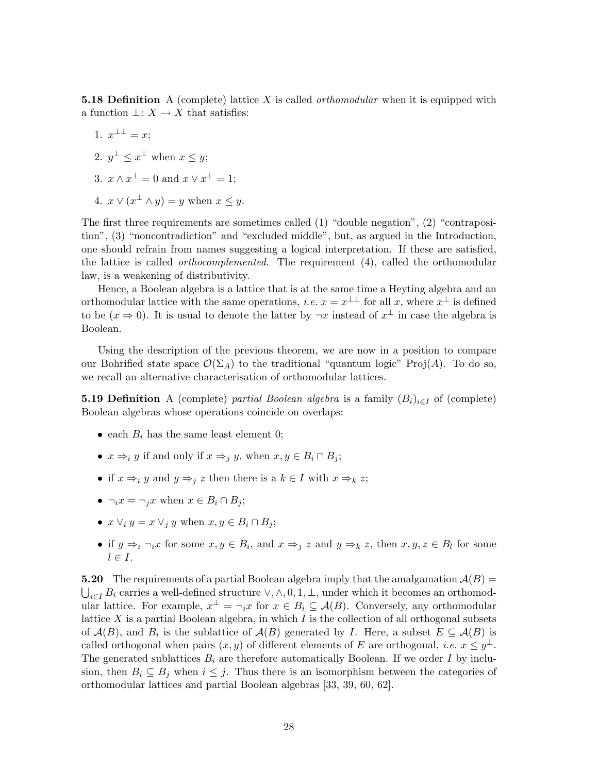**5.18 Definition** A (complete) lattice X is called *orthomodular* when it is equipped with a function  $\bot: X \to X$  that satisfies:

- 1.  $x^{\perp \perp} = x;$
- 2.  $y^{\perp} \leq x^{\perp}$  when  $x \leq y$ ;
- 3.  $x \wedge x^{\perp} = 0$  and  $x \vee x^{\perp} = 1$ ;
- 4.  $x \vee (x^{\perp} \wedge y) = y$  when  $x \leq y$ .

The first three requirements are sometimes called (1) "double negation", (2) "contraposition", (3) "noncontradiction" and "excluded middle", but, as argued in the Introduction, one should refrain from names suggesting a logical interpretation. If these are satisfied, the lattice is called *orthocomplemented*. The requirement (4), called the orthomodular law, is a weakening of distributivity.

Hence, a Boolean algebra is a lattice that is at the same time a Heyting algebra and an orthomodular lattice with the same operations, *i.e.*  $x = x^{\perp \perp}$  for all x, where  $x^{\perp}$  is defined to be  $(x \to 0)$ . It is usual to denote the latter by  $\neg x$  instead of  $x^{\perp}$  in case the algebra is Boolean.

Using the description of the previous theorem, we are now in a position to compare our Bohrified state space  $\mathcal{O}(\Sigma_A)$  to the traditional "quantum logic" Proj(A). To do so, we recall an alternative characterisation of orthomodular lattices.

**5.19 Definition** A (complete) partial Boolean algebra is a family  $(B_i)_{i\in I}$  of (complete) Boolean algebras whose operations coincide on overlaps:

- each  $B_i$  has the same least element 0;
- $x \Rightarrow_i y$  if and only if  $x \Rightarrow_i y$ , when  $x, y \in B_i \cap B_j$ ;
- if  $x \Rightarrow_i y$  and  $y \Rightarrow_i z$  then there is a  $k \in I$  with  $x \Rightarrow_k z$ ;
- $\neg_i x = \neg_i x$  when  $x \in B_i \cap B_i$ ;
- $x \vee_i y = x \vee_i y$  when  $x, y \in B_i \cap B_i$ ;
- if  $y \Rightarrow_i \neg_i x$  for some  $x, y \in B_i$ , and  $x \Rightarrow_j z$  and  $y \Rightarrow_k z$ , then  $x, y, z \in B_l$  for some  $l \in I$ .

**5.20** The requirements of a partial Boolean algebra imply that the amalgamation  $\mathcal{A}(B)$  =  $\bigcup_{i\in I} B_i$  carries a well-defined structure  $\vee, \wedge, 0, 1, \perp$ , under which it becomes an orthomodular lattice. For example,  $x^{\perp} = \neg_i x$  for  $x \in B_i \subseteq \mathcal{A}(B)$ . Conversely, any orthomodular lattice  $X$  is a partial Boolean algebra, in which  $I$  is the collection of all orthogonal subsets of  $\mathcal{A}(B)$ , and  $B_i$  is the sublattice of  $\mathcal{A}(B)$  generated by I. Here, a subset  $E \subseteq \mathcal{A}(B)$  is called orthogonal when pairs  $(x, y)$  of different elements of E are orthogonal, *i.e.*  $x \leq y^{\perp}$ . The generated sublattices  $B_i$  are therefore automatically Boolean. If we order I by inclusion, then  $B_i \subseteq B_j$  when  $i \leq j$ . Thus there is an isomorphism between the categories of orthomodular lattices and partial Boolean algebras [33, 39, 60, 62].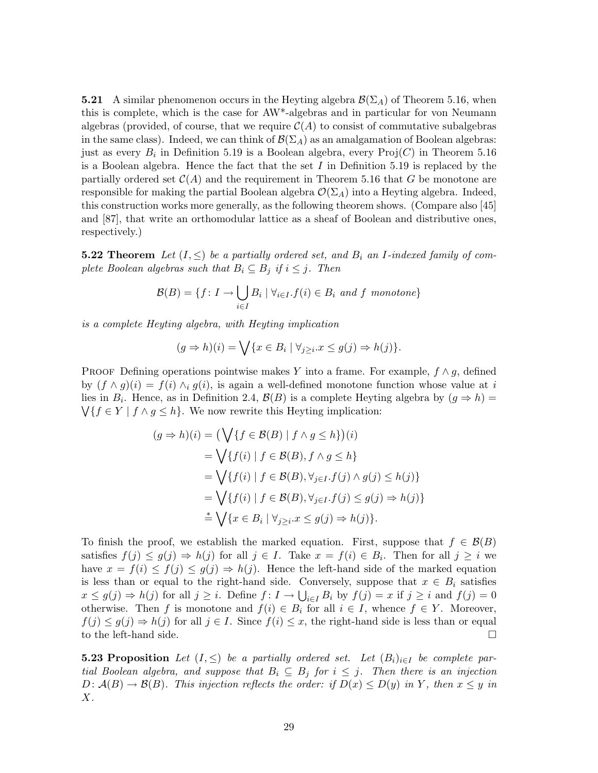**5.21** A similar phenomenon occurs in the Heyting algebra  $\mathcal{B}(\Sigma_A)$  of Theorem 5.16, when this is complete, which is the case for AW\*-algebras and in particular for von Neumann algebras (provided, of course, that we require  $\mathcal{C}(A)$  to consist of commutative subalgebras in the same class). Indeed, we can think of  $\mathcal{B}(\Sigma_A)$  as an amalgamation of Boolean algebras: just as every  $B_i$  in Definition 5.19 is a Boolean algebra, every  $\text{Proj}(C)$  in Theorem 5.16 is a Boolean algebra. Hence the fact that the set  $I$  in Definition 5.19 is replaced by the partially ordered set  $C(A)$  and the requirement in Theorem 5.16 that G be monotone are responsible for making the partial Boolean algebra  $\mathcal{O}(\Sigma_A)$  into a Heyting algebra. Indeed, this construction works more generally, as the following theorem shows. (Compare also [45] and [87], that write an orthomodular lattice as a sheaf of Boolean and distributive ones, respectively.)

**5.22 Theorem** Let  $(I, \leq)$  be a partially ordered set, and  $B_i$  an I-indexed family of complete Boolean algebras such that  $B_i \subseteq B_j$  if  $i \leq j$ . Then

$$
\mathcal{B}(B) = \{ f \colon I \to \bigcup_{i \in I} B_i \mid \forall_{i \in I} . f(i) \in B_i \text{ and } f \text{ monotone} \}
$$

is a complete Heyting algebra, with Heyting implication

$$
(g \Rightarrow h)(i) = \bigvee \{x \in B_i \mid \forall_{j \geq i} . x \leq g(j) \Rightarrow h(j)\}.
$$

PROOF Defining operations pointwise makes Y into a frame. For example,  $f \wedge g$ , defined by  $(f \wedge g)(i) = f(i) \wedge_i g(i)$ , is again a well-defined monotone function whose value at i lies in  $B_i$ . Hence, as in Definition 2.4,  $\mathcal{B}(B)$  is a complete Heyting algebra by  $(g \Rightarrow h)$  =  $\bigvee \{f \in Y \mid f \wedge g \leq h\}.$  We now rewrite this Heyting implication:

$$
(g \Rightarrow h)(i) = \left(\bigvee \{f \in \mathcal{B}(B) \mid f \wedge g \le h\}\right)(i)
$$
  
=  $\bigvee \{f(i) \mid f \in \mathcal{B}(B), f \wedge g \le h\}$   
=  $\bigvee \{f(i) \mid f \in \mathcal{B}(B), \forall_{j \in I} . f(j) \wedge g(j) \le h(j)\}$   
=  $\bigvee \{f(i) \mid f \in \mathcal{B}(B), \forall_{j \in I} . f(j) \le g(j) \Rightarrow h(j)\}$   
 $\stackrel{*}{=} \bigvee \{x \in B_i \mid \forall_{j \ge i} . x \le g(j) \Rightarrow h(j)\}.$ 

To finish the proof, we establish the marked equation. First, suppose that  $f \in \mathcal{B}(B)$ satisfies  $f(j) \leq g(j) \Rightarrow h(j)$  for all  $j \in I$ . Take  $x = f(i) \in B_i$ . Then for all  $j \geq i$  we have  $x = f(i) \leq f(j) \leq g(j) \Rightarrow h(j)$ . Hence the left-hand side of the marked equation is less than or equal to the right-hand side. Conversely, suppose that  $x \in B_i$  satisfies  $x \leq g(j) \Rightarrow h(j)$  for all  $j \geq i$ . Define  $f: I \to \bigcup_{i \in I} B_i$  by  $f(j) = x$  if  $j \geq i$  and  $f(j) = 0$ otherwise. Then f is monotone and  $f(i) \in B_i$  for all  $i \in I$ , whence  $f \in Y$ . Moreover,  $f(j) \leq g(j) \Rightarrow h(j)$  for all  $j \in I$ . Since  $f(i) \leq x$ , the right-hand side is less than or equal to the left-hand side.

**5.23 Proposition** Let  $(I, \leq)$  be a partially ordered set. Let  $(B_i)_{i \in I}$  be complete partial Boolean algebra, and suppose that  $B_i \subseteq B_j$  for  $i \leq j$ . Then there is an injection  $D: \mathcal{A}(B) \to \mathcal{B}(B)$ . This injection reflects the order: if  $D(x) \le D(y)$  in Y, then  $x \le y$  in  $X$ .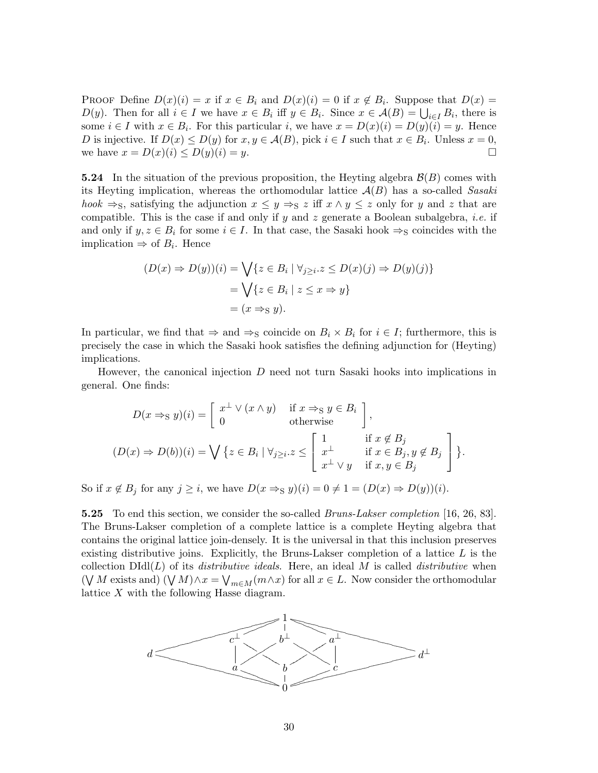PROOF Define  $D(x)(i) = x$  if  $x \in B_i$  and  $D(x)(i) = 0$  if  $x \notin B_i$ . Suppose that  $D(x) =$  $D(y)$ . Then for all  $i \in I$  we have  $x \in B_i$  iff  $y \in B_i$ . Since  $x \in \mathcal{A}(B) = \bigcup_{i \in I} B_i$ , there is some  $i \in I$  with  $x \in B_i$ . For this particular i, we have  $x = D(x)(i) = D(y)(i) = y$ . Hence D is injective. If  $D(x) \le D(y)$  for  $x, y \in \mathcal{A}(B)$ , pick  $i \in I$  such that  $x \in B_i$ . Unless  $x = 0$ , we have  $x = D(x)(i) \le D(y)(i) = y$ .

**5.24** In the situation of the previous proposition, the Heyting algebra  $\mathcal{B}(B)$  comes with its Heyting implication, whereas the orthomodular lattice  $A(B)$  has a so-called Sasaki hook  $\Rightarrow$ s, satisfying the adjunction  $x \leq y \Rightarrow$ s z iff  $x \wedge y \leq z$  only for y and z that are compatible. This is the case if and only if y and z generate a Boolean subalgebra, *i.e.* if and only if  $y, z \in B_i$  for some  $i \in I$ . In that case, the Sasaki hook  $\Rightarrow_S$  coincides with the implication  $\Rightarrow$  of  $B_i$ . Hence

$$
(D(x) \Rightarrow D(y))(i) = \bigvee \{ z \in B_i \mid \forall_{j \ge i} . z \le D(x)(j) \Rightarrow D(y)(j) \}
$$

$$
= \bigvee \{ z \in B_i \mid z \le x \Rightarrow y \}
$$

$$
= (x \Rightarrow_{S} y).
$$

In particular, we find that  $\Rightarrow$  and  $\Rightarrow_S$  coincide on  $B_i \times B_i$  for  $i \in I$ ; furthermore, this is precisely the case in which the Sasaki hook satisfies the defining adjunction for (Heyting) implications.

However, the canonical injection  $D$  need not turn Sasaki hooks into implications in general. One finds:

$$
D(x \Rightarrow s \ y)(i) = \begin{bmatrix} x^{\perp} \lor (x \land y) & \text{if } x \Rightarrow s \ y \in B_i \\ 0 & \text{otherwise} \end{bmatrix},
$$
  

$$
(D(x) \Rightarrow D(b))(i) = \bigvee \{ z \in B_i \mid \forall_{j \geq i} . z \leq \begin{bmatrix} 1 & \text{if } x \notin B_j \\ x^{\perp} & \text{if } x \in B_j, y \notin B_j \\ x^{\perp} \lor y & \text{if } x, y \in B_j \end{bmatrix} \}.
$$

So if  $x \notin B_j$  for any  $j \geq i$ , we have  $D(x \Rightarrow_S y)(i) = 0 \neq 1 = (D(x) \Rightarrow D(y))(i)$ .

**5.25** To end this section, we consider the so-called *Bruns-Lakser completion* [16, 26, 83]. The Bruns-Lakser completion of a complete lattice is a complete Heyting algebra that contains the original lattice join-densely. It is the universal in that this inclusion preserves existing distributive joins. Explicitly, the Bruns-Lakser completion of a lattice  $L$  is the collection  $D\text{Id}(L)$  of its *distributive ideals*. Here, an ideal M is called *distributive* when  $(\forall M$  exists and)  $(\forall M) \land x = \forall_{m \in M} (m \land x)$  for all  $x \in L$ . Now consider the orthomodular lattice X with the following Hasse diagram.

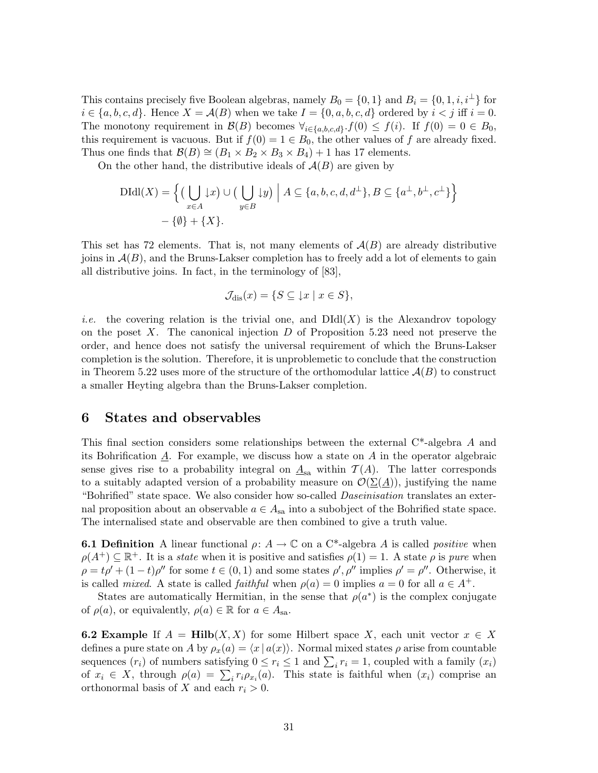This contains precisely five Boolean algebras, namely  $B_0 = \{0, 1\}$  and  $B_i = \{0, 1, i, i^{\perp}\}\$ for  $i \in \{a, b, c, d\}$ . Hence  $X = \mathcal{A}(B)$  when we take  $I = \{0, a, b, c, d\}$  ordered by  $i < j$  iff  $i = 0$ . The monotony requirement in  $\mathcal{B}(B)$  becomes  $\forall_{i \in \{a,b,c,d\}} \cdot f(0) \leq f(i)$ . If  $f(0) = 0 \in B_0$ , this requirement is vacuous. But if  $f(0) = 1 \in B_0$ , the other values of f are already fixed. Thus one finds that  $\mathcal{B}(B) \cong (B_1 \times B_2 \times B_3 \times B_4) + 1$  has 17 elements.

On the other hand, the distributive ideals of  $A(B)$  are given by

$$
\text{DIdl}(X) = \left\{ \left( \bigcup_{x \in A} \downarrow x \right) \cup \left( \bigcup_{y \in B} \downarrow y \right) \middle| A \subseteq \{a, b, c, d, d^{\perp}\}, B \subseteq \{a^{\perp}, b^{\perp}, c^{\perp}\} \right\} - \left\{ \emptyset \right\} + \left\{ X \right\}.
$$

This set has 72 elements. That is, not many elements of  $A(B)$  are already distributive joins in  $A(B)$ , and the Bruns-Lakser completion has to freely add a lot of elements to gain all distributive joins. In fact, in the terminology of [83],

$$
\mathcal{J}_{\mathrm{dis}}(x) = \{ S \subseteq \downarrow x \mid x \in S \},\
$$

*i.e.* the covering relation is the trivial one, and  $DIdl(X)$  is the Alexandrov topology on the poset  $X$ . The canonical injection  $D$  of Proposition 5.23 need not preserve the order, and hence does not satisfy the universal requirement of which the Bruns-Lakser completion is the solution. Therefore, it is unproblemetic to conclude that the construction in Theorem 5.22 uses more of the structure of the orthomodular lattice  $\mathcal{A}(B)$  to construct a smaller Heyting algebra than the Bruns-Lakser completion.

## 6 States and observables

This final section considers some relationships between the external C\*-algebra A and its Bohrification  $\underline{A}$ . For example, we discuss how a state on  $A$  in the operator algebraic sense gives rise to a probability integral on  $\underline{A}_{sa}$  within  $\mathcal{T}(A)$ . The latter corresponds to a suitably adapted version of a probability measure on  $\mathcal{O}(\underline{\Sigma(\underline{A})})$ , justifying the name "Bohrified" state space. We also consider how so-called *Daseinisation* translates an external proposition about an observable  $a \in A_{sa}$  into a subobject of the Bohrified state space. The internalised state and observable are then combined to give a truth value.

**6.1 Definition** A linear functional  $\rho: A \to \mathbb{C}$  on a C<sup>\*</sup>-algebra A is called *positive* when  $\rho(A^+) \subseteq \mathbb{R}^+$ . It is a *state* when it is positive and satisfies  $\rho(1) = 1$ . A state  $\rho$  is pure when  $\rho = t\rho' + (1-t)\rho''$  for some  $t \in (0,1)$  and some states  $\rho', \rho''$  implies  $\rho' = \rho''$ . Otherwise, it is called mixed. A state is called *faithful* when  $\rho(a) = 0$  implies  $a = 0$  for all  $a \in A^+$ .

States are automatically Hermitian, in the sense that  $\rho(a^*)$  is the complex conjugate of  $\rho(a)$ , or equivalently,  $\rho(a) \in \mathbb{R}$  for  $a \in A_{sa}$ .

**6.2 Example** If  $A = Hilb(X, X)$  for some Hilbert space X, each unit vector  $x \in X$ defines a pure state on A by  $\rho_x(a) = \langle x | a(x) \rangle$ . Normal mixed states  $\rho$  arise from countable sequences  $(r_i)$  of numbers satisfying  $0 \le r_i \le 1$  and  $\sum_i r_i = 1$ , coupled with a family  $(x_i)$ of  $x_i \in X$ , through  $\rho(a) = \sum_i r_i \rho_{x_i}(a)$ . This state is faithful when  $(x_i)$  comprise an orthonormal basis of X and each  $r_i > 0$ .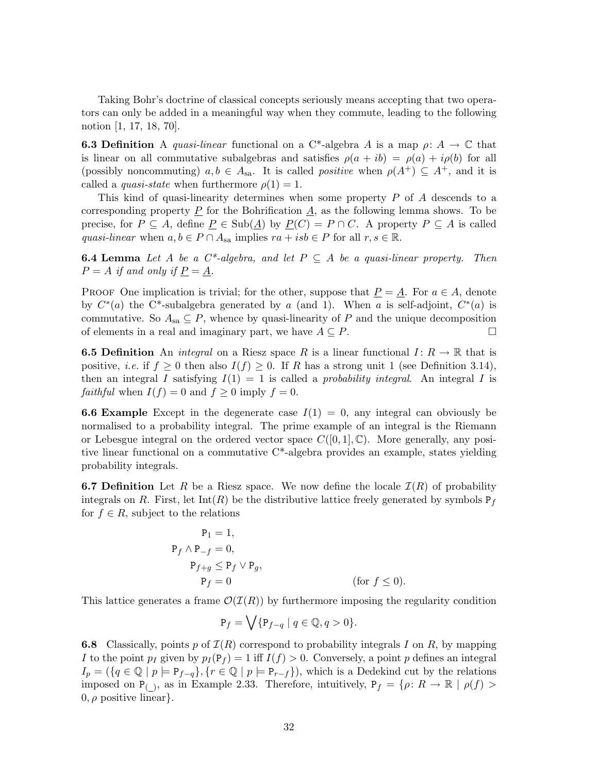Taking Bohr's doctrine of classical concepts seriously means accepting that two operators can only be added in a meaningful way when they commute, leading to the following notion [1, 17, 18, 70].

**6.3 Definition** A quasi-linear functional on a C<sup>\*</sup>-algebra A is a map  $\rho: A \to \mathbb{C}$  that is linear on all commutative subalgebras and satisfies  $\rho(a + ib) = \rho(a) + i\rho(b)$  for all (possibly noncommuting)  $a, b \in A_{sa}$ . It is called *positive* when  $\rho(A^+) \subseteq A^+$ , and it is called a *quasi-state* when furthermore  $\rho(1) = 1$ .

This kind of quasi-linearity determines when some property P of A descends to a corresponding property  $\underline{P}$  for the Bohrification  $\underline{A}$ , as the following lemma shows. To be precise, for  $P \subseteq A$ , define  $\underline{P} \in Sub(\underline{A})$  by  $\underline{P}(C) = P \cap C$ . A property  $P \subseteq A$  is called quasi-linear when  $a, b \in P \cap A_{sa}$  implies  $ra + isb \in P$  for all  $r, s \in \mathbb{R}$ .

**6.4 Lemma** Let A be a  $C^*$ -algebra, and let  $P \subseteq A$  be a quasi-linear property. Then  $P = A$  if and only if  $\underline{P} = \underline{A}$ .

**PROOF** One implication is trivial; for the other, suppose that  $\underline{P} = \underline{A}$ . For  $a \in A$ , denote by  $C^*(a)$  the C<sup>\*</sup>-subalgebra generated by a (and 1). When a is self-adjoint,  $C^*(a)$  is commutative. So  $A_{sa} \subseteq P$ , whence by quasi-linearity of P and the unique decomposition of elements in a real and imaginary part, we have  $A \subseteq P$ .

**6.5 Definition** An *integral* on a Riesz space R is a linear functional  $I: R \to \mathbb{R}$  that is positive, *i.e.* if  $f \geq 0$  then also  $I(f) \geq 0$ . If R has a strong unit 1 (see Definition 3.14), then an integral I satisfying  $I(1) = 1$  is called a *probability integral*. An integral I is *faithful* when  $I(f) = 0$  and  $f \ge 0$  imply  $f = 0$ .

**6.6 Example** Except in the degenerate case  $I(1) = 0$ , any integral can obviously be normalised to a probability integral. The prime example of an integral is the Riemann or Lebesgue integral on the ordered vector space  $C([0, 1], \mathbb{C})$ . More generally, any positive linear functional on a commutative C\*-algebra provides an example, states yielding probability integrals.

**6.7 Definition** Let R be a Riesz space. We now define the locale  $\mathcal{I}(R)$  of probability integrals on R. First, let  $Int(R)$  be the distributive lattice freely generated by symbols  $P_f$ for  $f \in R$ , subject to the relations

$$
P_1 = 1,
$$
  
\n
$$
P_f \wedge P_{-f} = 0,
$$
  
\n
$$
P_{f+g} \le P_f \vee P_g,
$$
  
\n
$$
P_f = 0
$$
 (for  $f \le 0$ ).

This lattice generates a frame  $\mathcal{O}(\mathcal{I}(R))$  by furthermore imposing the regularity condition

$$
\mathsf{P}_f = \bigvee \{ \mathsf{P}_{f-q} \mid q \in \mathbb{Q}, q > 0 \}.
$$

**6.8** Classically, points p of  $\mathcal{I}(R)$  correspond to probability integrals I on R, by mapping I to the point  $p_I$  given by  $p_I(\mathbf{P}_f) = 1$  iff  $I(f) > 0$ . Conversely, a point p defines an integral  $I_p = (\{q \in \mathbb{Q} \mid p \models P_{f-q}\}, \{r \in \mathbb{Q} \mid p \models P_{r-f}\})$ , which is a Dedekind cut by the relations imposed on  $P_{(1)}$ , as in Example 2.33. Therefore, intuitively,  $P_f = \{\rho: R \to \mathbb{R} \mid \rho(f) >$  $0, \rho$  positive linear.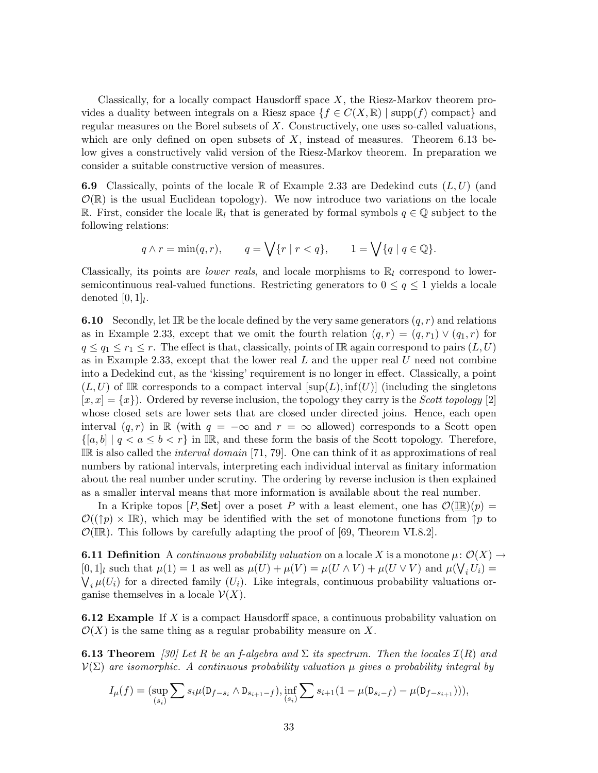Classically, for a locally compact Hausdorff space X, the Riesz-Markov theorem provides a duality between integrals on a Riesz space  $\{f \in C(X,\mathbb{R}) \mid \text{supp}(f) \text{ compact}\}\$ and regular measures on the Borel subsets of  $X$ . Constructively, one uses so-called valuations, which are only defined on open subsets of  $X$ , instead of measures. Theorem 6.13 below gives a constructively valid version of the Riesz-Markov theorem. In preparation we consider a suitable constructive version of measures.

**6.9** Classically, points of the locale R of Example 2.33 are Dedekind cuts  $(L, U)$  (and  $\mathcal{O}(\mathbb{R})$  is the usual Euclidean topology). We now introduce two variations on the locale R. First, consider the locale  $\mathbb{R}_l$  that is generated by formal symbols  $q \in \mathbb{Q}$  subject to the following relations:

$$
q \wedge r = \min(q, r), \qquad q = \bigvee \{r \mid r < q\}, \qquad 1 = \bigvee \{q \mid q \in \mathbb{Q}\}.
$$

Classically, its points are *lower reals*, and locale morphisms to  $\mathbb{R}_l$  correspond to lowersemicontinuous real-valued functions. Restricting generators to  $0 \leq q \leq 1$  yields a locale denoted  $[0,1]_l$ .

**6.10** Secondly, let IR be the locale defined by the very same generators  $(q, r)$  and relations as in Example 2.33, except that we omit the fourth relation  $(q, r) = (q, r_1) \vee (q_1, r)$  for  $q \leq q_1 \leq r_1 \leq r$ . The effect is that, classically, points of IR again correspond to pairs  $(L, U)$ as in Example 2.33, except that the lower real  $L$  and the upper real  $U$  need not combine into a Dedekind cut, as the 'kissing' requirement is no longer in effect. Classically, a point  $(L, U)$  of IR corresponds to a compact interval  $[\text{sup}(L), \text{inf}(U)]$  (including the singletons  $[x, x] = \{x\}$ . Ordered by reverse inclusion, the topology they carry is the *Scott topology* [2] whose closed sets are lower sets that are closed under directed joins. Hence, each open interval  $(q, r)$  in R (with  $q = -\infty$  and  $r = \infty$  allowed) corresponds to a Scott open  $\{[a, b] \mid q < a \leq b < r\}$  in IR, and these form the basis of the Scott topology. Therefore, IR is also called the *interval domain* [71, 79]. One can think of it as approximations of real numbers by rational intervals, interpreting each individual interval as finitary information about the real number under scrutiny. The ordering by reverse inclusion is then explained as a smaller interval means that more information is available about the real number.

In a Kripke topos  $[P, \text{Set}]$  over a poset P with a least element, one has  $\mathcal{O}(\mathbb{R})(p) =$  $\mathcal{O}((\uparrow p) \times \mathbb{IR})$ , which may be identified with the set of monotone functions from  $\uparrow p$  to  $\mathcal{O}(\mathbb{IR})$ . This follows by carefully adapting the proof of [69, Theorem VI.8.2].

**6.11 Definition** A continuous probability valuation on a locale X is a monotone  $\mu: \mathcal{O}(X) \rightarrow$ [0, 1]<sub>l</sub> such that  $\mu(1) = 1$  as well as  $\mu(U) + \mu(V) = \mu(U \wedge V) + \mu(U \vee V)$  and  $\mu(\bigvee_i U_i) =$  $\bigvee_i \mu(U_i)$  for a directed family  $(U_i)$ . Like integrals, continuous probability valuations organise themselves in a locale  $\mathcal{V}(X)$ .

**6.12 Example** If X is a compact Hausdorff space, a continuous probability valuation on  $\mathcal{O}(X)$  is the same thing as a regular probability measure on X.

**6.13 Theorem** [30] Let R be an f-algebra and  $\Sigma$  its spectrum. Then the locales  $\mathcal{I}(R)$  and  $\mathcal{V}(\Sigma)$  are isomorphic. A continuous probability valuation  $\mu$  gives a probability integral by

$$
I_{\mu}(f) = (\sup_{(s_i)} \sum s_i \mu(D_{f-s_i} \wedge D_{s_{i+1}-f}), \inf_{(s_i)} \sum s_{i+1} (1 - \mu(D_{s_i} - f) - \mu(D_{f-s_{i+1}}))),
$$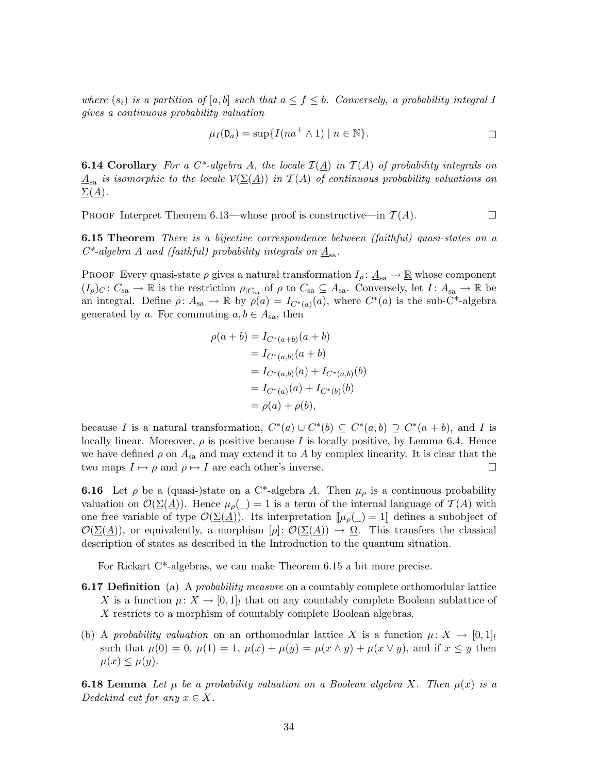where  $(s_i)$  is a partition of  $[a, b]$  such that  $a \leq f \leq b$ . Conversely, a probability integral I gives a continuous probability valuation

$$
\mu_I(\mathsf{D}_a) = \sup \{ I(na^+ \wedge 1) \mid n \in \mathbb{N} \}.
$$

**6.14 Corollary** For a C<sup>\*</sup>-algebra A, the locale  $\mathcal{I}(\underline{A})$  in  $\mathcal{T}(A)$  of probability integrals on  $A_{\rm ss}$  is isomorphic to the locale  $\mathcal{V}(\Sigma(A))$  in  $\mathcal{T}(A)$  of continuous probability valuations on  $\Sigma(\underline{A})$ .

PROOF Interpret Theorem 6.13—whose proof is constructive—in  $\mathcal{T}(A)$ .

**6.15 Theorem** There is a bijective correspondence between (faithful) quasi-states on a  $C^*$ -algebra A and (faithful) probability integrals on  $\underline{A}_{sa}$ .

PROOF Every quasi-state  $\rho$  gives a natural transformation  $I_\rho: \underline{A}_{sa} \to \underline{\mathbb{R}}$  whose component  $(I_\rho)_C\colon C_{\text{sa}} \to \mathbb{R}$  is the restriction  $\rho_{|C_{\text{sa}}}$  of  $\rho$  to  $C_{\text{sa}} \subseteq A_{\text{sa}}$ . Conversely, let  $I \colon \underline{A}_{\text{sa}} \to \mathbb{R}$  be an integral. Define  $\rho: A_{sa} \to \mathbb{R}$  by  $\rho(a) = I_{C^*(a)}(a)$ , where  $C^*(a)$  is the sub-C<sup>\*</sup>-algebra generated by a. For commuting  $a, b \in A_{sa}$ , then

$$
\rho(a+b) = I_{C^*(a+b)}(a+b)
$$
  
=  $I_{C^*(a,b)}(a+b)$   
=  $I_{C^*(a,b)}(a) + I_{C^*(a,b)}(b)$   
=  $I_{C^*(a)}(a) + I_{C^*(b)}(b)$   
=  $\rho(a) + \rho(b)$ ,

because I is a natural transformation,  $C^*(a) \cup C^*(b) \subseteq C^*(a, b) \supseteq C^*(a + b)$ , and I is locally linear. Moreover,  $\rho$  is positive because I is locally positive, by Lemma 6.4. Hence we have defined  $\rho$  on  $A_{sa}$  and may extend it to A by complex linearity. It is clear that the two maps  $I \mapsto \rho$  and  $\rho \mapsto I$  are each other's inverse.

**6.16** Let  $\rho$  be a (quasi-)state on a C<sup>\*</sup>-algebra A. Then  $\mu_{\rho}$  is a continuous probability valuation on  $\mathcal{O}(\underline{\Sigma}(\underline{A}))$ . Hence  $\mu_{\rho}(\underline{\ })=1$  is a term of the internal language of  $\mathcal{T}(A)$  with one free variable of type  $\mathcal{O}(\Sigma(\underline{A}))$ . Its interpretation  $[\mu_{\rho}(\underline{\ } )]=1]$  defines a subobject of  $\mathcal{O}(\underline{\Sigma}(\underline{A}))$ , or equivalently, a morphism  $[\rho]: \mathcal{O}(\underline{\Sigma}(\underline{A})) \to \underline{\Omega}$ . This transfers the classical description of states as described in the Introduction to the quantum situation.

For Rickart C\*-algebras, we can make Theorem 6.15 a bit more precise.

- **6.17 Definition** (a) A *probability measure* on a countably complete orthomodular lattice X is a function  $\mu: X \to [0,1]_l$  that on any countably complete Boolean sublattice of X restricts to a morphism of countably complete Boolean algebras.
- (b) A probability valuation on an orthomodular lattice X is a function  $\mu: X \to [0, 1]_l$ such that  $\mu(0) = 0$ ,  $\mu(1) = 1$ ,  $\mu(x) + \mu(y) = \mu(x \wedge y) + \mu(x \vee y)$ , and if  $x \leq y$  then  $\mu(x) \leq \mu(y)$ .

**6.18 Lemma** Let  $\mu$  be a probability valuation on a Boolean algebra X. Then  $\mu(x)$  is a Dedekind cut for any  $x \in X$ .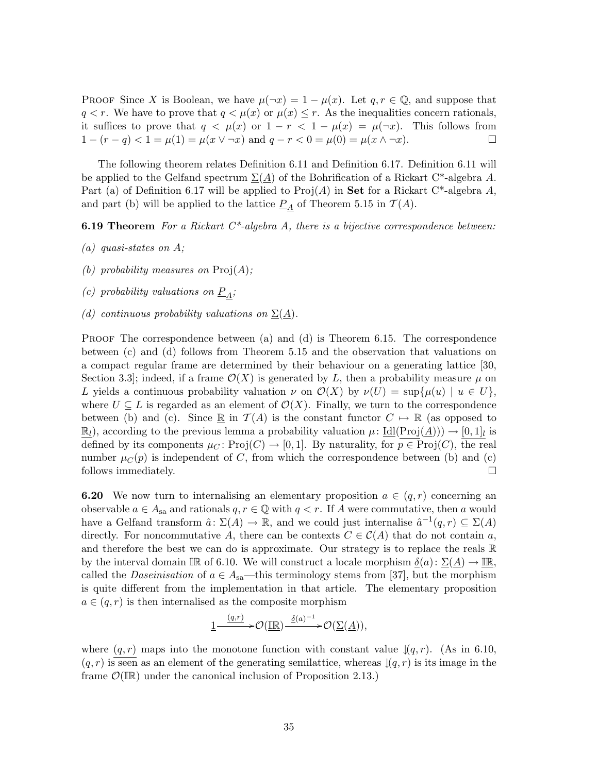PROOF Since X is Boolean, we have  $\mu(\neg x) = 1 - \mu(x)$ . Let  $q, r \in \mathbb{Q}$ , and suppose that  $q < r$ . We have to prove that  $q < \mu(x)$  or  $\mu(x) \leq r$ . As the inequalities concern rationals, it suffices to prove that  $q < \mu(x)$  or  $1 - r < 1 - \mu(x) = \mu(\neg x)$ . This follows from  $1 - (r - q) < 1 = \mu(1) = \mu(x \vee \neg x)$  and  $q - r < 0 = \mu(0) = \mu(x \wedge \neg x)$ .

The following theorem relates Definition 6.11 and Definition 6.17. Definition 6.11 will be applied to the Gelfand spectrum  $\Sigma(A)$  of the Bohrification of a Rickart C<sup>\*</sup>-algebra A. Part (a) of Definition 6.17 will be applied to  $\text{Proj}(A)$  in **Set** for a Rickart C<sup>\*</sup>-algebra A, and part (b) will be applied to the lattice  $P_A$  of Theorem 5.15 in  $T(A)$ .

**6.19 Theorem** For a Rickart  $C^*$ -algebra A, there is a bijective correspondence between:

- $(a)$  quasi-states on A;
- (b) probability measures on  $\text{Proj}(A)$ ;
- (c) probability valuations on  $\underline{P}_A$ ;
- (d) continuous probability valuations on  $\Sigma(A)$ .

PROOF The correspondence between (a) and (d) is Theorem 6.15. The correspondence between (c) and (d) follows from Theorem 5.15 and the observation that valuations on a compact regular frame are determined by their behaviour on a generating lattice [30, Section 3.3; indeed, if a frame  $\mathcal{O}(X)$  is generated by L, then a probability measure  $\mu$  on L yields a continuous probability valuation  $\nu$  on  $\mathcal{O}(X)$  by  $\nu(U) = \sup\{\mu(u) \mid u \in U\}$ , where  $U \subseteq L$  is regarded as an element of  $\mathcal{O}(X)$ . Finally, we turn to the correspondence between (b) and (c). Since  $\mathbb R$  in  $\mathcal T(A)$  is the constant functor  $C \mapsto \mathbb R$  (as opposed to  $\mathbb{R}_l$ , according to the previous lemma a probability valuation  $\mu: \underline{\text{Idl}}(\text{Proj}(\underline{A}))) \to [0, 1]_l$  is defined by its components  $\mu_C \colon \mathrm{Proj}(C) \to [0,1]$ . By naturality, for  $p \in \mathrm{Proj}(C)$ , the real number  $\mu_C(p)$  is independent of C, from which the correspondence between (b) and (c) follows immediately.  $\Box$ 

**6.20** We now turn to internalising an elementary proposition  $a \in (q, r)$  concerning an observable  $a \in A_{sa}$  and rationals  $q, r \in \mathbb{Q}$  with  $q < r$ . If A were commutative, then a would have a Gelfand transform  $\hat{a} \colon \Sigma(A) \to \mathbb{R}$ , and we could just internalise  $\hat{a}^{-1}(q, r) \subseteq \Sigma(A)$ directly. For noncommutative A, there can be contexts  $C \in C(A)$  that do not contain a, and therefore the best we can do is approximate. Our strategy is to replace the reals R by the interval domain IR of 6.10. We will construct a locale morphism  $\underline{\delta}(a): \Sigma(\underline{A}) \to \mathbb{IR}$ , called the *Daseinisation* of  $a \in A_{sa}$ —this terminology stems from [37], but the morphism is quite different from the implementation in that article. The elementary proposition  $a \in (q, r)$  is then internalised as the composite morphism

$$
\underbrace{1 \xrightarrow{(q,r)}} \mathcal{O}(\underline{\mathbb{IR}}) \xrightarrow{\underline{\delta}(a)^{-1}} \mathcal{O}(\underline{\Sigma}(\underline{A})),
$$

where  $(q, r)$  maps into the monotone function with constant value  $\downarrow (q, r)$ . (As in 6.10,  $(q, r)$  is seen as an element of the generating semilattice, whereas  $\mathcal{L}(q, r)$  is its image in the frame  $\mathcal{O}(\mathbb{IR})$  under the canonical inclusion of Proposition 2.13.)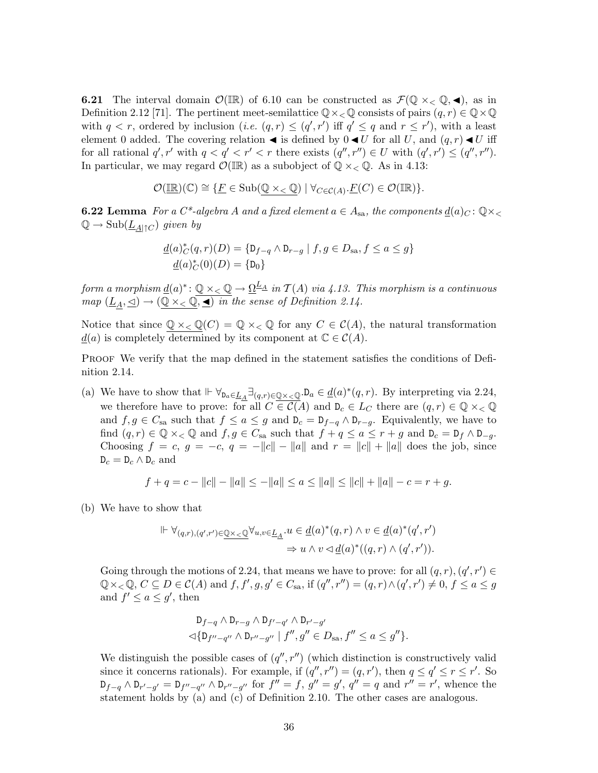**6.21** The interval domain  $\mathcal{O}(\mathbb{IR})$  of 6.10 can be constructed as  $\mathcal{F}(\mathbb{Q} \times_{\leq} \mathbb{Q}, \blacktriangleleft)$ , as in Definition 2.12 [71]. The pertinent meet-semilattice  $\mathbb{Q}\times\_{\mathbb{Q}}$  consists of pairs  $(q, r) \in \mathbb{Q}\times\mathbb{Q}$ with  $q < r$ , ordered by inclusion (*i.e.*  $(q, r) \leq (q', r')$  iff  $q' \leq q$  and  $r \leq r'$ ), with a least element 0 added. The covering relation  $\blacktriangleleft$  is defined by  $0 \blacktriangleleft U$  for all U, and  $(q, r) \blacktriangleleft U$  iff for all rational  $q', r'$  with  $q < q' < r' < r$  there exists  $(q'', r'') \in U$  with  $(q', r') \leq (q'', r'')$ . In particular, we may regard  $\mathcal{O}(\mathbb{IR})$  as a subobject of  $\mathbb{Q} \times_{\mathbb{Q}} \mathbb{Q}$ . As in 4.13:

$$
\mathcal{O}(\underline{\mathbb{IR}})(\mathbb{C}) \cong \{ \underline{F} \in \mathrm{Sub}(\mathbb{Q} \times_{\lt} \mathbb{Q}) \mid \forall_{C \in \mathcal{C}(A)} \cdot \underline{F}(C) \in \mathcal{O}(\mathbb{IR}) \}.
$$

**6.22 Lemma** For a C<sup>\*</sup>-algebra A and a fixed element  $a \in A_{sa}$ , the components  $d(a)_C : \mathbb{Q} \times_{\leq}$  $\mathbb{Q} \to \mathrm{Sub}(\underline{L}_{A|\uparrow C})$  given by

$$
\underline{d}(a)_{C}^{*}(q, r)(D) = \{D_{f-q} \wedge D_{r-g} \mid f, g \in D_{sa}, f \le a \le g\}
$$

$$
\underline{d}(a)_{C}^{*}(0)(D) = \{D_{0}\}
$$

form a morphism  $\underline{d}(a)^* \colon \mathbb{Q} \times_{<} \mathbb{Q} \to \underline{\Omega}^{\underline{L}_\Delta}$  in  $\mathcal{T}(A)$  via 4.13. This morphism is a continuous  $map \ (\underline{L}_A, \trianglelefteq) \rightarrow (\underline{\mathbb{Q}} \times_{\lt} \overline{\mathbb{Q}}, \underline{\blacktriangleleft})$  in the sense of Definition 2.14.

Notice that since  $\mathbb{Q} \times_{\leq} \mathbb{Q}(C) = \mathbb{Q} \times_{\leq} \mathbb{Q}$  for any  $C \in C(A)$ , the natural transformation  $\underline{d}(a)$  is completely determined by its component at  $\mathbb{C} \in \mathcal{C}(A)$ .

PROOF We verify that the map defined in the statement satisfies the conditions of Definition 2.14.

(a) We have to show that  $\Vdash \forall_{\mathbf{D}_a \in \underline{L}_A} \exists_{(q,r) \in \underline{\mathbb{Q}} \times \langle \underline{\mathbb{Q}} \cdot \mathbf{D}_a \in \underline{d}(a)^*(q,r)$ . By interpreting via 2.24, we therefore have to prove: for all  $C \in \mathcal{C}(A)$  and  $D_c \in L_C$  there are  $(q, r) \in \mathbb{Q} \times_{\leq} \mathbb{Q}$ and  $f, g \in C_{sa}$  such that  $f \le a \le g$  and  $D_c = D_{f-q} \wedge D_{r-g}$ . Equivalently, we have to find  $(q, r) \in \mathbb{Q} \times_{\leq} \mathbb{Q}$  and  $f, g \in C_{sa}$  such that  $f + q \leq a \leq r + g$  and  $D_c = D_f \wedge D_{-g}$ . Choosing  $f = c, g = -c, g = -||c|| - ||a||$  and  $r = ||c|| + ||a||$  does the job, since  $D_c = D_c \wedge D_c$  and

$$
f + q = c - ||c|| - ||a|| \le -||a|| \le a \le ||a|| \le ||c|| + ||a|| - c = r + g.
$$

(b) We have to show that

$$
\begin{aligned} \Vdash \forall_{(q,r),(q',r')\in \underline{\mathbb{Q}}\times\leq \underline{\mathbb{Q}}} \forall_{u,v\in \underline{L}_\underline{A}}. u \in \underline{d}(a)^*(q,r) \land v \in \underline{d}(a)^*(q',r')\\ \Rightarrow u \land v \lhd \underline{d}(a)^*((q,r) \land (q',r')).\end{aligned}
$$

Going through the motions of 2.24, that means we have to prove: for all  $(q, r), (q', r') \in$  $\mathbb{Q}\times_{\lt} \mathbb{Q}, C \subseteq D \in \mathcal{C}(A)$  and  $f, f', g, g' \in C_{\text{sa}}$ , if  $(q'', r'') = (q, r) \wedge (q', r') \neq 0, f \leq a \leq g$ and  $f' \le a \le g'$ , then

$$
D_{f-q} \wedge D_{r-g} \wedge D_{f'-q'} \wedge D_{r'-g'} \lhd \{D_{f''-q''} \wedge D_{r''-g''} \mid f'', g'' \in D_{sa}, f'' \le a \le g'' \}.
$$

We distinguish the possible cases of  $(q'', r'')$  (which distinction is constructively valid since it concerns rationals). For example, if  $(q'', r'') = (q, r')$ , then  $q \le q' \le r \le r'$ . So  $D_{f-q} \wedge D_{r'-g'} = D_{f''-g''} \wedge D_{r''-g''}$  for  $f'' = f$ ,  $g'' = g'$ ,  $q'' = q$  and  $r'' = r'$ , whence the statement holds by (a) and (c) of Definition 2.10. The other cases are analogous.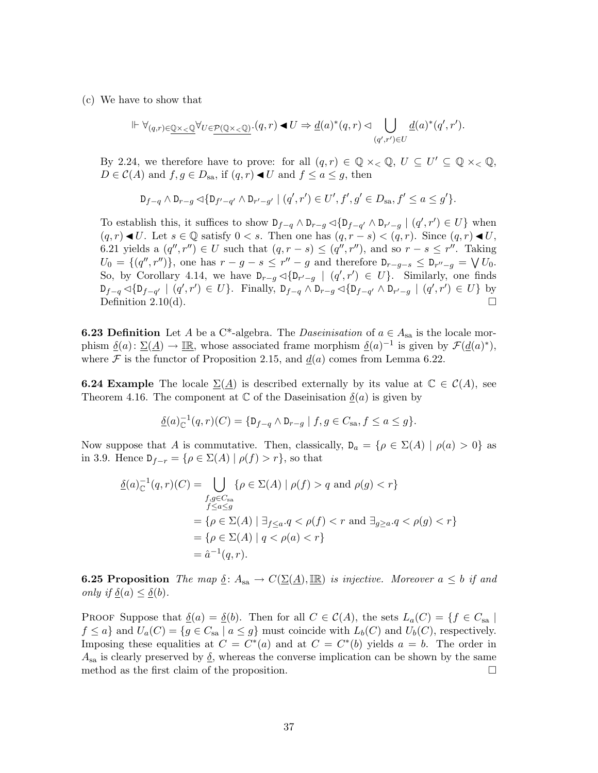(c) We have to show that

$$
\Vdash \forall_{(q,r)\in \underline{\mathbb{Q}}\times <\underline{\mathbb{Q}}}\forall_{U\in \underline{P}(\underline{\mathbb{Q}}\times <\underline{\mathbb{Q}})}\cdot (q,r)\blacktriangleleft U \Rightarrow \underline{d}(a)^*(q,r) \lhd \bigcup_{(q',r')\in U}\underline{d}(a)^*(q',r').
$$

By 2.24, we therefore have to prove: for all  $(q, r) \in \mathbb{Q} \times_{\leq} \mathbb{Q}$ ,  $U \subseteq U' \subseteq \mathbb{Q} \times_{\leq} \mathbb{Q}$ ,  $D \in \mathcal{C}(A)$  and  $f, g \in D_{sa}$ , if  $(q, r) \triangleleft U$  and  $f \leq a \leq g$ , then

$$
\mathsf{D}_{f-q} \wedge \mathsf{D}_{r-g}\lhd \{\mathsf{D}_{f'-q'}\wedge \mathsf{D}_{r'-g'}\mid (q',r')\in U', f', g'\in D_{\operatorname{sa}}, f'\leq a\leq g'\}.
$$

To establish this, it suffices to show  $D_{f-q} \wedge D_{r-g} \triangleleft \{ D_{f-q'} \wedge D_{r'-g} \mid (q', r') \in U \}$  when  $(q, r) \blacktriangleleft U$ . Let  $s \in \mathbb{Q}$  satisfy  $0 \lt s$ . Then one has  $(q, r - s) \lt (q, r)$ . Since  $(q, r) \blacktriangleleft U$ , 6.21 yields a  $(q'', r'') \in U$  such that  $(q, r - s) \leq (q'', r'')$ , and so  $r - s \leq r''$ . Taking  $U_0 = \{ (q'', r'') \},$  one has  $r - g - s \leq r'' - g$  and therefore  $D_{r-g-s} \leq D_{r''-g} = \bigvee U_0$ . So, by Corollary 4.14, we have  $D_{r-g} \triangleleft \{ D_{r'-g} \mid (q', r') \in U \}$ . Similarly, one finds  $D_{f-q} \lhd \{D_{f-q'} \mid (q', r') \in U\}.$  Finally,  $D_{f-q} \wedge D_{r-g} \lhd \{D_{f-q'} \wedge D_{r'-g} \mid (q', r') \in U\}$  by Definition 2.10(d).

**6.23 Definition** Let A be a C<sup>\*</sup>-algebra. The *Daseinisation* of  $a \in A_{sa}$  is the locale morphism  $\underline{\delta}(a) \colon \underline{\Sigma}(\underline{A}) \to \underline{\mathbb{IR}}$ , whose associated frame morphism  $\underline{\delta}(a)^{-1}$  is given by  $\mathcal{F}(\underline{d}(a)^*)$ , where  $\mathcal F$  is the functor of Proposition 2.15, and  $d(a)$  comes from Lemma 6.22.

**6.24 Example** The locale  $\Sigma(A)$  is described externally by its value at  $\mathbb{C} \in \mathcal{C}(A)$ , see Theorem 4.16. The component at  $\mathbb C$  of the Daseinisation  $\underline{\delta}(a)$  is given by

$$
\underline{\delta}(a)^{-1}_{\mathbb{C}}(q,r)(C) = \{ \mathbf{D}_{f-q} \wedge \mathbf{D}_{r-g} \mid f, g \in C_{\text{sa}}, f \le a \le g \}.
$$

Now suppose that A is commutative. Then, classically,  $D_a = {\rho \in \Sigma(A) \mid \rho(a) > 0}$  as in 3.9. Hence  $D_{f-r} = \{ \rho \in \Sigma(A) \mid \rho(f) > r \}$ , so that

$$
\underline{\delta}(a)_{\mathbb{C}}^{-1}(q,r)(C) = \bigcup_{\substack{f,g \in C_{\text{sa}} \\ f \le a \le g}} \{\rho \in \Sigma(A) \mid \rho(f) > q \text{ and } \rho(g) < r\}
$$

$$
= \{\rho \in \Sigma(A) \mid \exists_{f \le a} . q < \rho(f) < r \text{ and } \exists_{g \ge a} . q < \rho(g) < r\}
$$

$$
= \{\rho \in \Sigma(A) \mid q < \rho(a) < r\}
$$

$$
= \hat{a}^{-1}(q,r).
$$

**6.25 Proposition** The map  $\underline{\delta}$ :  $A_{sa} \to C(\underline{\Sigma(A)}, \underline{\mathbb{IR}})$  is injective. Moreover  $a \leq b$  if and only if  $\underline{\delta}(a) \leq \underline{\delta}(b)$ .

PROOF Suppose that  $\underline{\delta}(a) = \underline{\delta}(b)$ . Then for all  $C \in \mathcal{C}(A)$ , the sets  $L_a(C) = \{f \in C_{sa} \mid$  $f \le a$  and  $U_a(C) = \{ g \in C_{sa} \mid a \le g \}$  must coincide with  $L_b(C)$  and  $U_b(C)$ , respectively. Imposing these equalities at  $C = C^*(a)$  and at  $C = C^*(b)$  yields  $a = b$ . The order in  $A_{sa}$  is clearly preserved by  $\underline{\delta}$ , whereas the converse implication can be shown by the same method as the first claim of the proposition.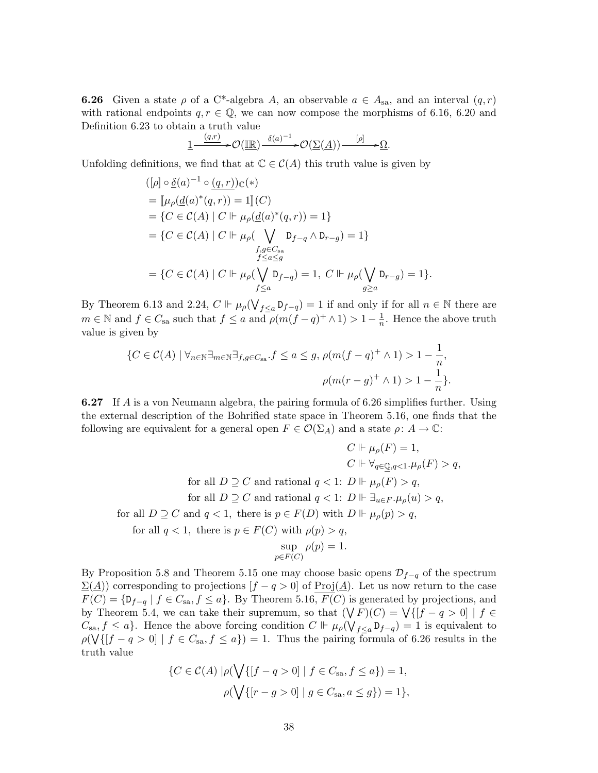**6.26** Given a state  $\rho$  of a C<sup>\*</sup>-algebra A, an observable  $a \in A_{sa}$ , and an interval  $(q, r)$ with rational endpoints  $q, r \in \mathbb{Q}$ , we can now compose the morphisms of 6.16, 6.20 and Definition 6.23 to obtain a truth value

$$
\underbrace{1 \xrightarrow{(q,r)}} \mathcal{O}(\underbrace{\mathbb{IR}}) \xrightarrow{\underline{\delta}(a)^{-1}} \mathcal{O}(\underbrace{\Sigma(\underline{A})) \xrightarrow{[\rho]} \mathcal{O}(\underline{A})}.
$$

Unfolding definitions, we find that at  $\mathbb{C} \in \mathcal{C}(A)$  this truth value is given by

$$
([\rho] \circ \underline{\delta}(a)^{-1} \circ \underline{(q,r)}) \mathbb{C}(*)
$$
  
\n
$$
= [\mu_{\rho}(\underline{d}(a)^{*}(q,r)) = 1](C)
$$
  
\n
$$
= \{C \in \mathcal{C}(A) \mid C \Vdash \mu_{\rho}(\underline{d}(a)^{*}(q,r)) = 1\}
$$
  
\n
$$
= \{C \in \mathcal{C}(A) \mid C \Vdash \mu_{\rho}(\bigvee_{f \subseteq G_{\text{sa}}} D_{f-q} \wedge D_{r-g}) = 1\}
$$
  
\n
$$
f,g \in C_{\text{sa}}
$$
  
\n
$$
f \leq a \leq g
$$
  
\n
$$
= \{C \in \mathcal{C}(A) \mid C \Vdash \mu_{\rho}(\bigvee_{f \subseteq a} D_{f-q}) = 1, C \Vdash \mu_{\rho}(\bigvee_{g \geq a} D_{r-g}) = 1\}.
$$

By Theorem 6.13 and 2.24,  $C \Vdash \mu_{\rho}(\bigvee_{f \leq a} D_{f-q}) = 1$  if and only if for all  $n \in \mathbb{N}$  there are  $m \in \mathbb{N}$  and  $f \in C_{\text{sa}}$  such that  $f \leq a$  and  $\rho(m(f - q)^+ \wedge 1) > 1 - \frac{1}{n}$  $\frac{1}{n}$ . Hence the above truth value is given by

$$
\{C \in \mathcal{C}(A) \mid \forall_{n \in \mathbb{N}} \exists_{m \in \mathbb{N}} \exists_{f,g \in C_{\text{sa}}} . f \le a \le g, \, \rho(m(f - q)^+ \wedge 1) > 1 - \frac{1}{n},
$$

$$
\rho(m(r - g)^+ \wedge 1) > 1 - \frac{1}{n}\}.
$$

6.27 If A is a von Neumann algebra, the pairing formula of 6.26 simplifies further. Using the external description of the Bohrified state space in Theorem 5.16, one finds that the following are equivalent for a general open  $F \in \mathcal{O}(\Sigma_A)$  and a state  $\rho: A \to \mathbb{C}$ :

$$
C \Vdash \mu_{\rho}(F) = 1,
$$
  
\n
$$
C \Vdash \forall_{q \in \mathbb{Q}, q < 1} \cdot \mu_{\rho}(F) > q,
$$
  
\nfor all  $D \supseteq C$  and rational  $q < 1$ :  $D \Vdash \mu_{\rho}(F) > q$ ,  
\nfor all  $D \supseteq C$  and rational  $q < 1$ :  $D \Vdash \exists_{u \in F} \cdot \mu_{\rho}(u) > q$ ,  
\nfor all  $D \supseteq C$  and  $q < 1$ , there is  $p \in F(D)$  with  $D \Vdash \mu_{\rho}(p) > q$ ,  
\nfor all  $q < 1$ , there is  $p \in F(C)$  with  $\rho(p) > q$ ,  
\n
$$
\sup_{p \in F(C)} \rho(p) = 1.
$$

By Proposition 5.8 and Theorem 5.15 one may choose basic opens  $\mathcal{D}_{f-q}$  of the spectrum  $\Sigma(\underline{A})$  corresponding to projections  $[f - q > 0]$  of Proj $(\underline{A})$ . Let us now return to the case  $F(C) = \{D_{f-q} \mid f \in C_{sa}, f \leq a\}.$  By Theorem 5.16,  $F(C)$  is generated by projections, and by Theorem 5.4, we can take their supremum, so that  $(\bigvee F)(C) = \bigvee \{[f - q > 0] \mid f \in$  $C_{sa}, f \leq a$ . Hence the above forcing condition  $C \Vdash \mu_{\rho}(\bigvee_{f \leq a} \mathsf{D}_{f-q}) = 1$  is equivalent to  $\rho(\bigvee\{[f - q > 0] \mid f \in C_{sa}, f \leq a\}) = 1$ . Thus the pairing formula of 6.26 results in the truth value

$$
\{C \in \mathcal{C}(A) \mid \rho(\bigvee \{ [f - q > 0] \mid f \in C_{\text{sa}}, f \le a \}) = 1, \rho(\bigvee \{ [r - g > 0] \mid g \in C_{\text{sa}}, a \le g \}) = 1 \},\
$$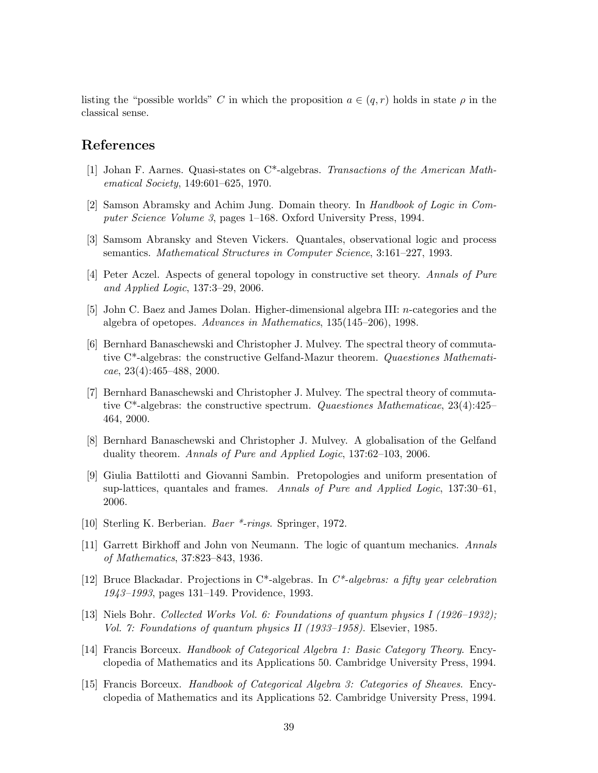listing the "possible worlds" C in which the proposition  $a \in (q, r)$  holds in state  $\rho$  in the classical sense.

## References

- [1] Johan F. Aarnes. Quasi-states on C\*-algebras. Transactions of the American Mathematical Society, 149:601–625, 1970.
- [2] Samson Abramsky and Achim Jung. Domain theory. In Handbook of Logic in Computer Science Volume 3, pages 1–168. Oxford University Press, 1994.
- [3] Samsom Abransky and Steven Vickers. Quantales, observational logic and process semantics. Mathematical Structures in Computer Science, 3:161–227, 1993.
- [4] Peter Aczel. Aspects of general topology in constructive set theory. Annals of Pure and Applied Logic, 137:3–29, 2006.
- [5] John C. Baez and James Dolan. Higher-dimensional algebra III: n-categories and the algebra of opetopes. Advances in Mathematics, 135(145–206), 1998.
- [6] Bernhard Banaschewski and Christopher J. Mulvey. The spectral theory of commutative C\*-algebras: the constructive Gelfand-Mazur theorem. Quaestiones Mathemati $cae, 23(4):465-488, 2000.$
- [7] Bernhard Banaschewski and Christopher J. Mulvey. The spectral theory of commutative  $C^*$ -algebras: the constructive spectrum. Quaestiones Mathematicae, 23(4):425– 464, 2000.
- [8] Bernhard Banaschewski and Christopher J. Mulvey. A globalisation of the Gelfand duality theorem. Annals of Pure and Applied Logic, 137:62–103, 2006.
- [9] Giulia Battilotti and Giovanni Sambin. Pretopologies and uniform presentation of sup-lattices, quantales and frames. Annals of Pure and Applied Logic,  $137:30-61$ , 2006.
- [10] Sterling K. Berberian. Baer \*-rings. Springer, 1972.
- [11] Garrett Birkhoff and John von Neumann. The logic of quantum mechanics. Annals of Mathematics, 37:823–843, 1936.
- [12] Bruce Blackadar. Projections in  $C^*$ -algebras. In  $C^*$ -algebras: a fifty year celebration 1943–1993, pages 131–149. Providence, 1993.
- [13] Niels Bohr. Collected Works Vol. 6: Foundations of quantum physics I (1926–1932); Vol. 7: Foundations of quantum physics II (1933–1958). Elsevier, 1985.
- [14] Francis Borceux. Handbook of Categorical Algebra 1: Basic Category Theory. Encyclopedia of Mathematics and its Applications 50. Cambridge University Press, 1994.
- [15] Francis Borceux. Handbook of Categorical Algebra 3: Categories of Sheaves. Encyclopedia of Mathematics and its Applications 52. Cambridge University Press, 1994.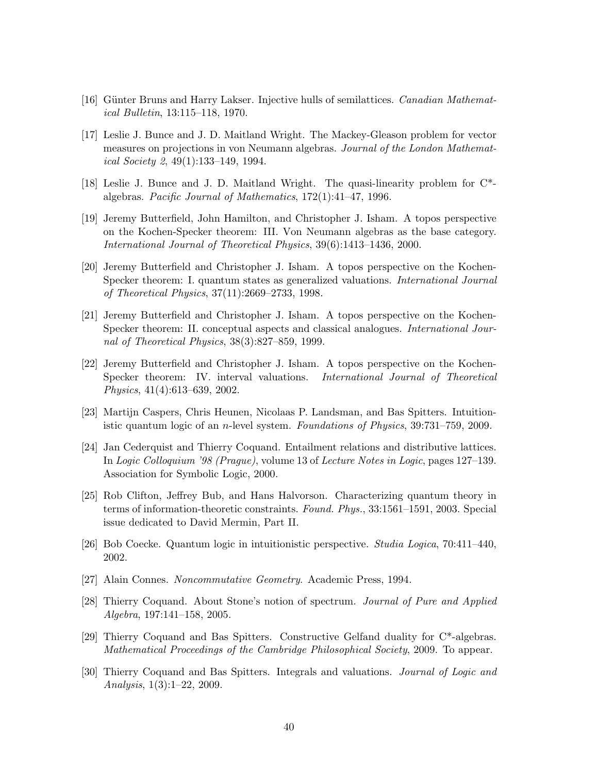- [16] Günter Bruns and Harry Lakser. Injective hulls of semilattices. *Canadian Mathemat*ical Bulletin, 13:115–118, 1970.
- [17] Leslie J. Bunce and J. D. Maitland Wright. The Mackey-Gleason problem for vector measures on projections in von Neumann algebras. Journal of the London Mathematical Society 2, 49(1):133–149, 1994.
- [18] Leslie J. Bunce and J. D. Maitland Wright. The quasi-linearity problem for C\* algebras. Pacific Journal of Mathematics, 172(1):41–47, 1996.
- [19] Jeremy Butterfield, John Hamilton, and Christopher J. Isham. A topos perspective on the Kochen-Specker theorem: III. Von Neumann algebras as the base category. International Journal of Theoretical Physics, 39(6):1413–1436, 2000.
- [20] Jeremy Butterfield and Christopher J. Isham. A topos perspective on the Kochen-Specker theorem: I. quantum states as generalized valuations. International Journal of Theoretical Physics, 37(11):2669–2733, 1998.
- [21] Jeremy Butterfield and Christopher J. Isham. A topos perspective on the Kochen-Specker theorem: II. conceptual aspects and classical analogues. International Journal of Theoretical Physics, 38(3):827–859, 1999.
- [22] Jeremy Butterfield and Christopher J. Isham. A topos perspective on the Kochen-Specker theorem: IV. interval valuations. International Journal of Theoretical Physics, 41(4):613–639, 2002.
- [23] Martijn Caspers, Chris Heunen, Nicolaas P. Landsman, and Bas Spitters. Intuitionistic quantum logic of an n-level system. Foundations of Physics, 39:731–759, 2009.
- [24] Jan Cederquist and Thierry Coquand. Entailment relations and distributive lattices. In Logic Colloquium '98 (Prague), volume 13 of Lecture Notes in Logic, pages 127–139. Association for Symbolic Logic, 2000.
- [25] Rob Clifton, Jeffrey Bub, and Hans Halvorson. Characterizing quantum theory in terms of information-theoretic constraints. Found. Phys., 33:1561–1591, 2003. Special issue dedicated to David Mermin, Part II.
- [26] Bob Coecke. Quantum logic in intuitionistic perspective. Studia Logica, 70:411–440, 2002.
- [27] Alain Connes. Noncommutative Geometry. Academic Press, 1994.
- [28] Thierry Coquand. About Stone's notion of spectrum. Journal of Pure and Applied Algebra, 197:141–158, 2005.
- [29] Thierry Coquand and Bas Spitters. Constructive Gelfand duality for C\*-algebras. Mathematical Proceedings of the Cambridge Philosophical Society, 2009. To appear.
- [30] Thierry Coquand and Bas Spitters. Integrals and valuations. Journal of Logic and Analysis, 1(3):1–22, 2009.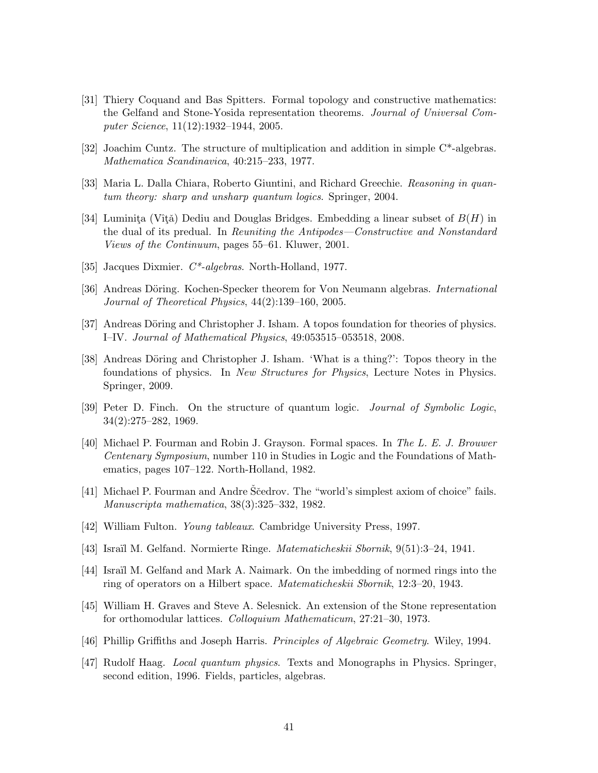- [31] Thiery Coquand and Bas Spitters. Formal topology and constructive mathematics: the Gelfand and Stone-Yosida representation theorems. Journal of Universal Computer Science, 11(12):1932–1944, 2005.
- [32] Joachim Cuntz. The structure of multiplication and addition in simple C\*-algebras. Mathematica Scandinavica, 40:215–233, 1977.
- [33] Maria L. Dalla Chiara, Roberto Giuntini, and Richard Greechie. Reasoning in quantum theory: sharp and unsharp quantum logics. Springer, 2004.
- [34] Luminita (Vîtă) Dediu and Douglas Bridges. Embedding a linear subset of  $B(H)$  in the dual of its predual. In Reuniting the Antipodes—Constructive and Nonstandard Views of the Continuum, pages 55–61. Kluwer, 2001.
- [35] Jacques Dixmier. C\*-algebras. North-Holland, 1977.
- [36] Andreas Döring. Kochen-Specker theorem for Von Neumann algebras. *International* Journal of Theoretical Physics, 44(2):139–160, 2005.
- [37] Andreas Döring and Christopher J. Isham. A topos foundation for theories of physics. I–IV. Journal of Mathematical Physics, 49:053515–053518, 2008.
- [38] Andreas Döring and Christopher J. Isham. 'What is a thing?': Topos theory in the foundations of physics. In New Structures for Physics, Lecture Notes in Physics. Springer, 2009.
- [39] Peter D. Finch. On the structure of quantum logic. Journal of Symbolic Logic, 34(2):275–282, 1969.
- [40] Michael P. Fourman and Robin J. Grayson. Formal spaces. In The L. E. J. Brouwer Centenary Symposium, number 110 in Studies in Logic and the Foundations of Mathematics, pages 107–122. North-Holland, 1982.
- [41] Michael P. Fourman and Andre Sčedrov. The "world's simplest axiom of choice" fails. Manuscripta mathematica, 38(3):325–332, 1982.
- [42] William Fulton. Young tableaux. Cambridge University Press, 1997.
- [43] Isra¨ıl M. Gelfand. Normierte Ringe. Matematicheskii Sbornik, 9(51):3–24, 1941.
- [44] Israïl M. Gelfand and Mark A. Naimark. On the imbedding of normed rings into the ring of operators on a Hilbert space. Matematicheskii Sbornik, 12:3–20, 1943.
- [45] William H. Graves and Steve A. Selesnick. An extension of the Stone representation for orthomodular lattices. Colloquium Mathematicum, 27:21–30, 1973.
- [46] Phillip Griffiths and Joseph Harris. Principles of Algebraic Geometry. Wiley, 1994.
- [47] Rudolf Haag. Local quantum physics. Texts and Monographs in Physics. Springer, second edition, 1996. Fields, particles, algebras.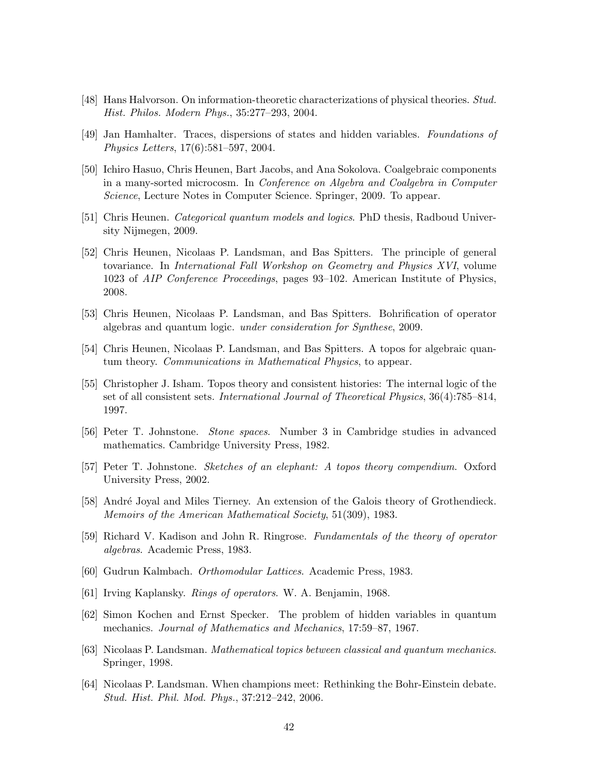- [48] Hans Halvorson. On information-theoretic characterizations of physical theories. Stud. Hist. Philos. Modern Phys., 35:277–293, 2004.
- [49] Jan Hamhalter. Traces, dispersions of states and hidden variables. Foundations of Physics Letters, 17(6):581–597, 2004.
- [50] Ichiro Hasuo, Chris Heunen, Bart Jacobs, and Ana Sokolova. Coalgebraic components in a many-sorted microcosm. In Conference on Algebra and Coalgebra in Computer Science, Lecture Notes in Computer Science. Springer, 2009. To appear.
- [51] Chris Heunen. Categorical quantum models and logics. PhD thesis, Radboud University Nijmegen, 2009.
- [52] Chris Heunen, Nicolaas P. Landsman, and Bas Spitters. The principle of general tovariance. In International Fall Workshop on Geometry and Physics XVI, volume 1023 of AIP Conference Proceedings, pages 93–102. American Institute of Physics, 2008.
- [53] Chris Heunen, Nicolaas P. Landsman, and Bas Spitters. Bohrification of operator algebras and quantum logic. under consideration for Synthese, 2009.
- [54] Chris Heunen, Nicolaas P. Landsman, and Bas Spitters. A topos for algebraic quantum theory. Communications in Mathematical Physics, to appear.
- [55] Christopher J. Isham. Topos theory and consistent histories: The internal logic of the set of all consistent sets. International Journal of Theoretical Physics, 36(4):785–814, 1997.
- [56] Peter T. Johnstone. Stone spaces. Number 3 in Cambridge studies in advanced mathematics. Cambridge University Press, 1982.
- [57] Peter T. Johnstone. Sketches of an elephant: A topos theory compendium. Oxford University Press, 2002.
- [58] André Joyal and Miles Tierney. An extension of the Galois theory of Grothendieck. Memoirs of the American Mathematical Society, 51(309), 1983.
- [59] Richard V. Kadison and John R. Ringrose. Fundamentals of the theory of operator algebras. Academic Press, 1983.
- [60] Gudrun Kalmbach. Orthomodular Lattices. Academic Press, 1983.
- [61] Irving Kaplansky. Rings of operators. W. A. Benjamin, 1968.
- [62] Simon Kochen and Ernst Specker. The problem of hidden variables in quantum mechanics. Journal of Mathematics and Mechanics, 17:59–87, 1967.
- [63] Nicolaas P. Landsman. Mathematical topics between classical and quantum mechanics. Springer, 1998.
- [64] Nicolaas P. Landsman. When champions meet: Rethinking the Bohr-Einstein debate. Stud. Hist. Phil. Mod. Phys., 37:212–242, 2006.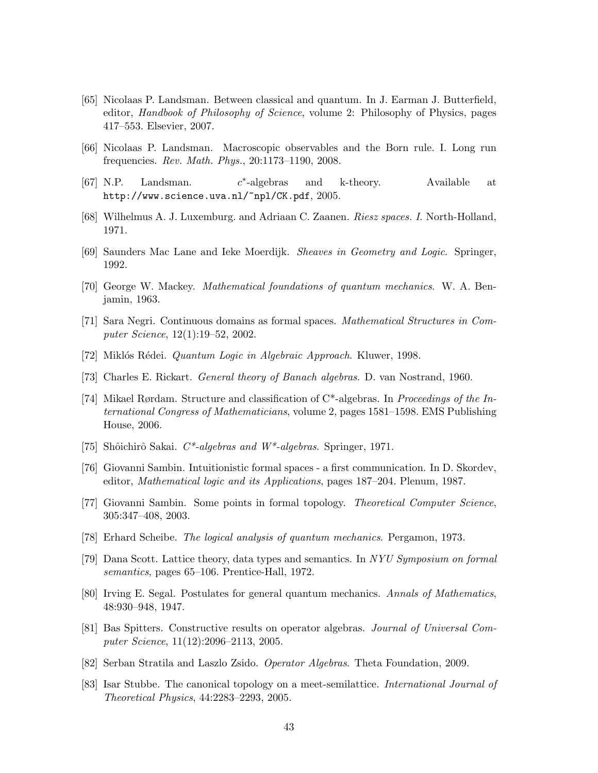- [65] Nicolaas P. Landsman. Between classical and quantum. In J. Earman J. Butterfield, editor, *Handbook of Philosophy of Science*, volume 2: Philosophy of Physics, pages 417–553. Elsevier, 2007.
- [66] Nicolaas P. Landsman. Macroscopic observables and the Born rule. I. Long run frequencies. Rev. Math. Phys., 20:1173–1190, 2008.
- $[67]$  N.P. Landsman. ∗ -algebras and k-theory. Available at http://www.science.uva.nl/~npl/CK.pdf, 2005.
- [68] Wilhelmus A. J. Luxemburg. and Adriaan C. Zaanen. Riesz spaces. I. North-Holland, 1971.
- [69] Saunders Mac Lane and Ieke Moerdijk. Sheaves in Geometry and Logic. Springer, 1992.
- [70] George W. Mackey. Mathematical foundations of quantum mechanics. W. A. Benjamin, 1963.
- [71] Sara Negri. Continuous domains as formal spaces. Mathematical Structures in Computer Science, 12(1):19–52, 2002.
- [72] Miklós Rédei. *Quantum Logic in Algebraic Approach*. Kluwer, 1998.
- [73] Charles E. Rickart. General theory of Banach algebras. D. van Nostrand, 1960.
- [74] Mikael Rørdam. Structure and classification of  $C^*$ -algebras. In *Proceedings of the In*ternational Congress of Mathematicians, volume 2, pages 1581–1598. EMS Publishing House, 2006.
- [75] Shôichirô Sakai.  $C^*$ -algebras and  $W^*$ -algebras. Springer, 1971.
- [76] Giovanni Sambin. Intuitionistic formal spaces a first communication. In D. Skordev, editor, Mathematical logic and its Applications, pages 187–204. Plenum, 1987.
- [77] Giovanni Sambin. Some points in formal topology. Theoretical Computer Science, 305:347–408, 2003.
- [78] Erhard Scheibe. The logical analysis of quantum mechanics. Pergamon, 1973.
- [79] Dana Scott. Lattice theory, data types and semantics. In NYU Symposium on formal semantics, pages 65–106. Prentice-Hall, 1972.
- [80] Irving E. Segal. Postulates for general quantum mechanics. Annals of Mathematics, 48:930–948, 1947.
- [81] Bas Spitters. Constructive results on operator algebras. Journal of Universal Computer Science, 11(12):2096–2113, 2005.
- [82] Serban Stratila and Laszlo Zsido. Operator Algebras. Theta Foundation, 2009.
- [83] Isar Stubbe. The canonical topology on a meet-semilattice. International Journal of Theoretical Physics, 44:2283–2293, 2005.